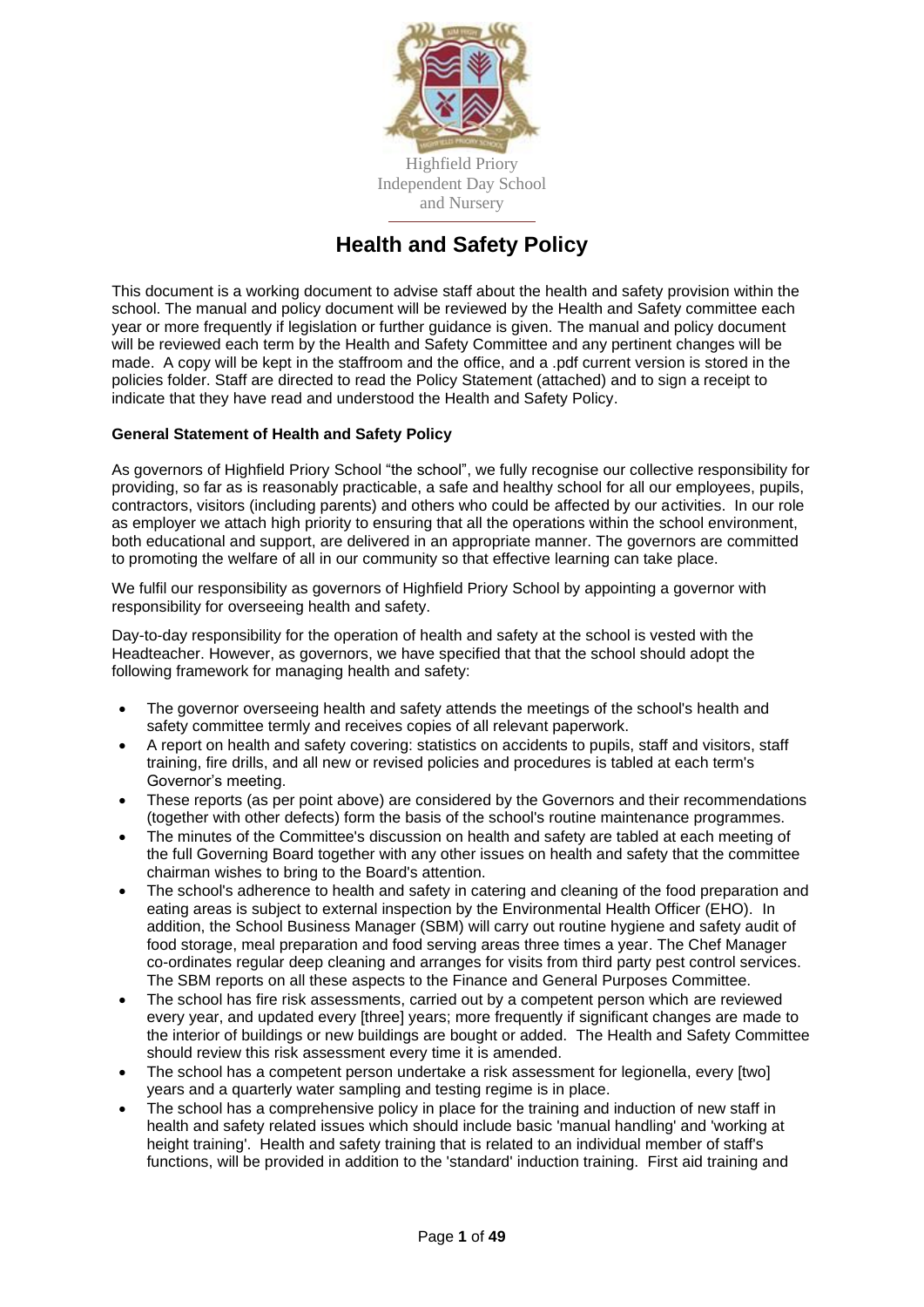

# **Health and Safety Policy**

This document is a working document to advise staff about the health and safety provision within the school. The manual and policy document will be reviewed by the Health and Safety committee each year or more frequently if legislation or further guidance is given. The manual and policy document will be reviewed each term by the Health and Safety Committee and any pertinent changes will be made. A copy will be kept in the staffroom and the office, and a .pdf current version is stored in the policies folder. Staff are directed to read the Policy Statement (attached) and to sign a receipt to indicate that they have read and understood the Health and Safety Policy.

## <span id="page-0-0"></span>**General Statement of Health and Safety Policy**

As governors of Highfield Priory School "the school", we fully recognise our collective responsibility for providing, so far as is reasonably practicable, a safe and healthy school for all our employees, pupils, contractors, visitors (including parents) and others who could be affected by our activities. In our role as employer we attach high priority to ensuring that all the operations within the school environment, both educational and support, are delivered in an appropriate manner. The governors are committed to promoting the welfare of all in our community so that effective learning can take place.

We fulfil our responsibility as governors of Highfield Priory School by appointing a governor with responsibility for overseeing health and safety.

Day-to-day responsibility for the operation of health and safety at the school is vested with the Headteacher. However, as governors, we have specified that that the school should adopt the following framework for managing health and safety:

- The governor overseeing health and safety attends the meetings of the school's health and safety committee termly and receives copies of all relevant paperwork.
- A report on health and safety covering: statistics on accidents to pupils, staff and visitors, staff training, fire drills, and all new or revised policies and procedures is tabled at each term's Governor's meeting.
- These reports (as per point above) are considered by the Governors and their recommendations (together with other defects) form the basis of the school's routine maintenance programmes.
- The minutes of the Committee's discussion on health and safety are tabled at each meeting of the full Governing Board together with any other issues on health and safety that the committee chairman wishes to bring to the Board's attention.
- The school's adherence to health and safety in catering and cleaning of the food preparation and eating areas is subject to external inspection by the Environmental Health Officer (EHO). In addition, the School Business Manager (SBM) will carry out routine hygiene and safety audit of food storage, meal preparation and food serving areas three times a year. The Chef Manager co-ordinates regular deep cleaning and arranges for visits from third party pest control services. The SBM reports on all these aspects to the Finance and General Purposes Committee.
- The school has fire risk assessments, carried out by a competent person which are reviewed every year, and updated every [three] years; more frequently if significant changes are made to the interior of buildings or new buildings are bought or added. The Health and Safety Committee should review this risk assessment every time it is amended.
- The school has a competent person undertake a risk assessment for legionella, every [two] years and a quarterly water sampling and testing regime is in place.
- The school has a comprehensive policy in place for the training and induction of new staff in health and safety related issues which should include basic 'manual handling' and 'working at height training'. Health and safety training that is related to an individual member of staff's functions, will be provided in addition to the 'standard' induction training. First aid training and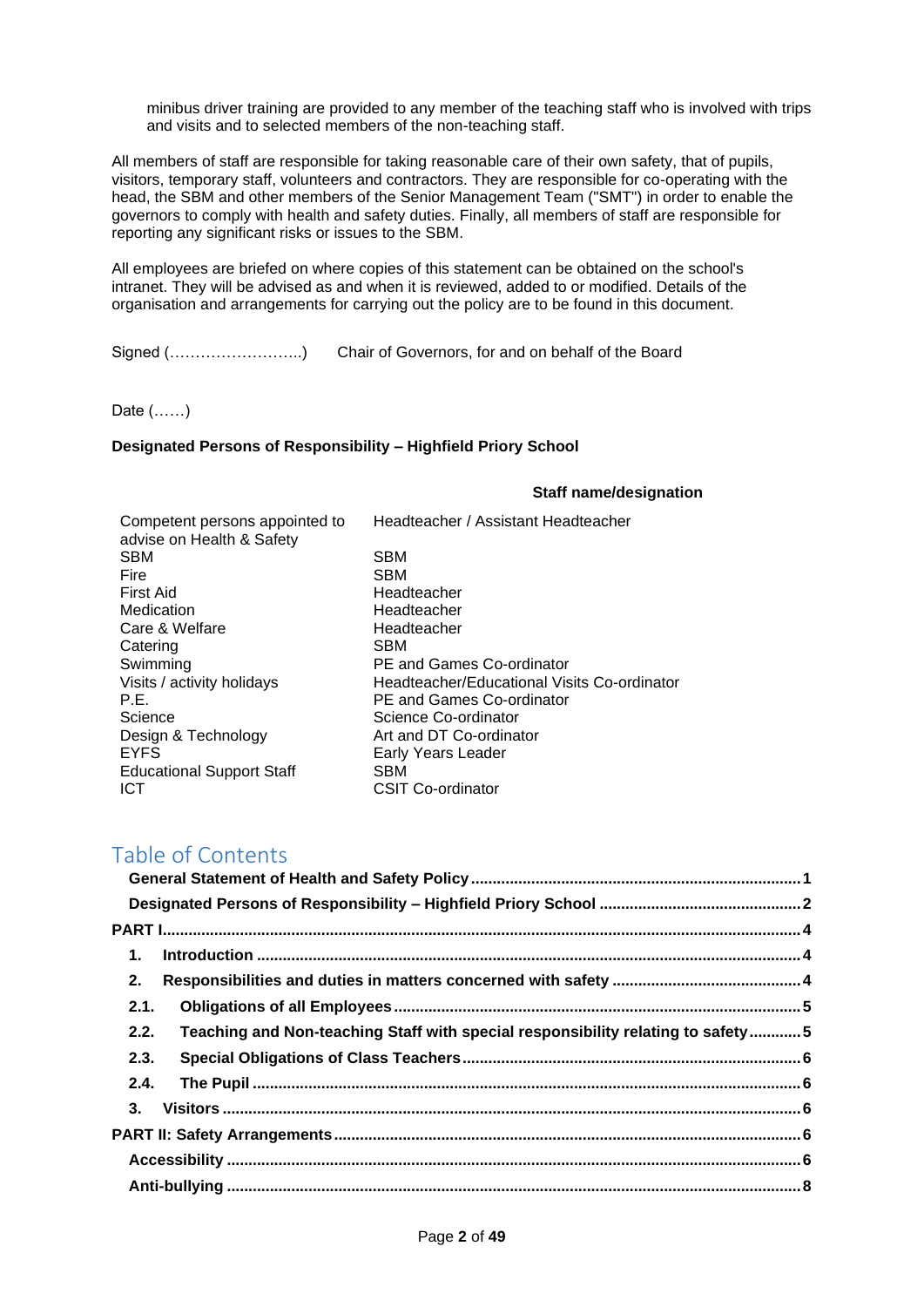minibus driver training are provided to any member of the teaching staff who is involved with trips and visits and to selected members of the non-teaching staff.

All members of staff are responsible for taking reasonable care of their own safety, that of pupils, visitors, temporary staff, volunteers and contractors. They are responsible for co-operating with the head, the SBM and other members of the Senior Management Team ("SMT") in order to enable the governors to comply with health and safety duties. Finally, all members of staff are responsible for reporting any significant risks or issues to the SBM.

All employees are briefed on where copies of this statement can be obtained on the school's intranet. They will be advised as and when it is reviewed, added to or modified. Details of the organisation and arrangements for carrying out the policy are to be found in this document.

Signed (……………………..) Chair of Governors, for and on behalf of the Board

Date (……)

### <span id="page-1-0"></span>**Designated Persons of Responsibility – Highfield Priory School**

#### **Staff name/designation**

| Competent persons appointed to<br>advise on Health & Safety | Headteacher / Assistant Headteacher         |
|-------------------------------------------------------------|---------------------------------------------|
| <b>SBM</b>                                                  | <b>SBM</b>                                  |
| <b>Fire</b>                                                 | <b>SBM</b>                                  |
| <b>First Aid</b>                                            | Headteacher                                 |
| Medication                                                  | Headteacher                                 |
| Care & Welfare                                              | Headteacher                                 |
| Catering                                                    | SBM                                         |
| Swimming                                                    | <b>PE and Games Co-ordinator</b>            |
| Visits / activity holidays                                  | Headteacher/Educational Visits Co-ordinator |
| P.E.                                                        | <b>PE and Games Co-ordinator</b>            |
| Science                                                     | Science Co-ordinator                        |
| Design & Technology                                         | Art and DT Co-ordinator                     |
| <b>EYFS</b>                                                 | Early Years Leader                          |
| <b>Educational Support Staff</b>                            | <b>SBM</b>                                  |
| ICT                                                         | <b>CSIT Co-ordinator</b>                    |
|                                                             |                                             |

# Table of Contents

| 1.                                                                                      |  |
|-----------------------------------------------------------------------------------------|--|
| 2.                                                                                      |  |
| 2.1.                                                                                    |  |
| Teaching and Non-teaching Staff with special responsibility relating to safety5<br>2.2. |  |
| 2.3.                                                                                    |  |
| 2.4.                                                                                    |  |
| 3 <sub>1</sub>                                                                          |  |
|                                                                                         |  |
|                                                                                         |  |
|                                                                                         |  |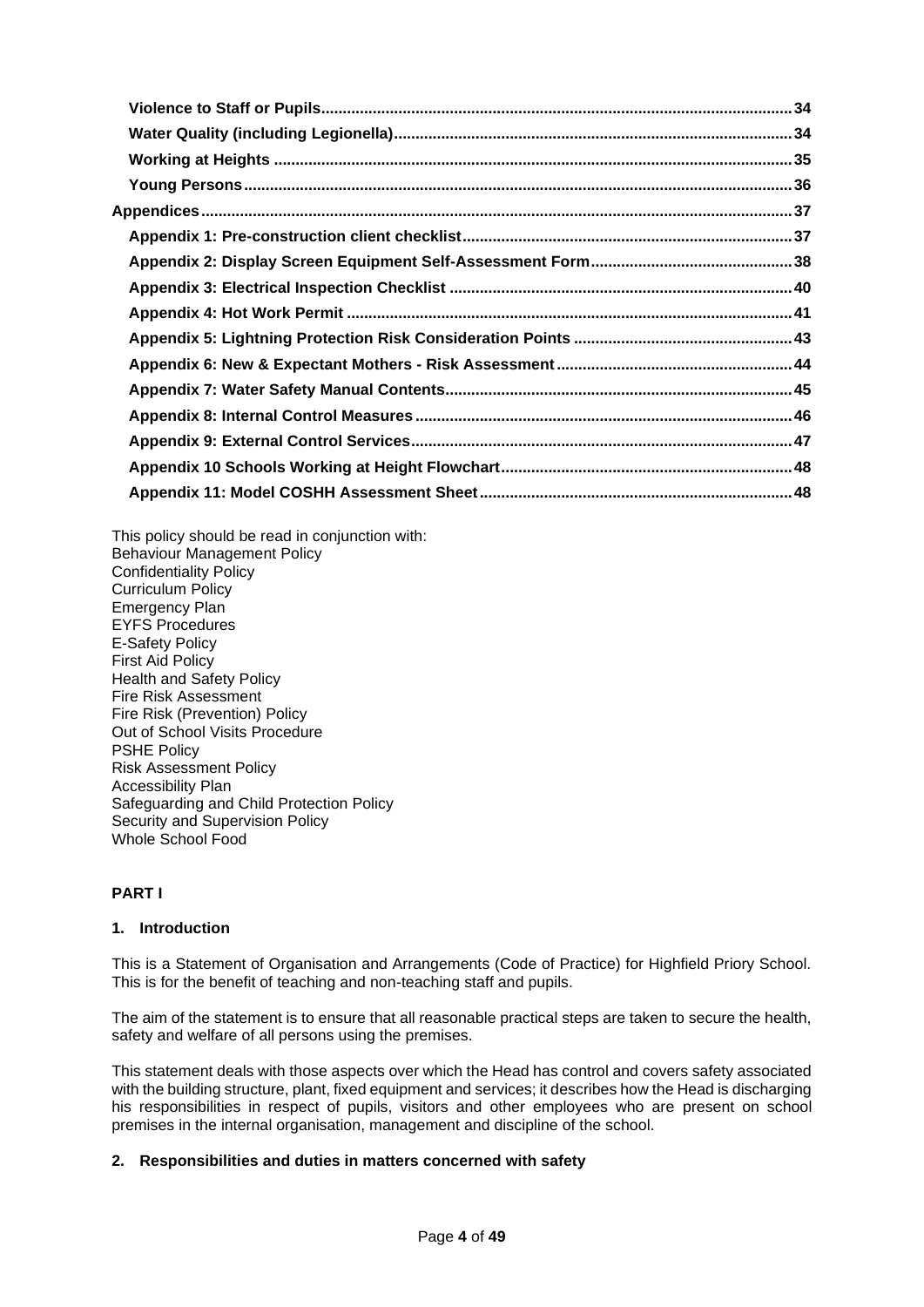This policy should be read in conjunction with: Behaviour Management Policy Confidentiality Policy Curriculum Policy Emergency Plan EYFS Procedures E-Safety Policy First Aid Policy Health and Safety Policy Fire Risk Assessment Fire Risk (Prevention) Policy Out of School Visits Procedure PSHE Policy Risk Assessment Policy Accessibility Plan Safeguarding and Child Protection Policy Security and Supervision Policy Whole School Food

## <span id="page-3-0"></span>**PART I**

## <span id="page-3-1"></span>**1. Introduction**

This is a Statement of Organisation and Arrangements (Code of Practice) for Highfield Priory School. This is for the benefit of teaching and non-teaching staff and pupils.

The aim of the statement is to ensure that all reasonable practical steps are taken to secure the health, safety and welfare of all persons using the premises.

This statement deals with those aspects over which the Head has control and covers safety associated with the building structure, plant, fixed equipment and services; it describes how the Head is discharging his responsibilities in respect of pupils, visitors and other employees who are present on school premises in the internal organisation, management and discipline of the school.

## <span id="page-3-2"></span>**2. Responsibilities and duties in matters concerned with safety**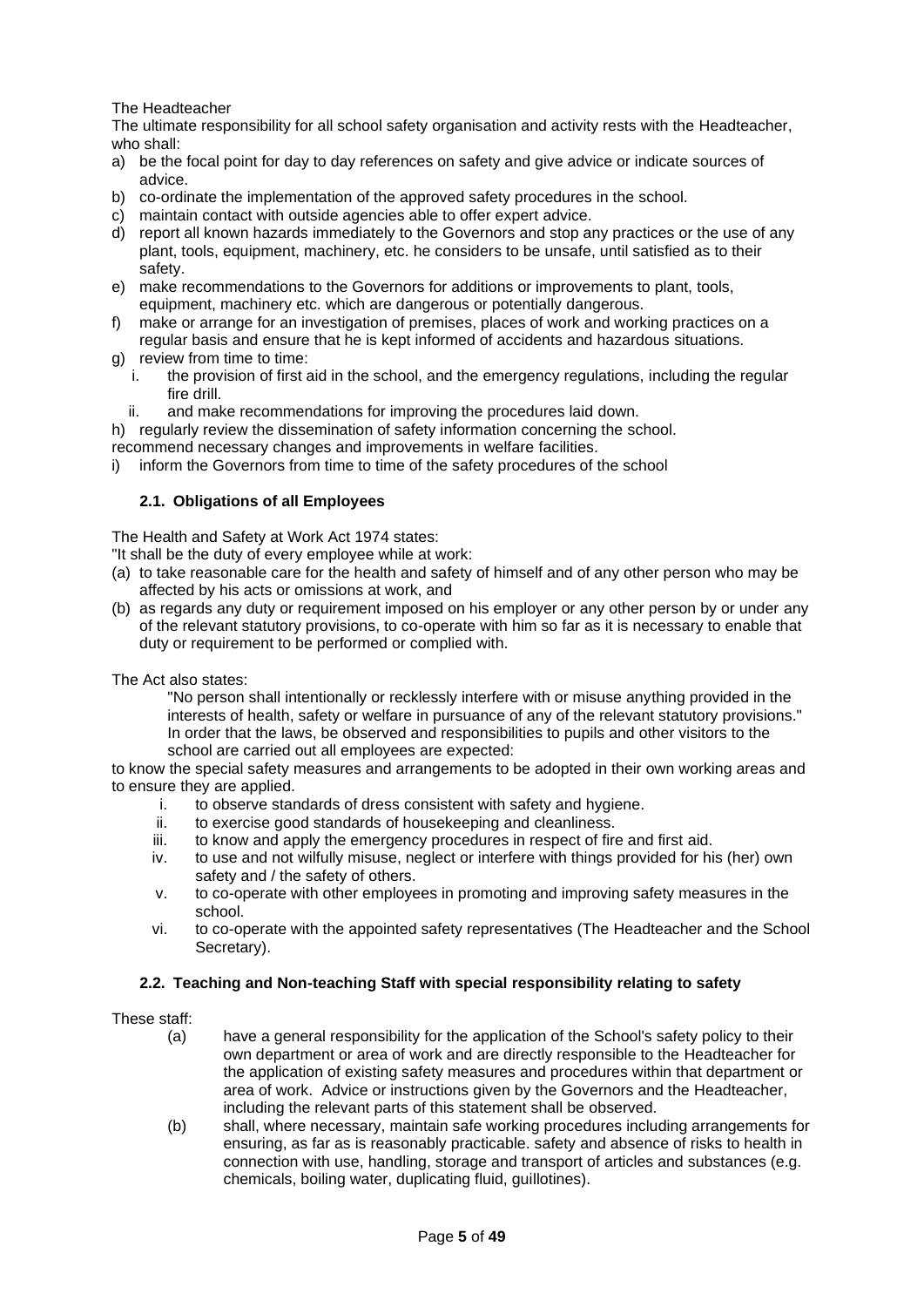The Headteacher

The ultimate responsibility for all school safety organisation and activity rests with the Headteacher, who shall:

- a) be the focal point for day to day references on safety and give advice or indicate sources of advice.
- b) co-ordinate the implementation of the approved safety procedures in the school.
- c) maintain contact with outside agencies able to offer expert advice.
- d) report all known hazards immediately to the Governors and stop any practices or the use of any plant, tools, equipment, machinery, etc. he considers to be unsafe, until satisfied as to their safety.
- e) make recommendations to the Governors for additions or improvements to plant, tools, equipment, machinery etc. which are dangerous or potentially dangerous.
- f) make or arrange for an investigation of premises, places of work and working practices on a regular basis and ensure that he is kept informed of accidents and hazardous situations.
- g) review from time to time:
	- i. the provision of first aid in the school, and the emergency regulations, including the regular fire drill.
	- ii. and make recommendations for improving the procedures laid down.

h) regularly review the dissemination of safety information concerning the school. recommend necessary changes and improvements in welfare facilities.

i) inform the Governors from time to time of the safety procedures of the school

## <span id="page-4-0"></span>**2.1. Obligations of all Employees**

The Health and Safety at Work Act 1974 states:

"It shall be the duty of every employee while at work:

- (a) to take reasonable care for the health and safety of himself and of any other person who may be affected by his acts or omissions at work, and
- (b) as regards any duty or requirement imposed on his employer or any other person by or under any of the relevant statutory provisions, to co-operate with him so far as it is necessary to enable that duty or requirement to be performed or complied with.

The Act also states:

"No person shall intentionally or recklessly interfere with or misuse anything provided in the interests of health, safety or welfare in pursuance of any of the relevant statutory provisions." In order that the laws, be observed and responsibilities to pupils and other visitors to the school are carried out all employees are expected:

to know the special safety measures and arrangements to be adopted in their own working areas and to ensure they are applied.

- i. to observe standards of dress consistent with safety and hygiene.
- ii. to exercise good standards of housekeeping and cleanliness.
- iii. to know and apply the emergency procedures in respect of fire and first aid.
- iv. to use and not wilfully misuse, neglect or interfere with things provided for his (her) own safety and / the safety of others.
- v. to co-operate with other employees in promoting and improving safety measures in the school.
- vi. to co-operate with the appointed safety representatives (The Headteacher and the School Secretary).

## <span id="page-4-1"></span>**2.2. Teaching and Non-teaching Staff with special responsibility relating to safety**

These staff:

- (a) have a general responsibility for the application of the School's safety policy to their own department or area of work and are directly responsible to the Headteacher for the application of existing safety measures and procedures within that department or area of work. Advice or instructions given by the Governors and the Headteacher, including the relevant parts of this statement shall be observed.
- (b) shall, where necessary, maintain safe working procedures including arrangements for ensuring, as far as is reasonably practicable. safety and absence of risks to health in connection with use, handling, storage and transport of articles and substances (e.g. chemicals, boiling water, duplicating fluid, guillotines).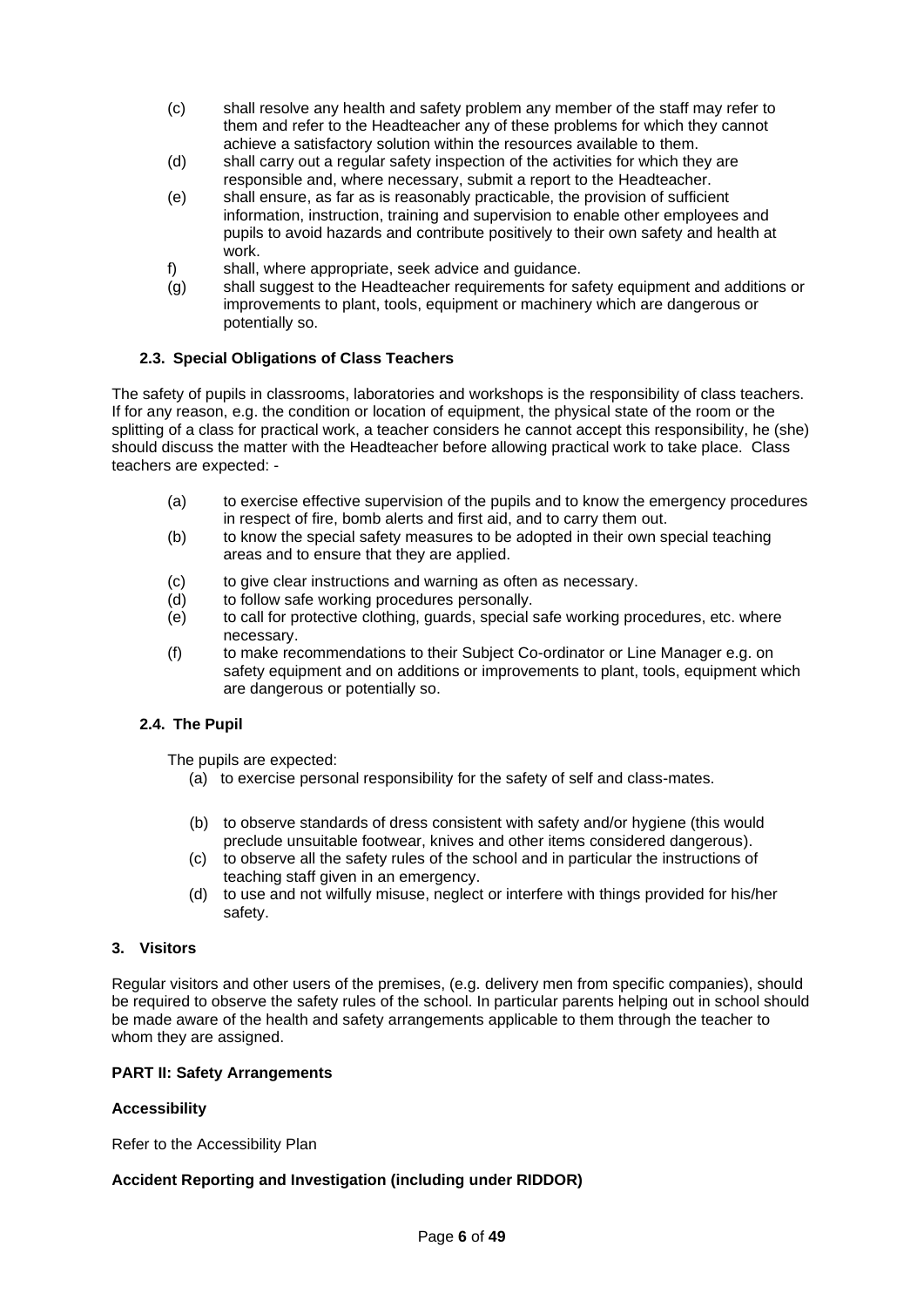- (c) shall resolve any health and safety problem any member of the staff may refer to them and refer to the Headteacher any of these problems for which they cannot achieve a satisfactory solution within the resources available to them.
- (d) shall carry out a regular safety inspection of the activities for which they are responsible and, where necessary, submit a report to the Headteacher.
- (e) shall ensure, as far as is reasonably practicable, the provision of sufficient information, instruction, training and supervision to enable other employees and pupils to avoid hazards and contribute positively to their own safety and health at work.
- f) shall, where appropriate, seek advice and guidance.
- (g) shall suggest to the Headteacher requirements for safety equipment and additions or improvements to plant, tools, equipment or machinery which are dangerous or potentially so.

## <span id="page-5-0"></span>**2.3. Special Obligations of Class Teachers**

The safety of pupils in classrooms, laboratories and workshops is the responsibility of class teachers. If for any reason, e.g. the condition or location of equipment, the physical state of the room or the splitting of a class for practical work, a teacher considers he cannot accept this responsibility, he (she) should discuss the matter with the Headteacher before allowing practical work to take place. Class teachers are expected: -

- (a) to exercise effective supervision of the pupils and to know the emergency procedures in respect of fire, bomb alerts and first aid, and to carry them out.
- (b) to know the special safety measures to be adopted in their own special teaching areas and to ensure that they are applied.
- (c) to give clear instructions and warning as often as necessary.
- (d) to follow safe working procedures personally.
- (e) to call for protective clothing, guards, special safe working procedures, etc. where necessary.
- (f) to make recommendations to their Subject Co-ordinator or Line Manager e.g. on safety equipment and on additions or improvements to plant, tools, equipment which are dangerous or potentially so.

## <span id="page-5-1"></span>**2.4. The Pupil**

The pupils are expected:

- (a) to exercise personal responsibility for the safety of self and class-mates.
- (b) to observe standards of dress consistent with safety and/or hygiene (this would preclude unsuitable footwear, knives and other items considered dangerous).
- (c) to observe all the safety rules of the school and in particular the instructions of teaching staff given in an emergency.
- (d) to use and not wilfully misuse, neglect or interfere with things provided for his/her safety.

### <span id="page-5-2"></span>**3. Visitors**

Regular visitors and other users of the premises, (e.g. delivery men from specific companies), should be required to observe the safety rules of the school. In particular parents helping out in school should be made aware of the health and safety arrangements applicable to them through the teacher to whom they are assigned.

#### <span id="page-5-3"></span>**PART II: Safety Arrangements**

#### <span id="page-5-4"></span>**Accessibility**

Refer to the Accessibility Plan

## **Accident Reporting and Investigation (including under RIDDOR)**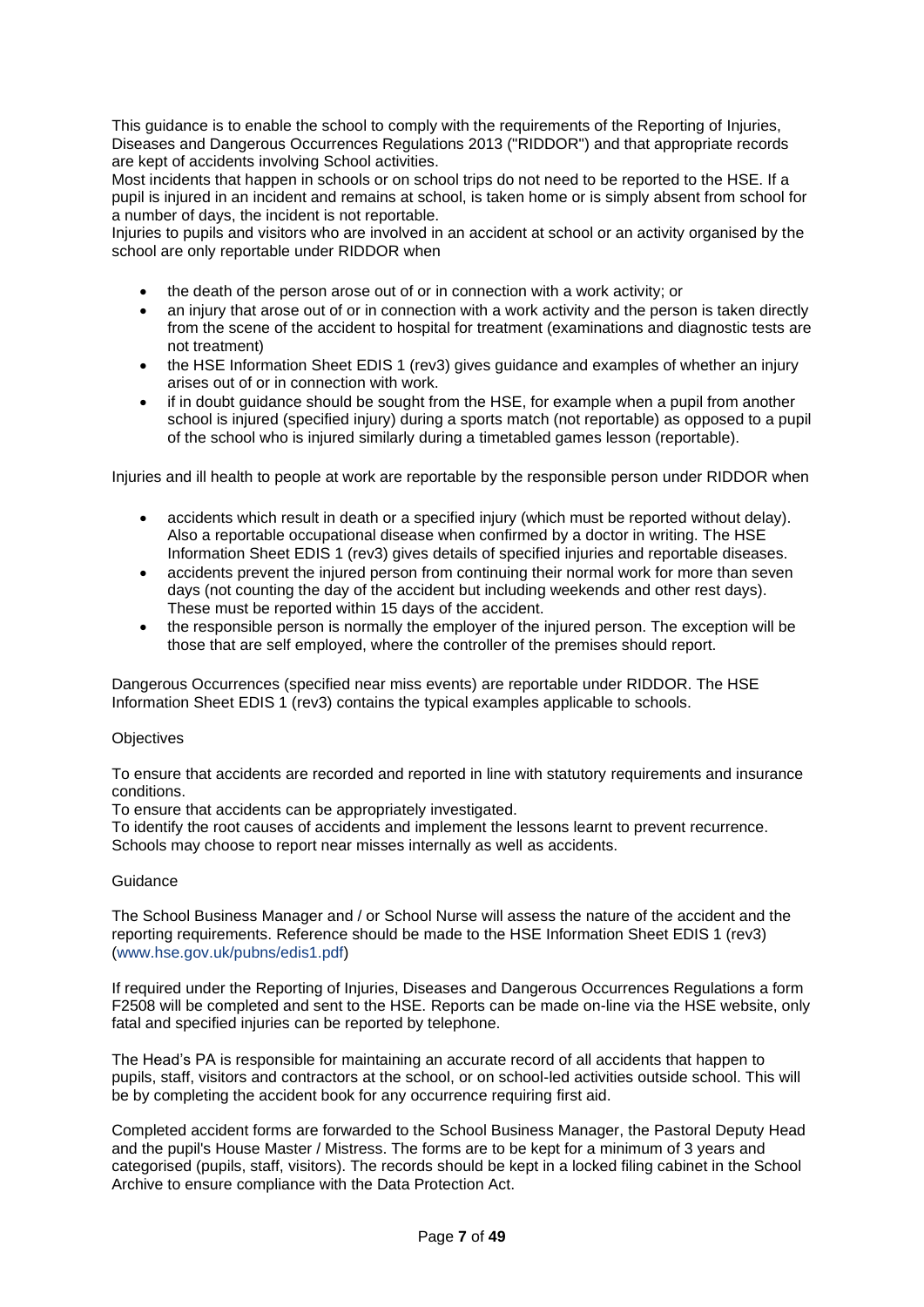This guidance is to enable the school to comply with the requirements of the Reporting of Injuries, Diseases and Dangerous Occurrences Regulations 2013 ("RIDDOR") and that appropriate records are kept of accidents involving School activities.

Most incidents that happen in schools or on school trips do not need to be reported to the HSE. If a pupil is injured in an incident and remains at school, is taken home or is simply absent from school for a number of days, the incident is not reportable.

Injuries to pupils and visitors who are involved in an accident at school or an activity organised by the school are only reportable under RIDDOR when

- the death of the person arose out of or in connection with a work activity; or
- an injury that arose out of or in connection with a work activity and the person is taken directly from the scene of the accident to hospital for treatment (examinations and diagnostic tests are not treatment)
- the HSE Information Sheet EDIS 1 (rev3) gives guidance and examples of whether an injury arises out of or in connection with work.
- if in doubt guidance should be sought from the HSE, for example when a pupil from another school is injured (specified injury) during a sports match (not reportable) as opposed to a pupil of the school who is injured similarly during a timetabled games lesson (reportable).

Injuries and ill health to people at work are reportable by the responsible person under RIDDOR when

- accidents which result in death or a specified injury (which must be reported without delay). Also a reportable occupational disease when confirmed by a doctor in writing. The HSE Information Sheet EDIS 1 (rev3) gives details of specified injuries and reportable diseases.
- accidents prevent the injured person from continuing their normal work for more than seven days (not counting the day of the accident but including weekends and other rest days). These must be reported within 15 days of the accident.
- the responsible person is normally the employer of the injured person. The exception will be those that are self employed, where the controller of the premises should report.

Dangerous Occurrences (specified near miss events) are reportable under RIDDOR. The HSE Information Sheet EDIS 1 (rev3) contains the typical examples applicable to schools.

#### **Objectives**

To ensure that accidents are recorded and reported in line with statutory requirements and insurance conditions.

To ensure that accidents can be appropriately investigated.

To identify the root causes of accidents and implement the lessons learnt to prevent recurrence. Schools may choose to report near misses internally as well as accidents.

#### Guidance

The School Business Manager and / or School Nurse will assess the nature of the accident and the reporting requirements. Reference should be made to the HSE Information Sheet EDIS 1 (rev3) [\(www.hse.gov.uk/pubns/edis1.pdf\)](http://www.hse.gov.uk/pubns/edis1.pdf)

If required under the Reporting of Injuries, Diseases and Dangerous Occurrences Regulations a form F2508 will be completed and sent to the HSE. Reports can be made on-line via the HSE website, only fatal and specified injuries can be reported by telephone.

The Head's PA is responsible for maintaining an accurate record of all accidents that happen to pupils, staff, visitors and contractors at the school, or on school-led activities outside school. This will be by completing the accident book for any occurrence requiring first aid.

Completed accident forms are forwarded to the School Business Manager, the Pastoral Deputy Head and the pupil's House Master / Mistress. The forms are to be kept for a minimum of 3 years and categorised (pupils, staff, visitors). The records should be kept in a locked filing cabinet in the School Archive to ensure compliance with the Data Protection Act.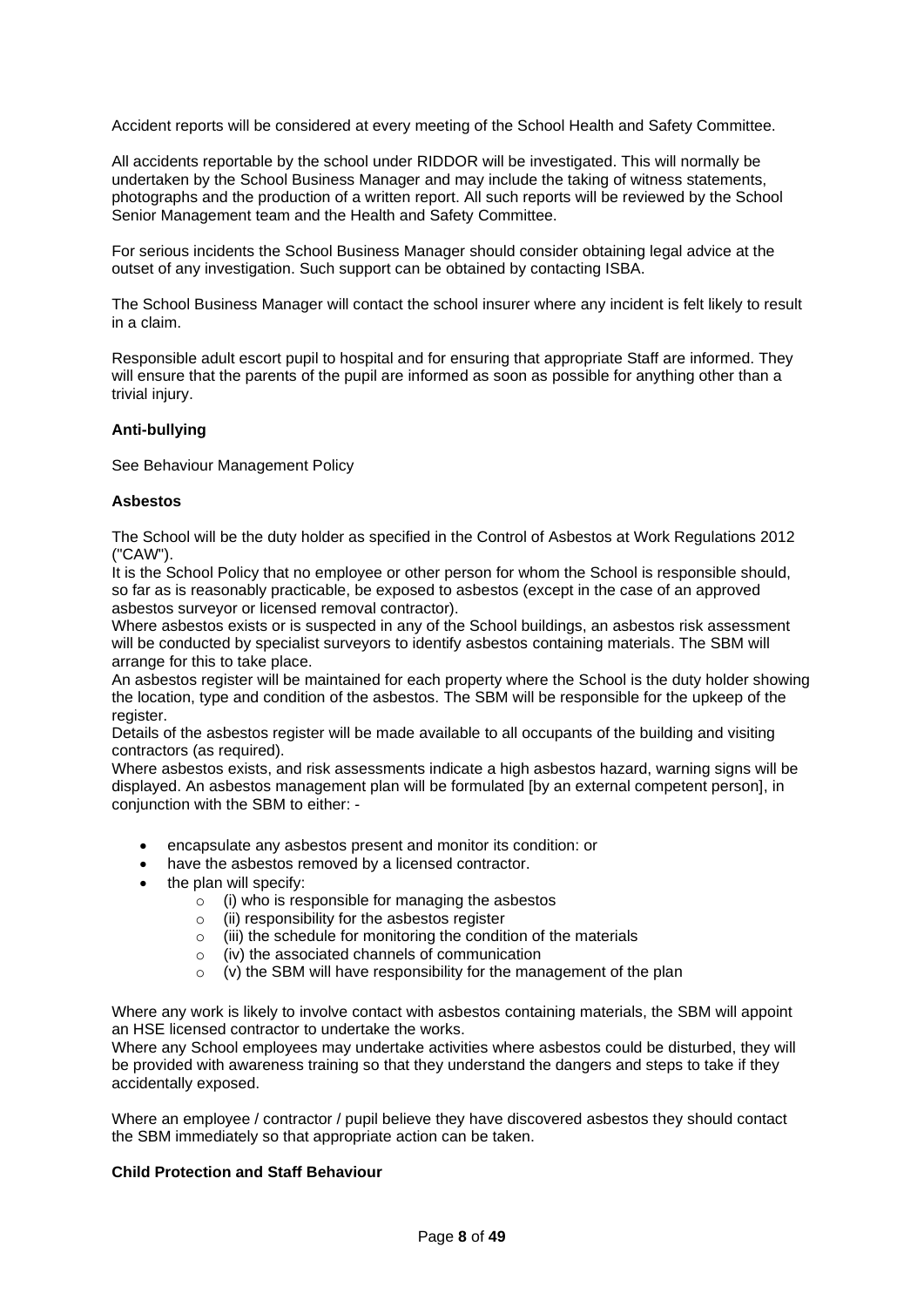Accident reports will be considered at every meeting of the School Health and Safety Committee.

All accidents reportable by the school under RIDDOR will be investigated. This will normally be undertaken by the School Business Manager and may include the taking of witness statements, photographs and the production of a written report. All such reports will be reviewed by the School Senior Management team and the Health and Safety Committee.

For serious incidents the School Business Manager should consider obtaining legal advice at the outset of any investigation. Such support can be obtained by contacting ISBA.

The School Business Manager will contact the school insurer where any incident is felt likely to result in a claim.

Responsible adult escort pupil to hospital and for ensuring that appropriate Staff are informed. They will ensure that the parents of the pupil are informed as soon as possible for anything other than a trivial injury.

### <span id="page-7-0"></span>**Anti-bullying**

See Behaviour Management Policy

### <span id="page-7-1"></span>**Asbestos**

The School will be the duty holder as specified in the Control of Asbestos at Work Regulations 2012 ("CAW").

It is the School Policy that no employee or other person for whom the School is responsible should, so far as is reasonably practicable, be exposed to asbestos (except in the case of an approved asbestos surveyor or licensed removal contractor).

Where asbestos exists or is suspected in any of the School buildings, an asbestos risk assessment will be conducted by specialist surveyors to identify asbestos containing materials. The SBM will arrange for this to take place.

An asbestos register will be maintained for each property where the School is the duty holder showing the location, type and condition of the asbestos. The SBM will be responsible for the upkeep of the register.

Details of the asbestos register will be made available to all occupants of the building and visiting contractors (as required).

Where asbestos exists, and risk assessments indicate a high asbestos hazard, warning signs will be displayed. An asbestos management plan will be formulated [by an external competent person], in conjunction with the SBM to either: -

- encapsulate any asbestos present and monitor its condition: or
- have the asbestos removed by a licensed contractor.
- the plan will specify:
	- $\circ$  (i) who is responsible for managing the asbestos
	- (ii) responsibility for the asbestos register
	- (iii) the schedule for monitoring the condition of the materials
	- o (iv) the associated channels of communication
	- $(v)$  the SBM will have responsibility for the management of the plan

Where any work is likely to involve contact with asbestos containing materials, the SBM will appoint an HSE licensed contractor to undertake the works.

Where any School employees may undertake activities where asbestos could be disturbed, they will be provided with awareness training so that they understand the dangers and steps to take if they accidentally exposed.

Where an employee / contractor / pupil believe they have discovered asbestos they should contact the SBM immediately so that appropriate action can be taken.

#### <span id="page-7-2"></span>**Child Protection and Staff Behaviour**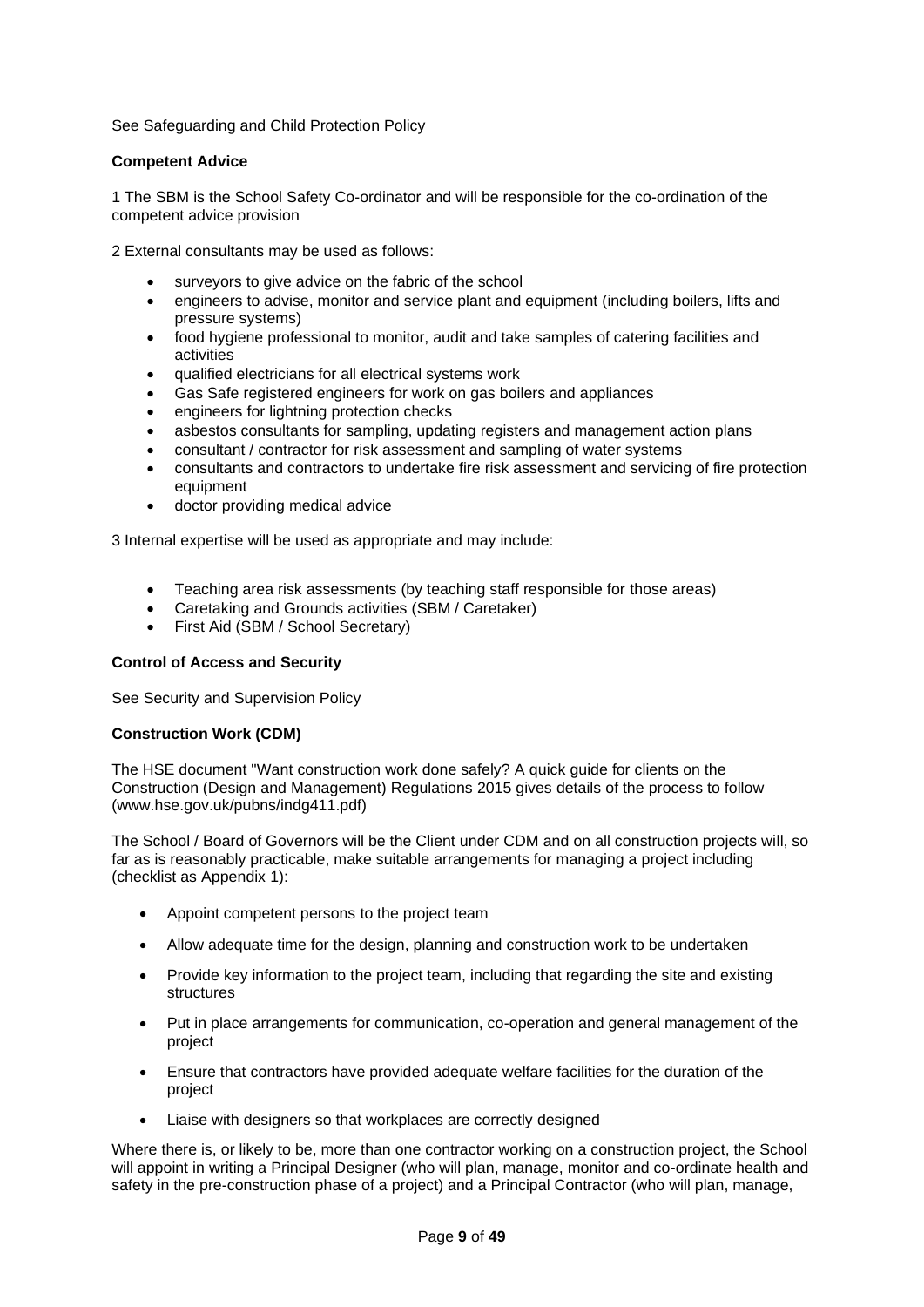See Safeguarding and Child Protection Policy

### <span id="page-8-0"></span>**Competent Advice**

1 The SBM is the School Safety Co-ordinator and will be responsible for the co-ordination of the competent advice provision

2 External consultants may be used as follows:

- surveyors to give advice on the fabric of the school
- engineers to advise, monitor and service plant and equipment (including boilers, lifts and pressure systems)
- food hygiene professional to monitor, audit and take samples of catering facilities and activities
- qualified electricians for all electrical systems work
- Gas Safe registered engineers for work on gas boilers and appliances
- engineers for lightning protection checks
- asbestos consultants for sampling, updating registers and management action plans
- consultant / contractor for risk assessment and sampling of water systems
- consultants and contractors to undertake fire risk assessment and servicing of fire protection equipment
- doctor providing medical advice

3 Internal expertise will be used as appropriate and may include:

- Teaching area risk assessments (by teaching staff responsible for those areas)
- Caretaking and Grounds activities (SBM / Caretaker)
- First Aid (SBM / School Secretary)

## <span id="page-8-1"></span>**Control of Access and Security**

See Security and Supervision Policy

#### <span id="page-8-2"></span>**Construction Work (CDM)**

The HSE document "Want construction work done safely? A quick guide for clients on the Construction (Design and Management) Regulations 2015 gives details of the process to follow (www.hse.gov.uk/pubns/indg411.pdf)

The School / Board of Governors will be the Client under CDM and on all construction projects will, so far as is reasonably practicable, make suitable arrangements for managing a project including (checklist as Appendix 1):

- Appoint competent persons to the project team
- Allow adequate time for the design, planning and construction work to be undertaken
- Provide key information to the project team, including that regarding the site and existing structures
- Put in place arrangements for communication, co-operation and general management of the project
- Ensure that contractors have provided adequate welfare facilities for the duration of the project
- Liaise with designers so that workplaces are correctly designed

Where there is, or likely to be, more than one contractor working on a construction project, the School will appoint in writing a Principal Designer (who will plan, manage, monitor and co-ordinate health and safety in the pre-construction phase of a project) and a Principal Contractor (who will plan, manage,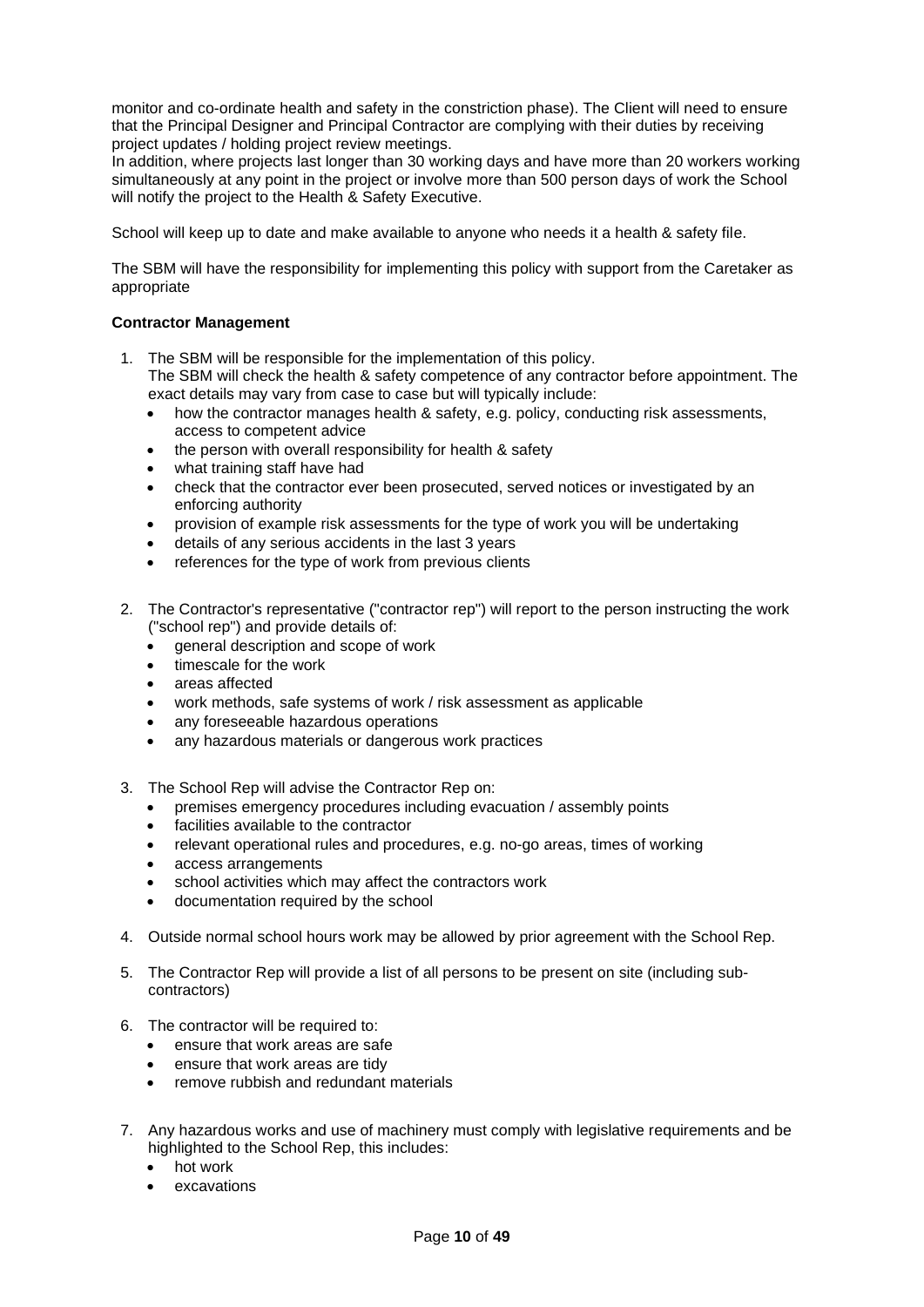monitor and co-ordinate health and safety in the constriction phase). The Client will need to ensure that the Principal Designer and Principal Contractor are complying with their duties by receiving project updates / holding project review meetings.

In addition, where projects last longer than 30 working days and have more than 20 workers working simultaneously at any point in the project or involve more than 500 person days of work the School will notify the project to the Health & Safety Executive.

School will keep up to date and make available to anyone who needs it a health & safety file.

The SBM will have the responsibility for implementing this policy with support from the Caretaker as appropriate

## <span id="page-9-0"></span>**Contractor Management**

1. The SBM will be responsible for the implementation of this policy.

The SBM will check the health & safety competence of any contractor before appointment. The exact details may vary from case to case but will typically include:

- how the contractor manages health & safety, e.g. policy, conducting risk assessments, access to competent advice
- the person with overall responsibility for health & safety
- what training staff have had
- check that the contractor ever been prosecuted, served notices or investigated by an enforcing authority
- provision of example risk assessments for the type of work you will be undertaking
- details of any serious accidents in the last 3 years
- references for the type of work from previous clients
- 2. The Contractor's representative ("contractor rep") will report to the person instructing the work ("school rep") and provide details of:
	- general description and scope of work
	- timescale for the work
	- areas affected
	- work methods, safe systems of work / risk assessment as applicable
	- any foreseeable hazardous operations
	- any hazardous materials or dangerous work practices
- 3. The School Rep will advise the Contractor Rep on:
	- premises emergency procedures including evacuation / assembly points
	- facilities available to the contractor
	- relevant operational rules and procedures, e.g. no-go areas, times of working
	- access arrangements
	- school activities which may affect the contractors work
	- documentation required by the school
- 4. Outside normal school hours work may be allowed by prior agreement with the School Rep.
- 5. The Contractor Rep will provide a list of all persons to be present on site (including subcontractors)
- 6. The contractor will be required to:
	- ensure that work areas are safe
	- ensure that work areas are tidy
	- remove rubbish and redundant materials
- 7. Any hazardous works and use of machinery must comply with legislative requirements and be highlighted to the School Rep, this includes:
	- hot work
	- **excavations**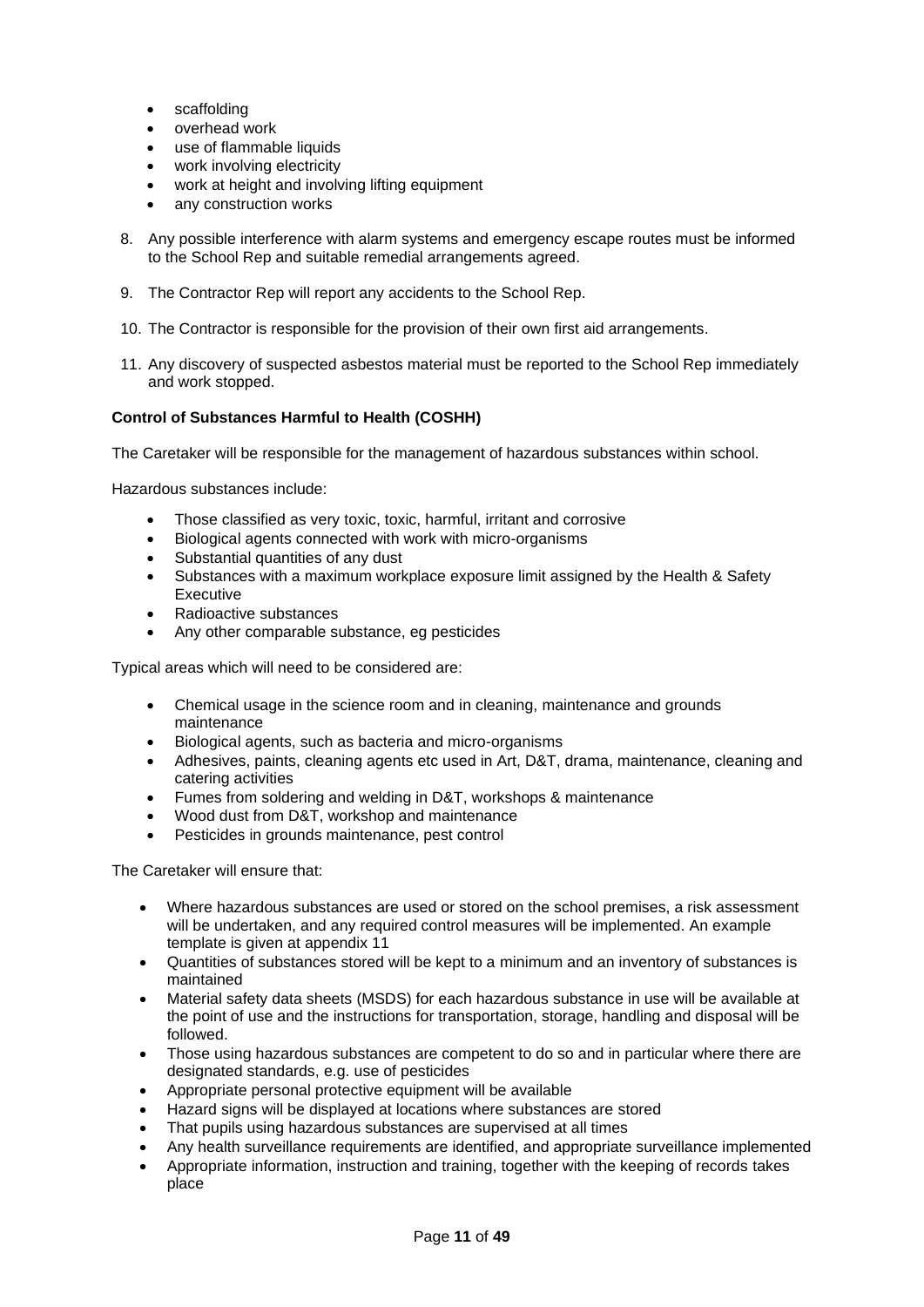- scaffolding
- overhead work
- use of flammable liquids
- work involving electricity
- work at height and involving lifting equipment
- any construction works
- 8. Any possible interference with alarm systems and emergency escape routes must be informed to the School Rep and suitable remedial arrangements agreed.
- 9. The Contractor Rep will report any accidents to the School Rep.
- 10. The Contractor is responsible for the provision of their own first aid arrangements.
- 11. Any discovery of suspected asbestos material must be reported to the School Rep immediately and work stopped.

## <span id="page-10-0"></span>**Control of Substances Harmful to Health (COSHH)**

The Caretaker will be responsible for the management of hazardous substances within school.

Hazardous substances include:

- Those classified as very toxic, toxic, harmful, irritant and corrosive
- Biological agents connected with work with micro-organisms
- Substantial quantities of any dust
- Substances with a maximum workplace exposure limit assigned by the Health & Safety Executive
- Radioactive substances
- Any other comparable substance, eg pesticides

Typical areas which will need to be considered are:

- Chemical usage in the science room and in cleaning, maintenance and grounds maintenance
- Biological agents, such as bacteria and micro-organisms
- Adhesives, paints, cleaning agents etc used in Art, D&T, drama, maintenance, cleaning and catering activities
- Fumes from soldering and welding in D&T, workshops & maintenance
- Wood dust from D&T, workshop and maintenance
- Pesticides in grounds maintenance, pest control

The Caretaker will ensure that:

- Where hazardous substances are used or stored on the school premises, a risk assessment will be undertaken, and any required control measures will be implemented. An example template is given at appendix 11
- Quantities of substances stored will be kept to a minimum and an inventory of substances is maintained
- Material safety data sheets (MSDS) for each hazardous substance in use will be available at the point of use and the instructions for transportation, storage, handling and disposal will be followed.
- Those using hazardous substances are competent to do so and in particular where there are designated standards, e.g. use of pesticides
- Appropriate personal protective equipment will be available
- Hazard signs will be displayed at locations where substances are stored
- That pupils using hazardous substances are supervised at all times
- Any health surveillance requirements are identified, and appropriate surveillance implemented
- Appropriate information, instruction and training, together with the keeping of records takes place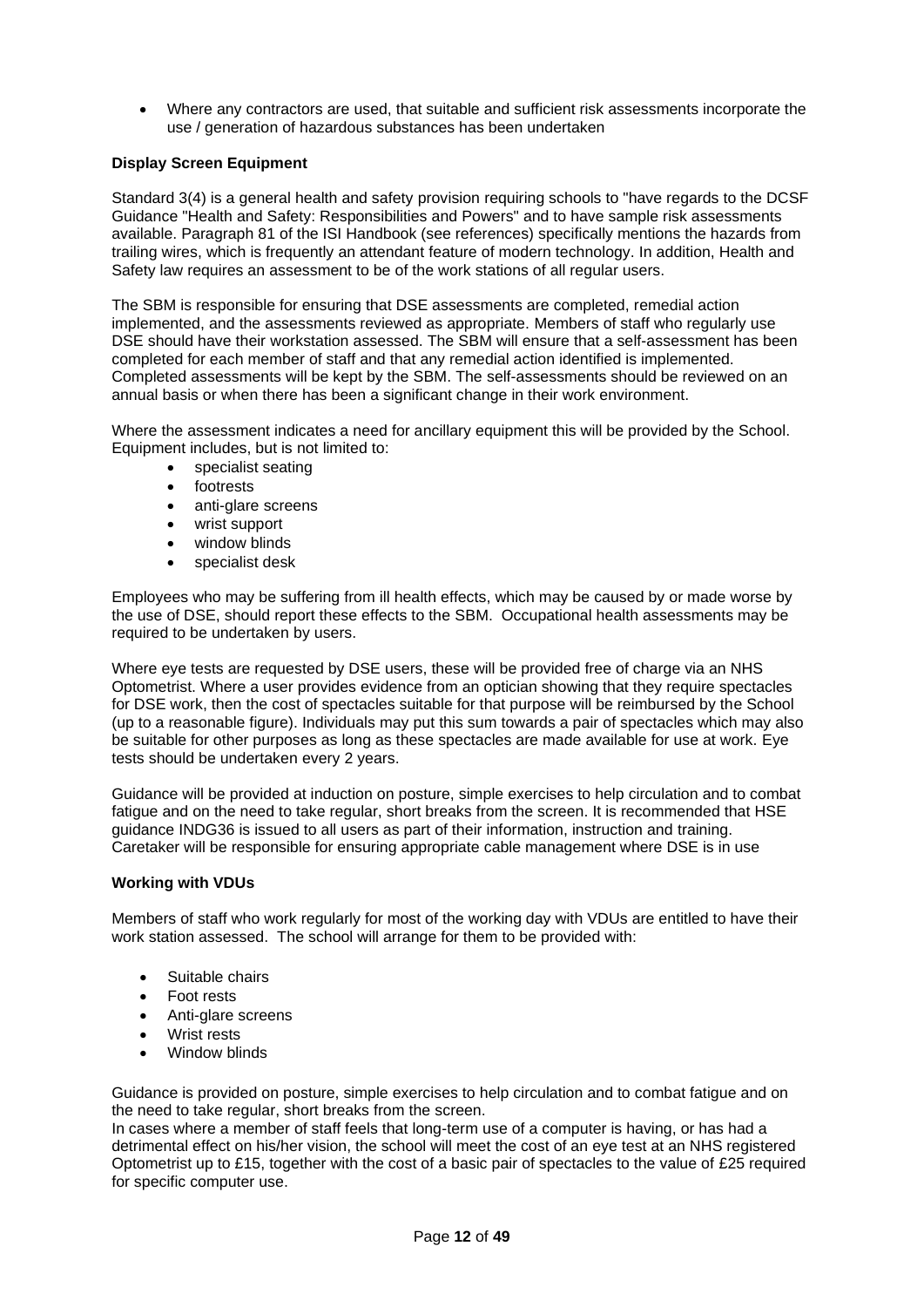• Where any contractors are used, that suitable and sufficient risk assessments incorporate the use / generation of hazardous substances has been undertaken

#### <span id="page-11-0"></span>**Display Screen Equipment**

Standard 3(4) is a general health and safety provision requiring schools to "have regards to the DCSF Guidance "Health and Safety: Responsibilities and Powers" and to have sample risk assessments available. Paragraph 81 of the ISI Handbook (see references) specifically mentions the hazards from trailing wires, which is frequently an attendant feature of modern technology. In addition, Health and Safety law requires an assessment to be of the work stations of all regular users.

The SBM is responsible for ensuring that DSE assessments are completed, remedial action implemented, and the assessments reviewed as appropriate. Members of staff who regularly use DSE should have their workstation assessed. The SBM will ensure that a self-assessment has been completed for each member of staff and that any remedial action identified is implemented. Completed assessments will be kept by the SBM. The self-assessments should be reviewed on an annual basis or when there has been a significant change in their work environment.

Where the assessment indicates a need for ancillary equipment this will be provided by the School. Equipment includes, but is not limited to:

- specialist seating
- footrests
- anti-glare screens
- wrist support
- window blinds
- specialist desk

Employees who may be suffering from ill health effects, which may be caused by or made worse by the use of DSE, should report these effects to the SBM. Occupational health assessments may be required to be undertaken by users.

Where eye tests are requested by DSE users, these will be provided free of charge via an NHS Optometrist. Where a user provides evidence from an optician showing that they require spectacles for DSE work, then the cost of spectacles suitable for that purpose will be reimbursed by the School (up to a reasonable figure). Individuals may put this sum towards a pair of spectacles which may also be suitable for other purposes as long as these spectacles are made available for use at work. Eye tests should be undertaken every 2 years.

Guidance will be provided at induction on posture, simple exercises to help circulation and to combat fatigue and on the need to take regular, short breaks from the screen. It is recommended that HSE guidance INDG36 is issued to all users as part of their information, instruction and training. Caretaker will be responsible for ensuring appropriate cable management where DSE is in use

#### **Working with VDUs**

Members of staff who work regularly for most of the working day with VDUs are entitled to have their work station assessed. The school will arrange for them to be provided with:

- Suitable chairs
- Foot rests
- Anti-glare screens
- Wrist rests
- Window blinds

Guidance is provided on posture, simple exercises to help circulation and to combat fatigue and on the need to take regular, short breaks from the screen.

In cases where a member of staff feels that long-term use of a computer is having, or has had a detrimental effect on his/her vision, the school will meet the cost of an eye test at an NHS registered Optometrist up to £15, together with the cost of a basic pair of spectacles to the value of £25 required for specific computer use.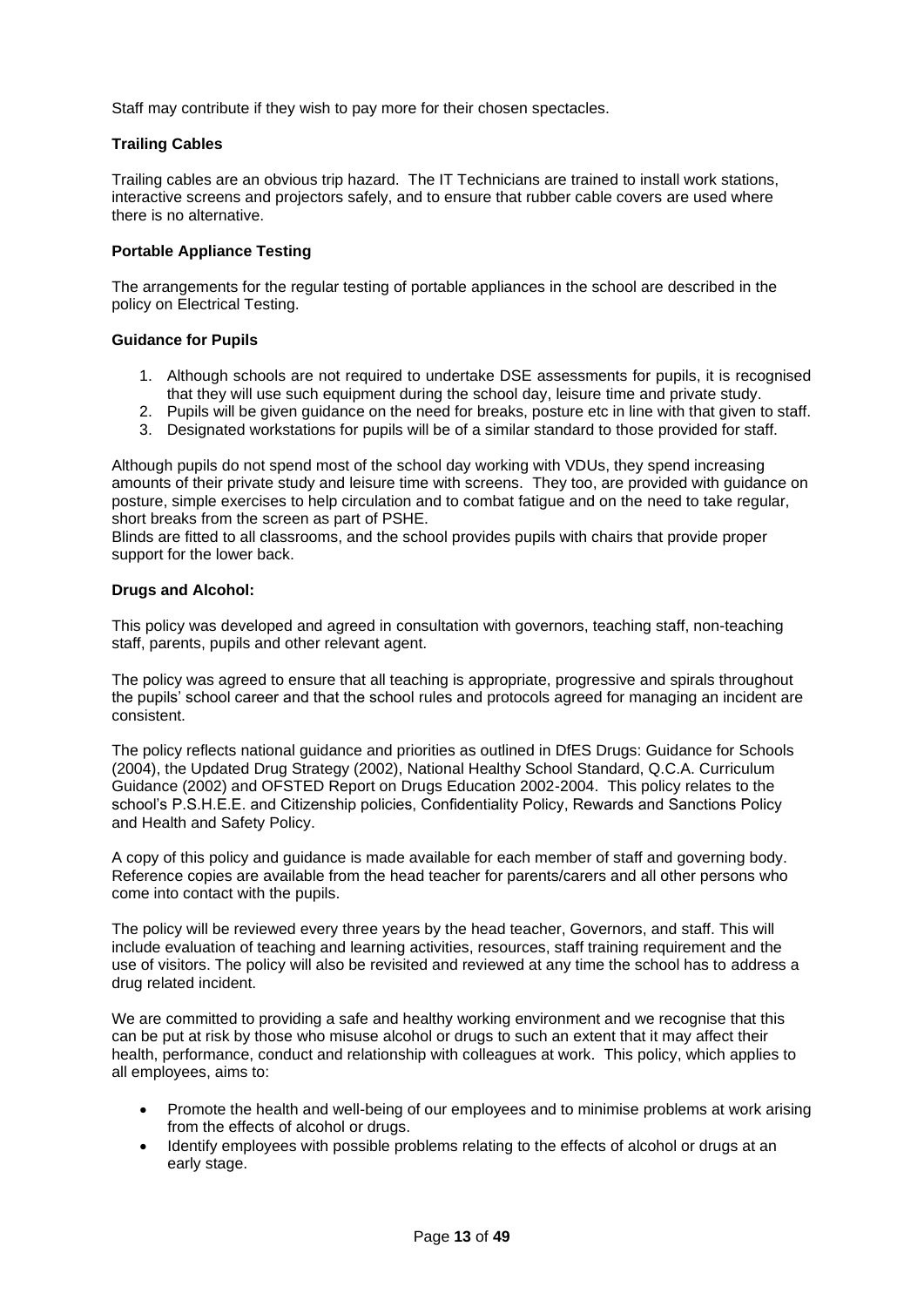Staff may contribute if they wish to pay more for their chosen spectacles.

## **Trailing Cables**

Trailing cables are an obvious trip hazard. The IT Technicians are trained to install work stations, interactive screens and projectors safely, and to ensure that rubber cable covers are used where there is no alternative.

## **Portable Appliance Testing**

The arrangements for the regular testing of portable appliances in the school are described in the policy on Electrical Testing.

### **Guidance for Pupils**

- 1. Although schools are not required to undertake DSE assessments for pupils, it is recognised that they will use such equipment during the school day, leisure time and private study.
- 2. Pupils will be given guidance on the need for breaks, posture etc in line with that given to staff.
- 3. Designated workstations for pupils will be of a similar standard to those provided for staff.

Although pupils do not spend most of the school day working with VDUs, they spend increasing amounts of their private study and leisure time with screens. They too, are provided with guidance on posture, simple exercises to help circulation and to combat fatigue and on the need to take regular, short breaks from the screen as part of PSHE.

Blinds are fitted to all classrooms, and the school provides pupils with chairs that provide proper support for the lower back.

### <span id="page-12-0"></span>**Drugs and Alcohol:**

This policy was developed and agreed in consultation with governors, teaching staff, non-teaching staff, parents, pupils and other relevant agent.

The policy was agreed to ensure that all teaching is appropriate, progressive and spirals throughout the pupils' school career and that the school rules and protocols agreed for managing an incident are consistent.

The policy reflects national guidance and priorities as outlined in DfES Drugs: Guidance for Schools (2004), the Updated Drug Strategy (2002), National Healthy School Standard, Q.C.A. Curriculum Guidance (2002) and OFSTED Report on Drugs Education 2002-2004. This policy relates to the school's P.S.H.E.E. and Citizenship policies, Confidentiality Policy, Rewards and Sanctions Policy and Health and Safety Policy.

A copy of this policy and guidance is made available for each member of staff and governing body. Reference copies are available from the head teacher for parents/carers and all other persons who come into contact with the pupils.

The policy will be reviewed every three years by the head teacher, Governors, and staff. This will include evaluation of teaching and learning activities, resources, staff training requirement and the use of visitors. The policy will also be revisited and reviewed at any time the school has to address a drug related incident.

We are committed to providing a safe and healthy working environment and we recognise that this can be put at risk by those who misuse alcohol or drugs to such an extent that it may affect their health, performance, conduct and relationship with colleagues at work. This policy, which applies to all employees, aims to:

- Promote the health and well-being of our employees and to minimise problems at work arising from the effects of alcohol or drugs.
- Identify employees with possible problems relating to the effects of alcohol or drugs at an early stage.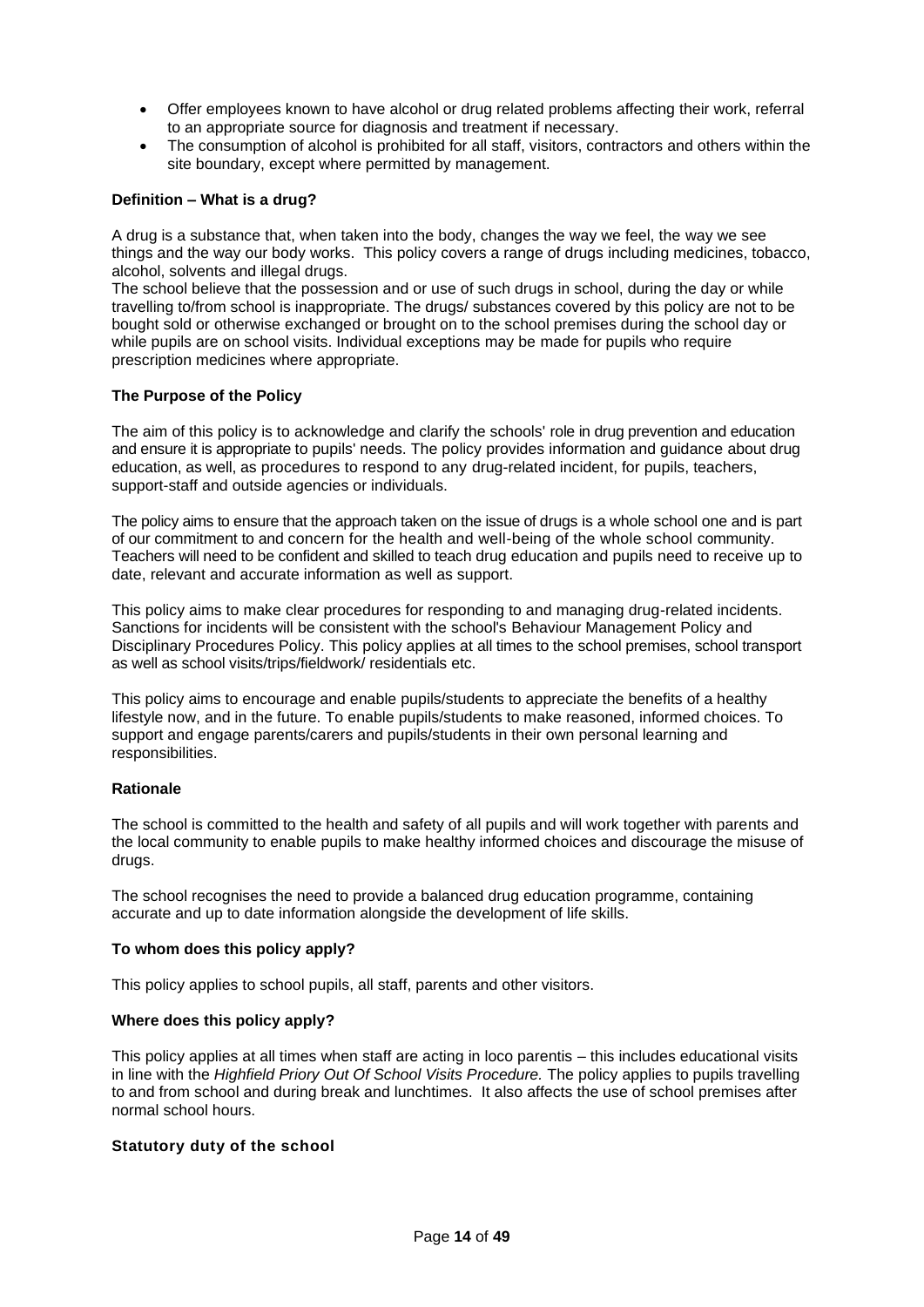- Offer employees known to have alcohol or drug related problems affecting their work, referral to an appropriate source for diagnosis and treatment if necessary.
- The consumption of alcohol is prohibited for all staff, visitors, contractors and others within the site boundary, except where permitted by management.

### **Definition – What is a drug?**

A drug is a substance that, when taken into the body, changes the way we feel, the way we see things and the way our body works. This policy covers a range of drugs including medicines, tobacco, alcohol, solvents and illegal drugs.

The school believe that the possession and or use of such drugs in school, during the day or while travelling to/from school is inappropriate. The drugs/ substances covered by this policy are not to be bought sold or otherwise exchanged or brought on to the school premises during the school day or while pupils are on school visits. Individual exceptions may be made for pupils who require prescription medicines where appropriate.

#### **The Purpose of the Policy**

The aim of this policy is to acknowledge and clarify the schools' role in drug prevention and education and ensure it is appropriate to pupils' needs. The policy provides information and guidance about drug education, as well, as procedures to respond to any drug-related incident, for pupils, teachers, support-staff and outside agencies or individuals.

The policy aims to ensure that the approach taken on the issue of drugs is a whole school one and is part of our commitment to and concern for the health and well-being of the whole school community. Teachers will need to be confident and skilled to teach drug education and pupils need to receive up to date, relevant and accurate information as well as support.

This policy aims to make clear procedures for responding to and managing drug-related incidents. Sanctions for incidents will be consistent with the school's Behaviour Management Policy and Disciplinary Procedures Policy. This policy applies at all times to the school premises, school transport as well as school visits/trips/fieldwork/ residentials etc.

This policy aims to encourage and enable pupils/students to appreciate the benefits of a healthy lifestyle now, and in the future. To enable pupils/students to make reasoned, informed choices. To support and engage parents/carers and pupils/students in their own personal learning and responsibilities.

#### **Rationale**

The school is committed to the health and safety of all pupils and will work together with parents and the local community to enable pupils to make healthy informed choices and discourage the misuse of drugs.

The school recognises the need to provide a balanced drug education programme, containing accurate and up to date information alongside the development of life skills.

#### **To whom does this policy apply?**

This policy applies to school pupils, all staff, parents and other visitors.

#### **Where does this policy apply?**

This policy applies at all times when staff are acting in loco parentis – this includes educational visits in line with the *Highfield Priory Out Of School Visits Procedure.* The policy applies to pupils travelling to and from school and during break and lunchtimes. It also affects the use of school premises after normal school hours.

#### **Statutory duty of the school**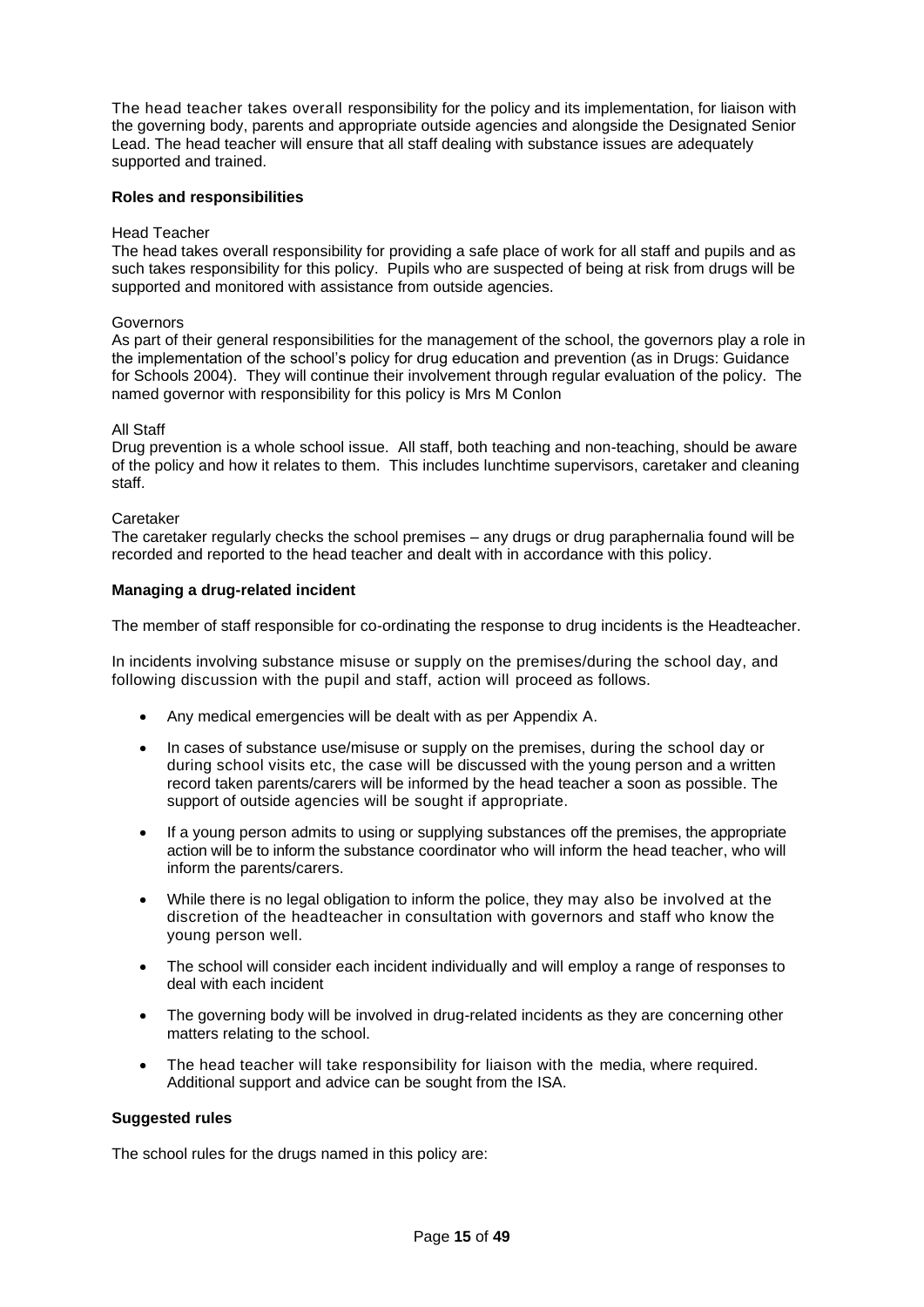The head teacher takes overall responsibility for the policy and its implementation, for liaison with the governing body, parents and appropriate outside agencies and alongside the Designated Senior Lead. The head teacher will ensure that all staff dealing with substance issues are adequately supported and trained.

#### **Roles and responsibilities**

#### Head Teacher

The head takes overall responsibility for providing a safe place of work for all staff and pupils and as such takes responsibility for this policy. Pupils who are suspected of being at risk from drugs will be supported and monitored with assistance from outside agencies.

#### Governors

As part of their general responsibilities for the management of the school, the governors play a role in the implementation of the school's policy for drug education and prevention (as in Drugs: Guidance for Schools 2004). They will continue their involvement through regular evaluation of the policy. The named governor with responsibility for this policy is Mrs M Conlon

#### All Staff

Drug prevention is a whole school issue. All staff, both teaching and non-teaching, should be aware of the policy and how it relates to them. This includes lunchtime supervisors, caretaker and cleaning staff.

#### Caretaker

The caretaker regularly checks the school premises – any drugs or drug paraphernalia found will be recorded and reported to the head teacher and dealt with in accordance with this policy.

#### **Managing a drug-related incident**

The member of staff responsible for co-ordinating the response to drug incidents is the Headteacher.

In incidents involving substance misuse or supply on the premises/during the school day, and following discussion with the pupil and staff, action will proceed as follows.

- Any medical emergencies will be dealt with as per Appendix A.
- In cases of substance use/misuse or supply on the premises, during the school day or during school visits etc, the case will be discussed with the young person and a written record taken parents/carers will be informed by the head teacher a soon as possible. The support of outside agencies will be sought if appropriate.
- If a young person admits to using or supplying substances off the premises, the appropriate action will be to inform the substance coordinator who will inform the head teacher, who will inform the parents/carers.
- While there is no legal obligation to inform the police, they may also be involved at the discretion of the headteacher in consultation with governors and staff who know the young person well.
- The school will consider each incident individually and will employ a range of responses to deal with each incident
- The governing body will be involved in drug-related incidents as they are concerning other matters relating to the school.
- The head teacher will take responsibility for liaison with the media, where required. Additional support and advice can be sought from the ISA.

#### **Suggested rules**

The school rules for the drugs named in this policy are: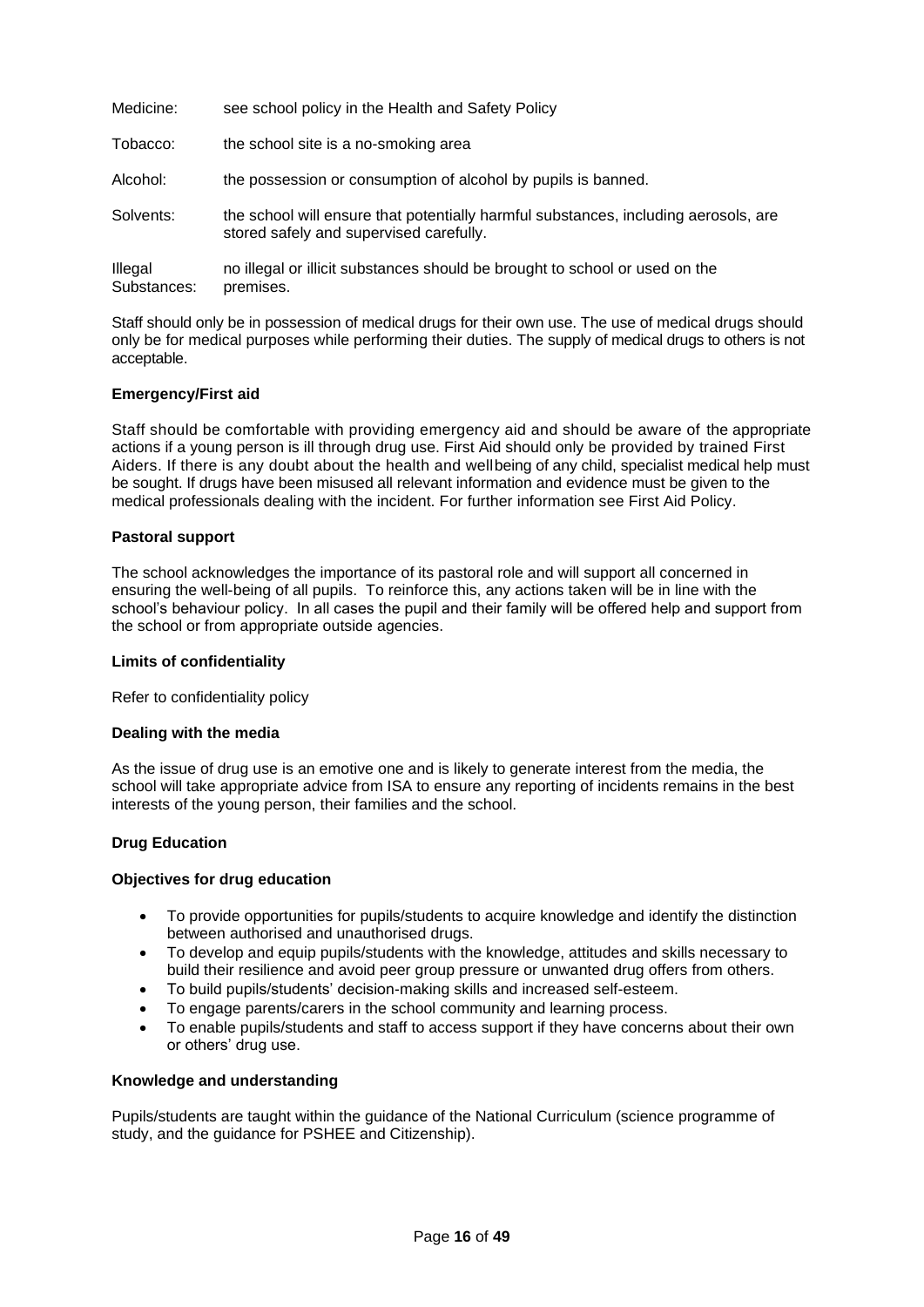| Medicine:              | see school policy in the Health and Safety Policy                                                                              |
|------------------------|--------------------------------------------------------------------------------------------------------------------------------|
| Tobacco:               | the school site is a no-smoking area                                                                                           |
| Alcohol:               | the possession or consumption of alcohol by pupils is banned.                                                                  |
| Solvents:              | the school will ensure that potentially harmful substances, including aerosols, are<br>stored safely and supervised carefully. |
| Illegal<br>Substances: | no illegal or illicit substances should be brought to school or used on the<br>premises.                                       |

Staff should only be in possession of medical drugs for their own use. The use of medical drugs should only be for medical purposes while performing their duties. The supply of medical drugs to others is not acceptable.

## **Emergency/First aid**

Staff should be comfortable with providing emergency aid and should be aware of the appropriate actions if a young person is ill through drug use. First Aid should only be provided by trained First Aiders. If there is any doubt about the health and wellbeing of any child, specialist medical help must be sought. If drugs have been misused all relevant information and evidence must be given to the medical professionals dealing with the incident. For further information see First Aid Policy.

#### **Pastoral support**

The school acknowledges the importance of its pastoral role and will support all concerned in ensuring the well-being of all pupils. To reinforce this, any actions taken will be in line with the school's behaviour policy. In all cases the pupil and their family will be offered help and support from the school or from appropriate outside agencies.

#### **Limits of confidentiality**

Refer to confidentiality policy

#### **Dealing with the media**

As the issue of drug use is an emotive one and is likely to generate interest from the media, the school will take appropriate advice from ISA to ensure any reporting of incidents remains in the best interests of the young person, their families and the school.

## <span id="page-15-0"></span>**Drug Education**

#### **Objectives for drug education**

- To provide opportunities for pupils/students to acquire knowledge and identify the distinction between authorised and unauthorised drugs.
- To develop and equip pupils/students with the knowledge, attitudes and skills necessary to build their resilience and avoid peer group pressure or unwanted drug offers from others.
- To build pupils/students' decision-making skills and increased self-esteem.
- To engage parents/carers in the school community and learning process.
- To enable pupils/students and staff to access support if they have concerns about their own or others' drug use.

#### **Knowledge and understanding**

Pupils/students are taught within the guidance of the National Curriculum (science programme of study, and the guidance for PSHEE and Citizenship).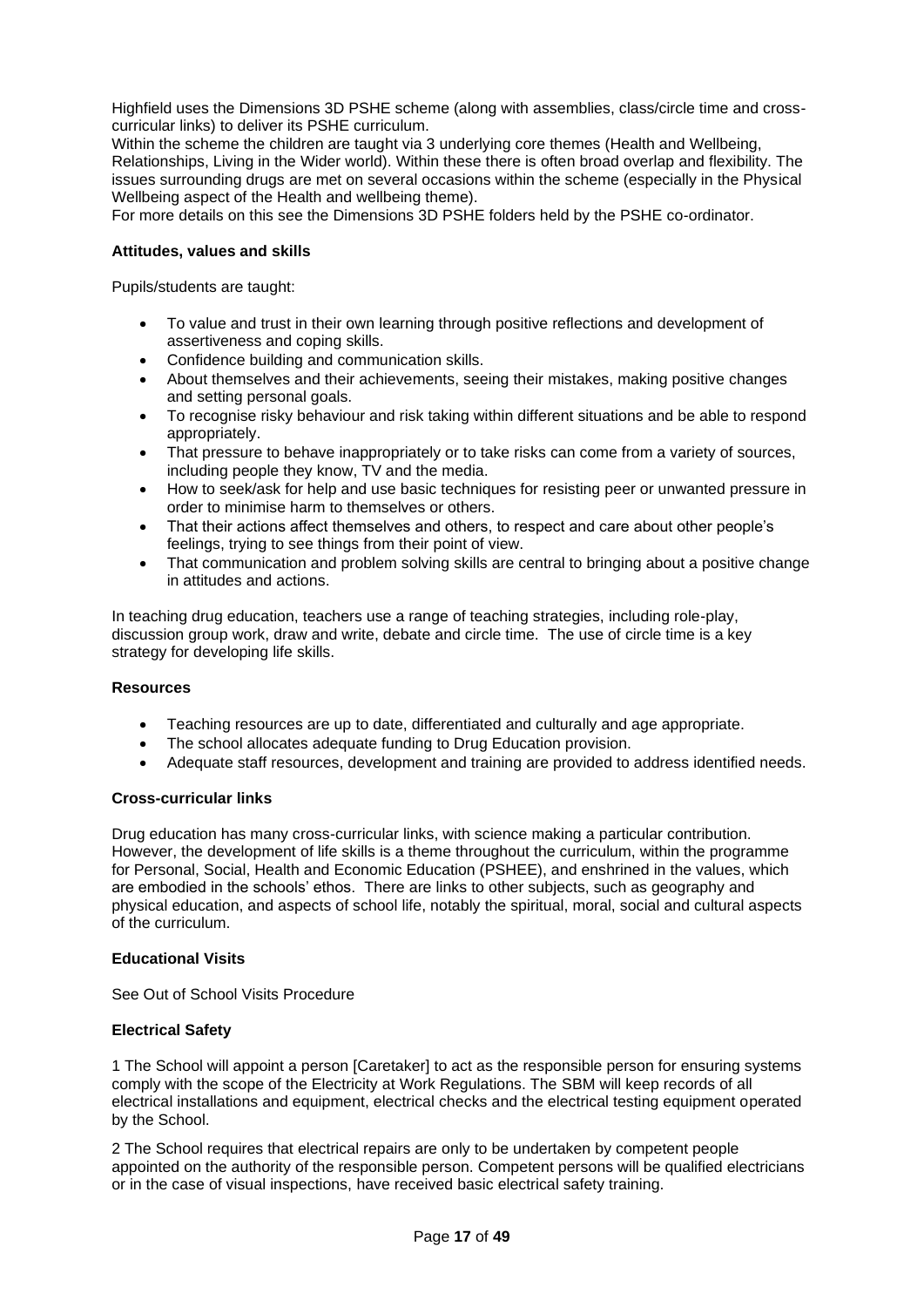Highfield uses the Dimensions 3D PSHE scheme (along with assemblies, class/circle time and crosscurricular links) to deliver its PSHE curriculum.

Within the scheme the children are taught via 3 underlying core themes (Health and Wellbeing, Relationships, Living in the Wider world). Within these there is often broad overlap and flexibility. The issues surrounding drugs are met on several occasions within the scheme (especially in the Physical Wellbeing aspect of the Health and wellbeing theme).

For more details on this see the Dimensions 3D PSHE folders held by the PSHE co-ordinator.

## **Attitudes, values and skills**

Pupils/students are taught:

- To value and trust in their own learning through positive reflections and development of assertiveness and coping skills.
- Confidence building and communication skills.
- About themselves and their achievements, seeing their mistakes, making positive changes and setting personal goals.
- To recognise risky behaviour and risk taking within different situations and be able to respond appropriately.
- That pressure to behave inappropriately or to take risks can come from a variety of sources, including people they know, TV and the media.
- How to seek/ask for help and use basic techniques for resisting peer or unwanted pressure in order to minimise harm to themselves or others.
- That their actions affect themselves and others, to respect and care about other people's feelings, trying to see things from their point of view.
- That communication and problem solving skills are central to bringing about a positive change in attitudes and actions.

In teaching drug education, teachers use a range of teaching strategies, including role-play, discussion group work, draw and write, debate and circle time. The use of circle time is a key strategy for developing life skills.

#### **Resources**

- Teaching resources are up to date, differentiated and culturally and age appropriate.
- The school allocates adequate funding to Drug Education provision.
- Adequate staff resources, development and training are provided to address identified needs.

#### **Cross-curricular links**

Drug education has many cross-curricular links, with science making a particular contribution. However, the development of life skills is a theme throughout the curriculum, within the programme for Personal, Social, Health and Economic Education (PSHEE), and enshrined in the values, which are embodied in the schools' ethos. There are links to other subjects, such as geography and physical education, and aspects of school life, notably the spiritual, moral, social and cultural aspects of the curriculum.

#### <span id="page-16-0"></span>**Educational Visits**

See Out of School Visits Procedure

#### <span id="page-16-1"></span>**Electrical Safety**

1 The School will appoint a person [Caretaker] to act as the responsible person for ensuring systems comply with the scope of the Electricity at Work Regulations. The SBM will keep records of all electrical installations and equipment, electrical checks and the electrical testing equipment operated by the School.

2 The School requires that electrical repairs are only to be undertaken by competent people appointed on the authority of the responsible person. Competent persons will be qualified electricians or in the case of visual inspections, have received basic electrical safety training.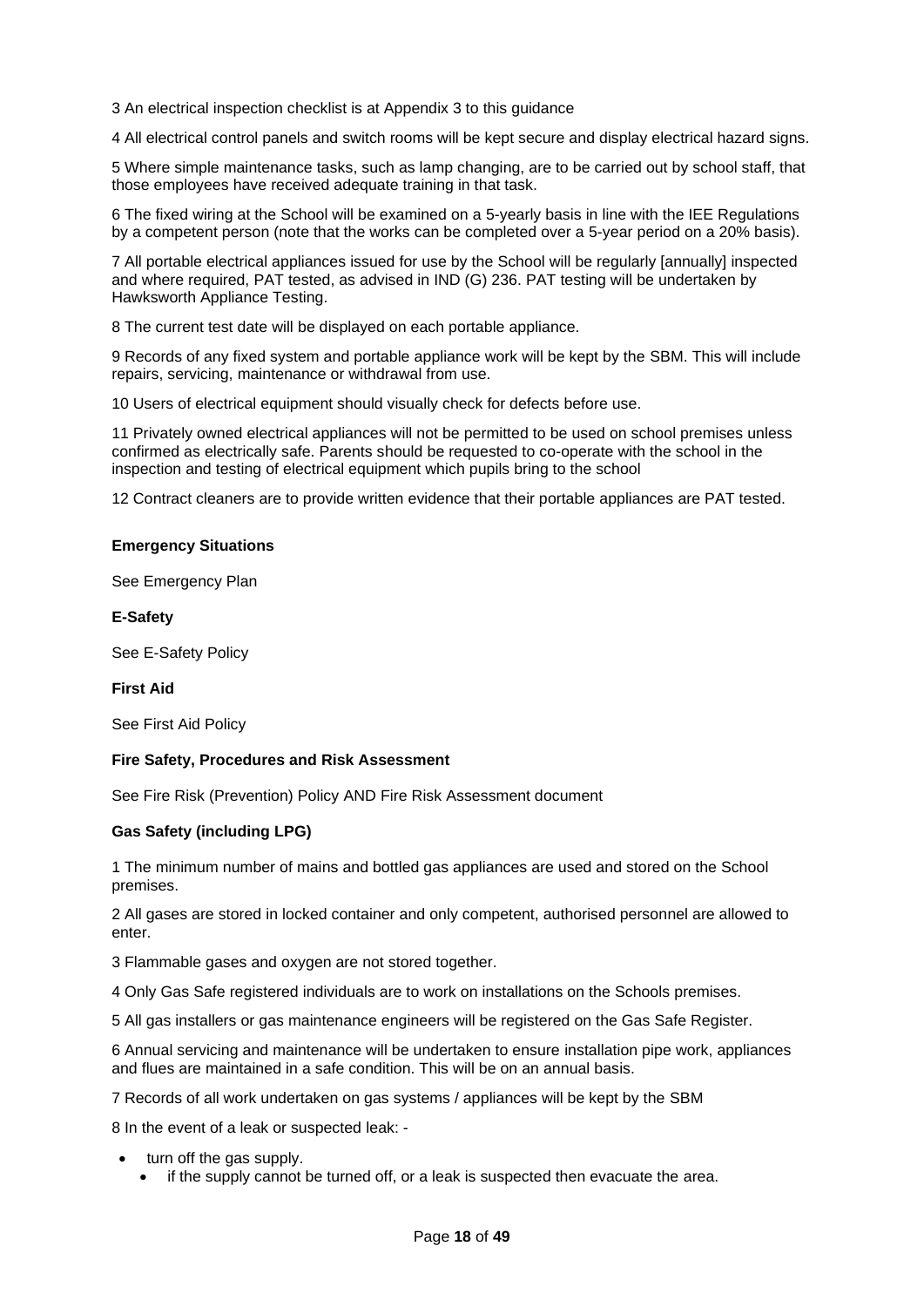3 An electrical inspection checklist is at Appendix 3 to this guidance

4 All electrical control panels and switch rooms will be kept secure and display electrical hazard signs.

5 Where simple maintenance tasks, such as lamp changing, are to be carried out by school staff, that those employees have received adequate training in that task.

6 The fixed wiring at the School will be examined on a 5-yearly basis in line with the IEE Regulations by a competent person (note that the works can be completed over a 5-year period on a 20% basis).

7 All portable electrical appliances issued for use by the School will be regularly [annually] inspected and where required, PAT tested, as advised in IND (G) 236. PAT testing will be undertaken by Hawksworth Appliance Testing.

8 The current test date will be displayed on each portable appliance.

9 Records of any fixed system and portable appliance work will be kept by the SBM. This will include repairs, servicing, maintenance or withdrawal from use.

10 Users of electrical equipment should visually check for defects before use.

11 Privately owned electrical appliances will not be permitted to be used on school premises unless confirmed as electrically safe. Parents should be requested to co-operate with the school in the inspection and testing of electrical equipment which pupils bring to the school

12 Contract cleaners are to provide written evidence that their portable appliances are PAT tested.

### <span id="page-17-0"></span>**Emergency Situations**

See Emergency Plan

### <span id="page-17-1"></span>**E-Safety**

See E-Safety Policy

#### <span id="page-17-2"></span>**First Aid**

See First Aid Policy

#### <span id="page-17-3"></span>**Fire Safety, Procedures and Risk Assessment**

See Fire Risk (Prevention) Policy AND Fire Risk Assessment document

## <span id="page-17-4"></span>**Gas Safety (including LPG)**

1 The minimum number of mains and bottled gas appliances are used and stored on the School premises.

2 All gases are stored in locked container and only competent, authorised personnel are allowed to enter.

3 Flammable gases and oxygen are not stored together.

4 Only Gas Safe registered individuals are to work on installations on the Schools premises.

5 All gas installers or gas maintenance engineers will be registered on the Gas Safe Register.

6 Annual servicing and maintenance will be undertaken to ensure installation pipe work, appliances and flues are maintained in a safe condition. This will be on an annual basis.

7 Records of all work undertaken on gas systems / appliances will be kept by the SBM

8 In the event of a leak or suspected leak: -

- turn off the gas supply.
	- if the supply cannot be turned off, or a leak is suspected then evacuate the area.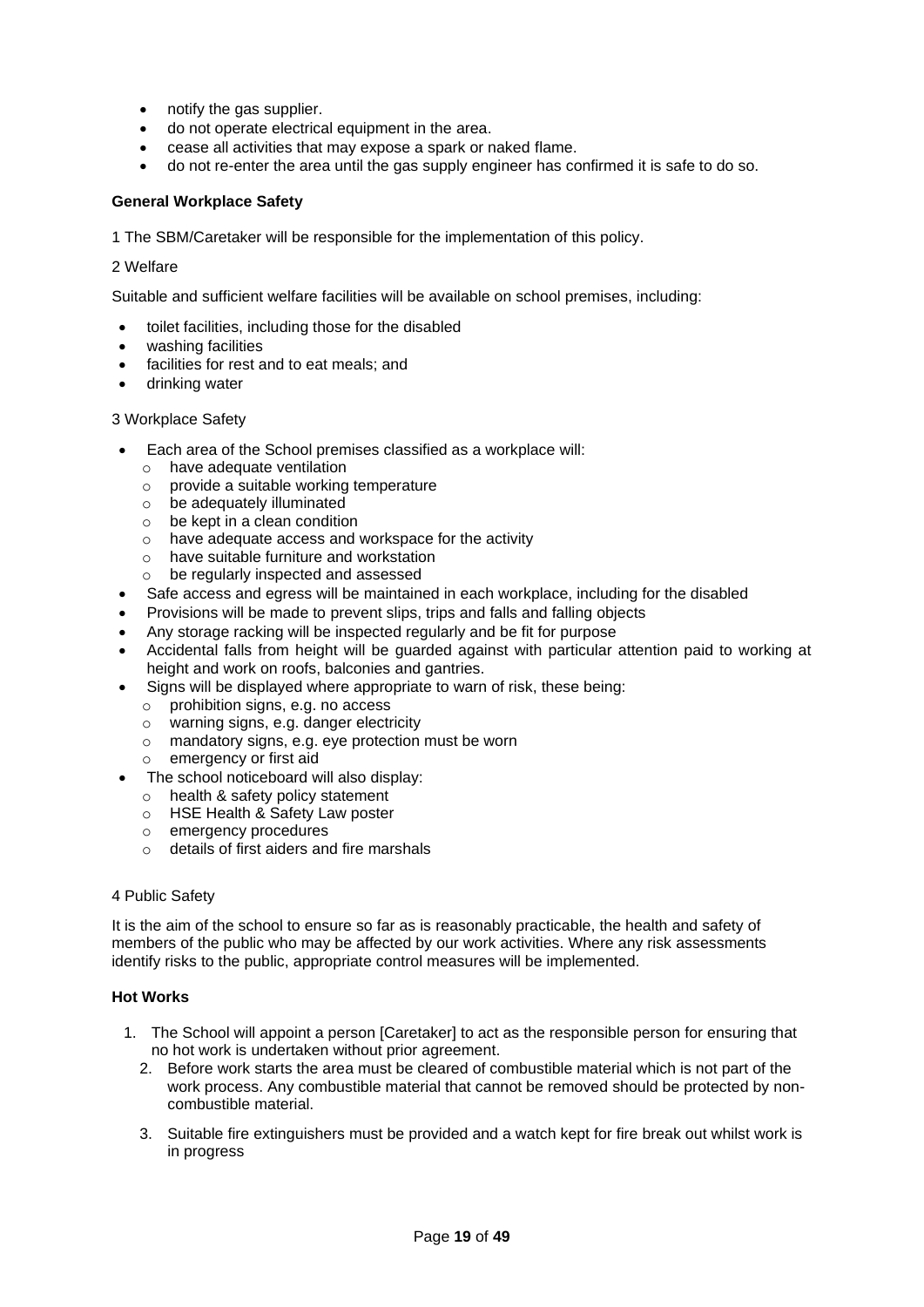- notify the gas supplier.
- do not operate electrical equipment in the area.
- cease all activities that may expose a spark or naked flame.
- do not re-enter the area until the gas supply engineer has confirmed it is safe to do so.

## <span id="page-18-0"></span>**General Workplace Safety**

1 The SBM/Caretaker will be responsible for the implementation of this policy.

#### 2 Welfare

Suitable and sufficient welfare facilities will be available on school premises, including:

- toilet facilities, including those for the disabled
- washing facilities
- facilities for rest and to eat meals; and
- drinking water

## 3 Workplace Safety

- Each area of the School premises classified as a workplace will:
	- o have adequate ventilation
	- o provide a suitable working temperature
	- o be adequately illuminated
	- $\circ$  be kept in a clean condition
	- o have adequate access and workspace for the activity
	- o have suitable furniture and workstation
	- o be regularly inspected and assessed
- Safe access and egress will be maintained in each workplace, including for the disabled
- Provisions will be made to prevent slips, trips and falls and falling objects
- Any storage racking will be inspected regularly and be fit for purpose
- Accidental falls from height will be guarded against with particular attention paid to working at height and work on roofs, balconies and gantries.
- Signs will be displayed where appropriate to warn of risk, these being:
	- o prohibition signs, e.g. no access
	- o warning signs, e.g. danger electricity
	- o mandatory signs, e.g. eye protection must be worn
	- o emergency or first aid
- The school noticeboard will also display:
	- o health & safety policy statement
	- o HSE Health & Safety Law poster
	- o emergency procedures
	- o details of first aiders and fire marshals

#### 4 Public Safety

It is the aim of the school to ensure so far as is reasonably practicable, the health and safety of members of the public who may be affected by our work activities. Where any risk assessments identify risks to the public, appropriate control measures will be implemented.

## <span id="page-18-1"></span>**Hot Works**

- 1. The School will appoint a person [Caretaker] to act as the responsible person for ensuring that no hot work is undertaken without prior agreement.
	- 2. Before work starts the area must be cleared of combustible material which is not part of the work process. Any combustible material that cannot be removed should be protected by noncombustible material.
	- 3. Suitable fire extinguishers must be provided and a watch kept for fire break out whilst work is in progress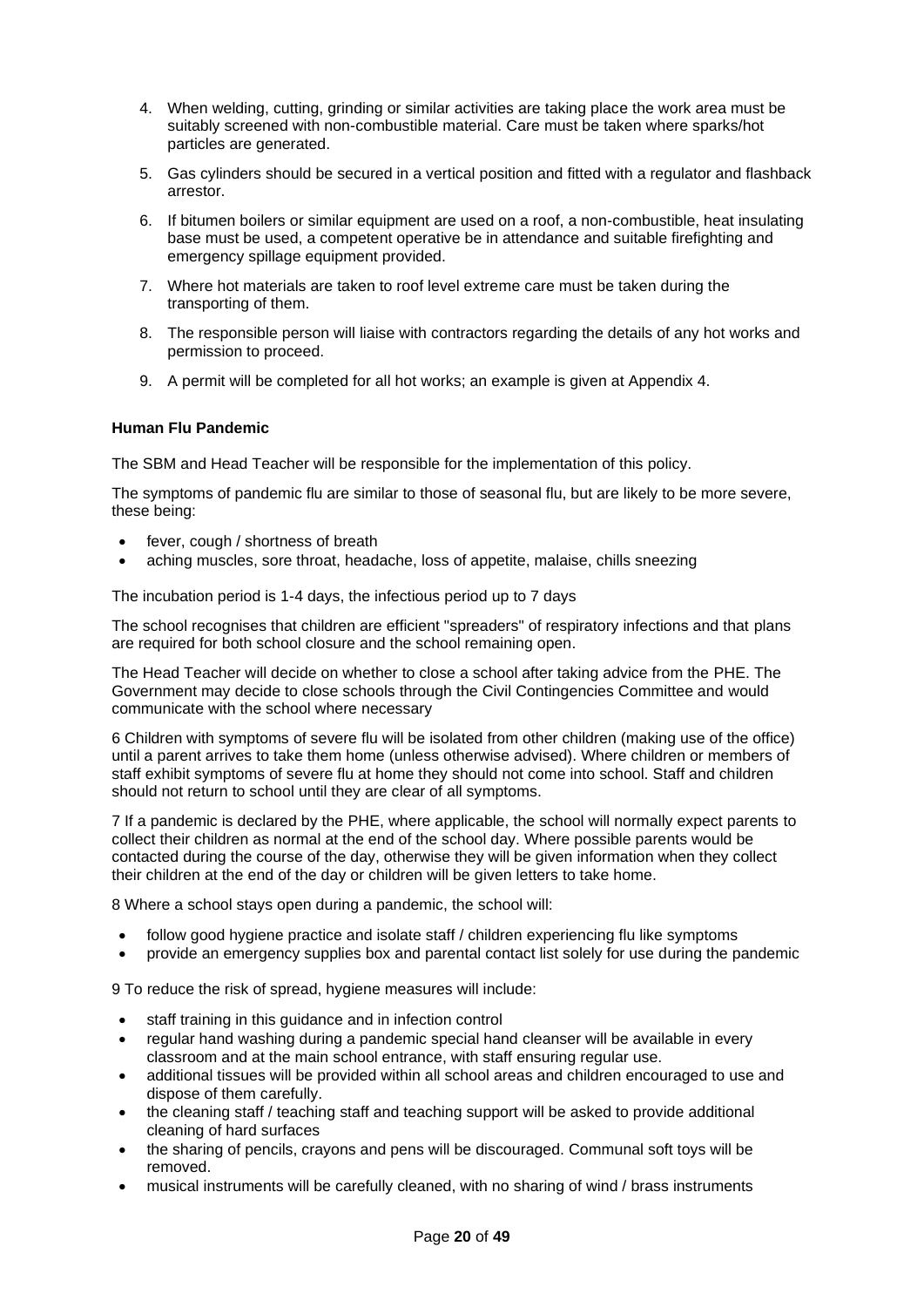- 4. When welding, cutting, grinding or similar activities are taking place the work area must be suitably screened with non-combustible material. Care must be taken where sparks/hot particles are generated.
- 5. Gas cylinders should be secured in a vertical position and fitted with a regulator and flashback arrestor.
- 6. If bitumen boilers or similar equipment are used on a roof, a non-combustible, heat insulating base must be used, a competent operative be in attendance and suitable firefighting and emergency spillage equipment provided.
- 7. Where hot materials are taken to roof level extreme care must be taken during the transporting of them.
- 8. The responsible person will liaise with contractors regarding the details of any hot works and permission to proceed.
- 9. A permit will be completed for all hot works; an example is given at Appendix 4.

## <span id="page-19-0"></span>**Human Flu Pandemic**

The SBM and Head Teacher will be responsible for the implementation of this policy.

The symptoms of pandemic flu are similar to those of seasonal flu, but are likely to be more severe, these being:

- fever, cough / shortness of breath
- aching muscles, sore throat, headache, loss of appetite, malaise, chills sneezing

The incubation period is 1-4 days, the infectious period up to 7 days

The school recognises that children are efficient "spreaders" of respiratory infections and that plans are required for both school closure and the school remaining open.

The Head Teacher will decide on whether to close a school after taking advice from the PHE. The Government may decide to close schools through the Civil Contingencies Committee and would communicate with the school where necessary

6 Children with symptoms of severe flu will be isolated from other children (making use of the office) until a parent arrives to take them home (unless otherwise advised). Where children or members of staff exhibit symptoms of severe flu at home they should not come into school. Staff and children should not return to school until they are clear of all symptoms.

7 If a pandemic is declared by the PHE, where applicable, the school will normally expect parents to collect their children as normal at the end of the school day. Where possible parents would be contacted during the course of the day, otherwise they will be given information when they collect their children at the end of the day or children will be given letters to take home.

8 Where a school stays open during a pandemic, the school will:

- follow good hygiene practice and isolate staff / children experiencing flu like symptoms
- provide an emergency supplies box and parental contact list solely for use during the pandemic

9 To reduce the risk of spread, hygiene measures will include:

- staff training in this guidance and in infection control
- regular hand washing during a pandemic special hand cleanser will be available in every classroom and at the main school entrance, with staff ensuring regular use.
- additional tissues will be provided within all school areas and children encouraged to use and dispose of them carefully.
- the cleaning staff / teaching staff and teaching support will be asked to provide additional cleaning of hard surfaces
- the sharing of pencils, crayons and pens will be discouraged. Communal soft toys will be removed.
- musical instruments will be carefully cleaned, with no sharing of wind / brass instruments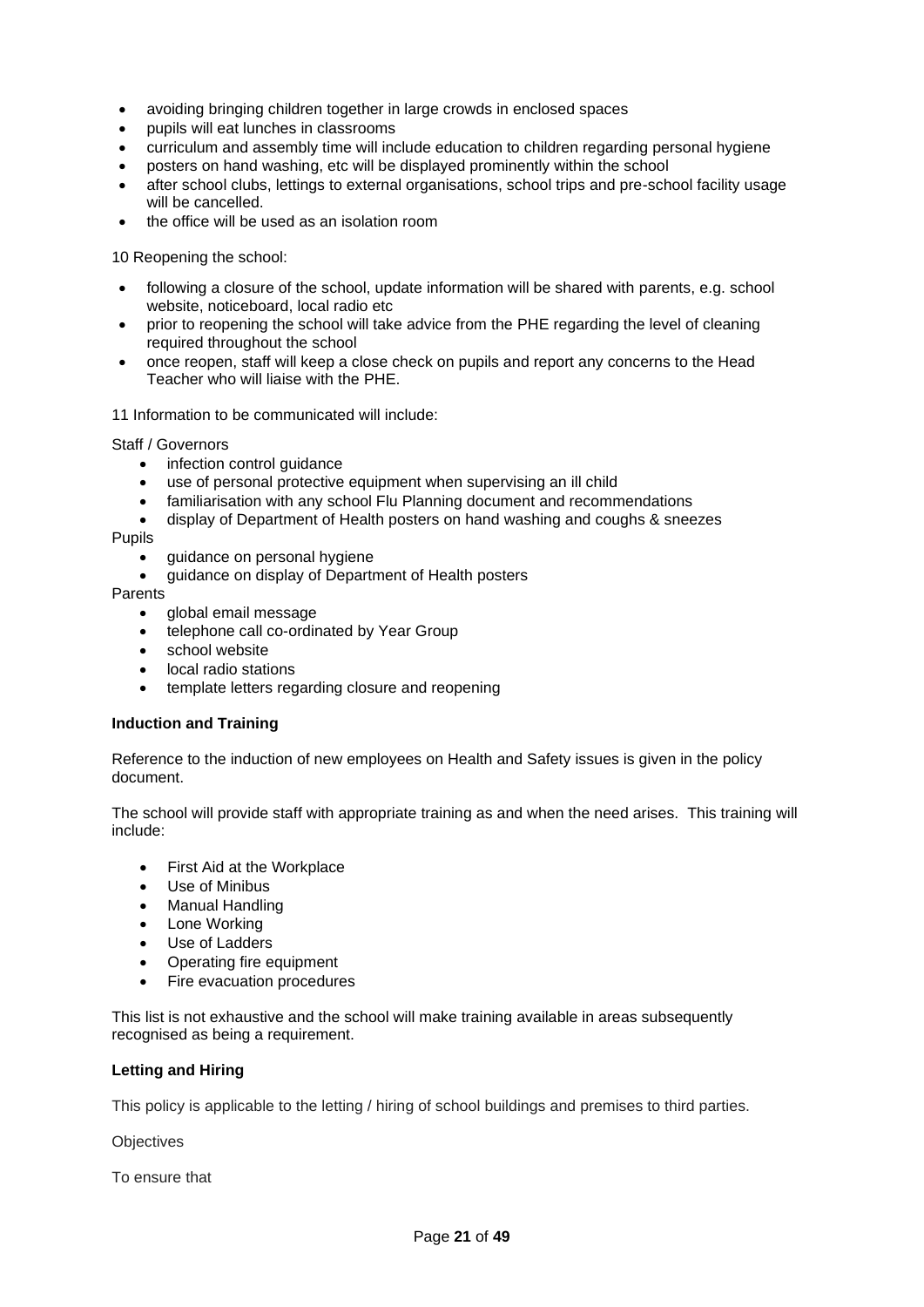- avoiding bringing children together in large crowds in enclosed spaces
- pupils will eat lunches in classrooms
- curriculum and assembly time will include education to children regarding personal hygiene
- posters on hand washing, etc will be displayed prominently within the school
- after school clubs, lettings to external organisations, school trips and pre-school facility usage will be cancelled.
- the office will be used as an isolation room

10 Reopening the school:

- following a closure of the school, update information will be shared with parents, e.g. school website, noticeboard, local radio etc
- prior to reopening the school will take advice from the PHE regarding the level of cleaning required throughout the school
- once reopen, staff will keep a close check on pupils and report any concerns to the Head Teacher who will liaise with the PHE.

11 Information to be communicated will include:

Staff / Governors

- infection control guidance
- use of personal protective equipment when supervising an ill child
- familiarisation with any school Flu Planning document and recommendations
- display of Department of Health posters on hand washing and coughs & sneezes

Pupils

- guidance on personal hygiene
- guidance on display of Department of Health posters

Parents

- global email message
- telephone call co-ordinated by Year Group
- school website
- local radio stations
- template letters regarding closure and reopening

#### <span id="page-20-0"></span>**Induction and Training**

Reference to the induction of new employees on Health and Safety issues is given in the policy document.

The school will provide staff with appropriate training as and when the need arises. This training will include:

- First Aid at the Workplace
- Use of Minibus
- Manual Handling
- Lone Working
- Use of Ladders
- Operating fire equipment
- Fire evacuation procedures

This list is not exhaustive and the school will make training available in areas subsequently recognised as being a requirement.

## <span id="page-20-1"></span>**Letting and Hiring**

This policy is applicable to the letting / hiring of school buildings and premises to third parties.

**Objectives** 

To ensure that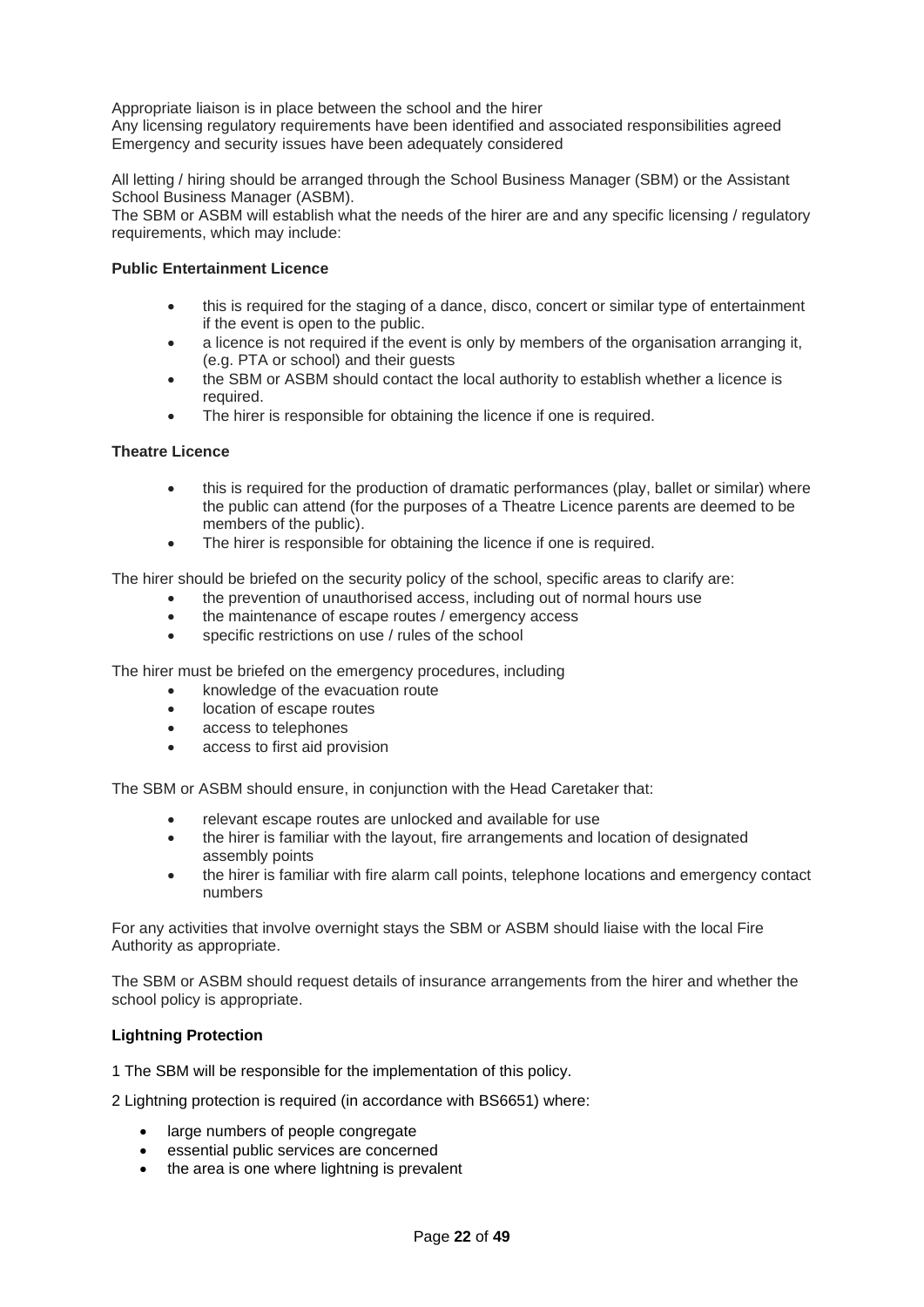Appropriate liaison is in place between the school and the hirer

Any licensing regulatory requirements have been identified and associated responsibilities agreed Emergency and security issues have been adequately considered

All letting / hiring should be arranged through the School Business Manager (SBM) or the Assistant School Business Manager (ASBM).

The SBM or ASBM will establish what the needs of the hirer are and any specific licensing / regulatory requirements, which may include:

## **Public Entertainment Licence**

- this is required for the staging of a dance, disco, concert or similar type of entertainment if the event is open to the public.
- a licence is not required if the event is only by members of the organisation arranging it, (e.g. PTA or school) and their guests
- the SBM or ASBM should contact the local authority to establish whether a licence is required.
- The hirer is responsible for obtaining the licence if one is required.

## **Theatre Licence**

- this is required for the production of dramatic performances (play, ballet or similar) where the public can attend (for the purposes of a Theatre Licence parents are deemed to be members of the public).
- The hirer is responsible for obtaining the licence if one is required.

The hirer should be briefed on the security policy of the school, specific areas to clarify are:

- the prevention of unauthorised access, including out of normal hours use
- the maintenance of escape routes / emergency access
- specific restrictions on use / rules of the school

The hirer must be briefed on the emergency procedures, including

- knowledge of the evacuation route
- location of escape routes
- access to telephones
- access to first aid provision

The SBM or ASBM should ensure, in conjunction with the Head Caretaker that:

- relevant escape routes are unlocked and available for use
- the hirer is familiar with the layout, fire arrangements and location of designated assembly points
- the hirer is familiar with fire alarm call points, telephone locations and emergency contact numbers

For any activities that involve overnight stays the SBM or ASBM should liaise with the local Fire Authority as appropriate.

The SBM or ASBM should request details of insurance arrangements from the hirer and whether the school policy is appropriate.

## <span id="page-21-0"></span>**Lightning Protection**

1 The SBM will be responsible for the implementation of this policy.

2 Lightning protection is required (in accordance with BS6651) where:

- large numbers of people congregate
- essential public services are concerned
- the area is one where lightning is prevalent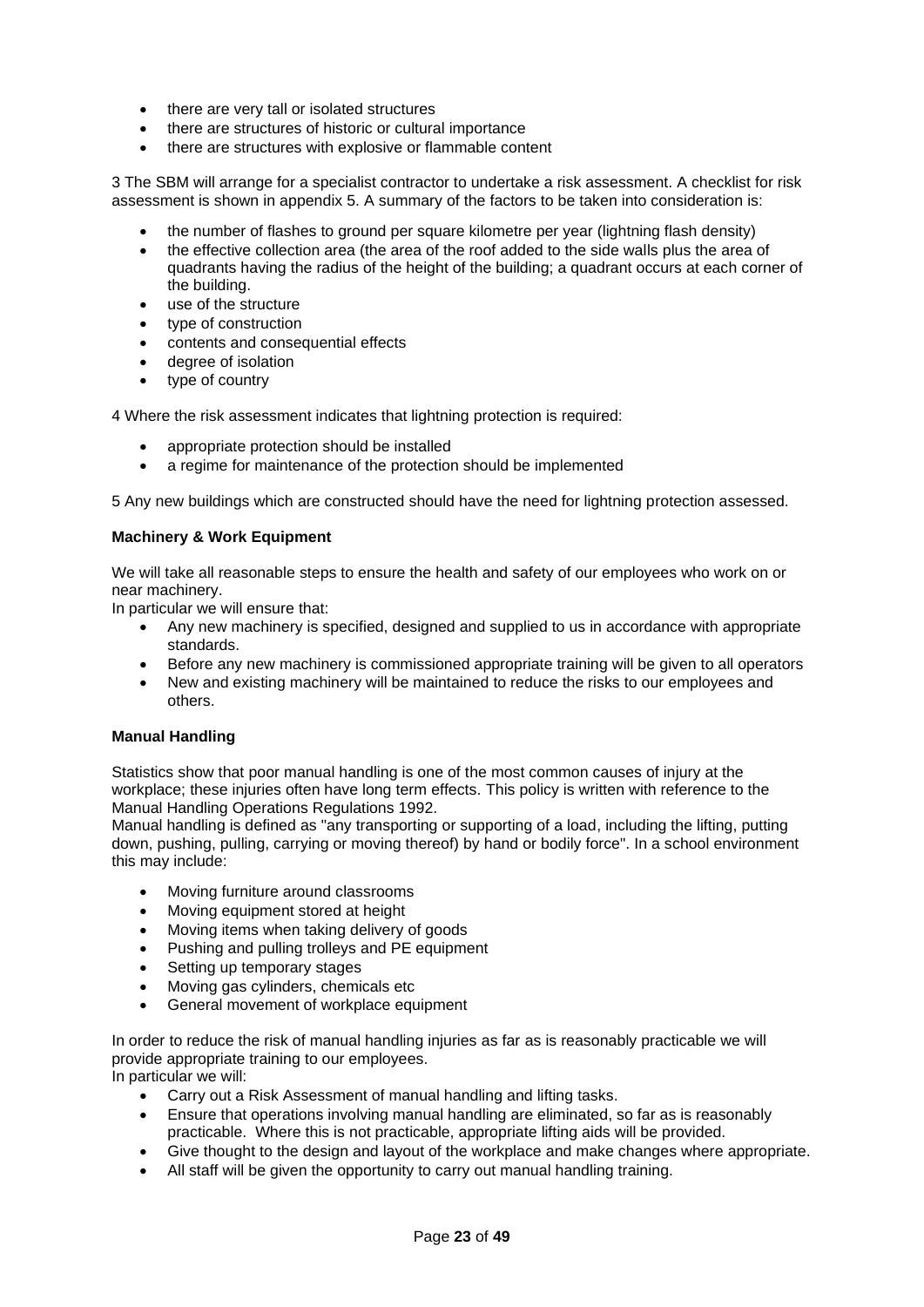- there are very tall or isolated structures
- there are structures of historic or cultural importance
- there are structures with explosive or flammable content

3 The SBM will arrange for a specialist contractor to undertake a risk assessment. A checklist for risk assessment is shown in appendix 5. A summary of the factors to be taken into consideration is:

- the number of flashes to ground per square kilometre per year (lightning flash density)
- the effective collection area (the area of the roof added to the side walls plus the area of quadrants having the radius of the height of the building; a quadrant occurs at each corner of the building.
- use of the structure
- type of construction
- contents and consequential effects
- degree of isolation
- type of country

4 Where the risk assessment indicates that lightning protection is required:

- appropriate protection should be installed
- a regime for maintenance of the protection should be implemented

5 Any new buildings which are constructed should have the need for lightning protection assessed.

### <span id="page-22-0"></span>**Machinery & Work Equipment**

We will take all reasonable steps to ensure the health and safety of our employees who work on or near machinery.

In particular we will ensure that:

- Any new machinery is specified, designed and supplied to us in accordance with appropriate standards.
- Before any new machinery is commissioned appropriate training will be given to all operators
- New and existing machinery will be maintained to reduce the risks to our employees and others.

#### <span id="page-22-1"></span>**Manual Handling**

Statistics show that poor manual handling is one of the most common causes of injury at the workplace; these injuries often have long term effects. This policy is written with reference to the Manual Handling Operations Regulations 1992.

Manual handling is defined as "any transporting or supporting of a load, including the lifting, putting down, pushing, pulling, carrying or moving thereof) by hand or bodily force". In a school environment this may include:

- Moving furniture around classrooms
- Moving equipment stored at height
- Moving items when taking delivery of goods
- Pushing and pulling trolleys and PE equipment
- Setting up temporary stages
- Moving gas cylinders, chemicals etc
- General movement of workplace equipment

In order to reduce the risk of manual handling injuries as far as is reasonably practicable we will provide appropriate training to our employees.

In particular we will:

- Carry out a Risk Assessment of manual handling and lifting tasks.
- Ensure that operations involving manual handling are eliminated, so far as is reasonably practicable. Where this is not practicable, appropriate lifting aids will be provided.
- Give thought to the design and layout of the workplace and make changes where appropriate.
- All staff will be given the opportunity to carry out manual handling training.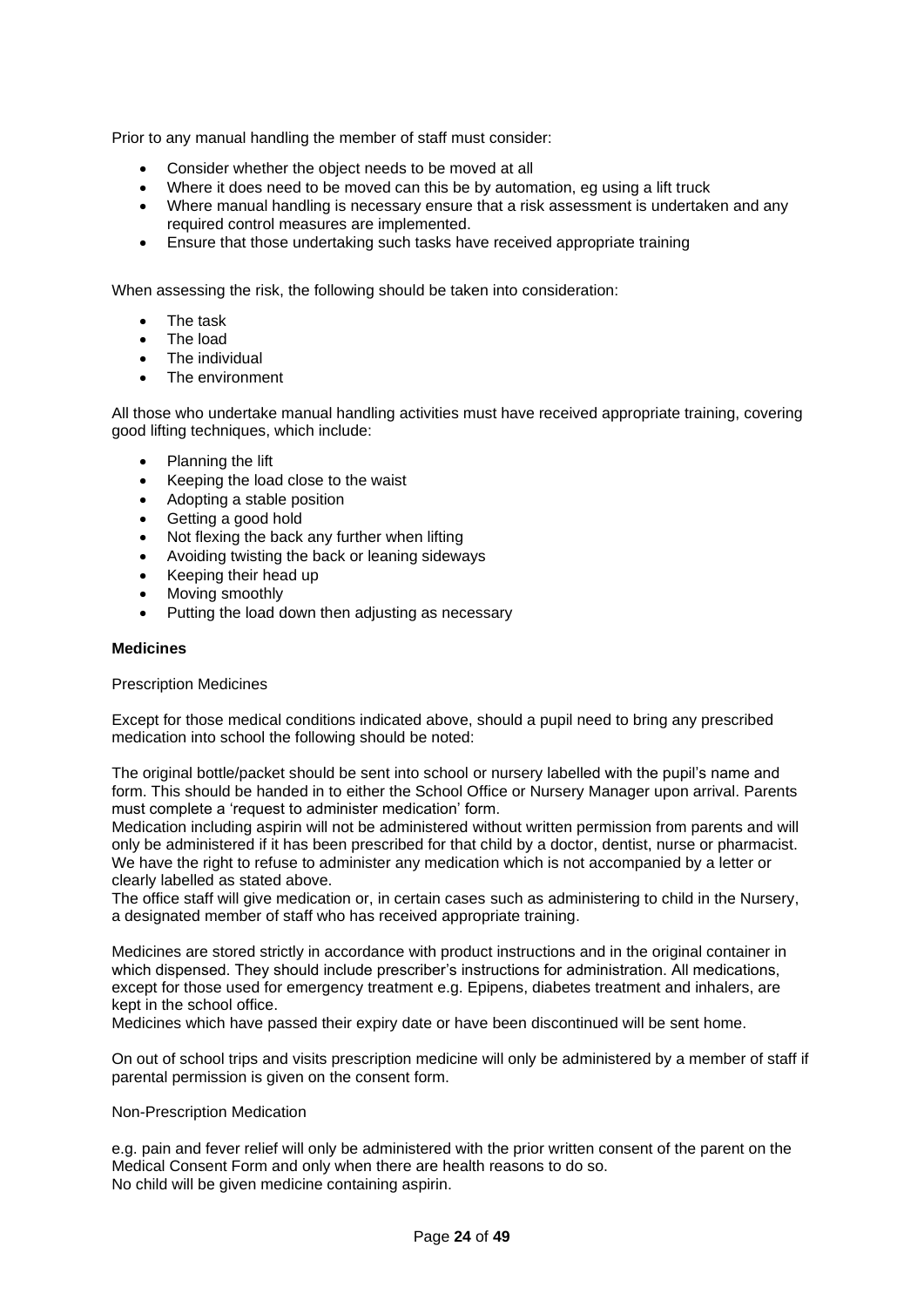Prior to any manual handling the member of staff must consider:

- Consider whether the object needs to be moved at all
- Where it does need to be moved can this be by automation, eg using a lift truck
- Where manual handling is necessary ensure that a risk assessment is undertaken and any required control measures are implemented.
- Ensure that those undertaking such tasks have received appropriate training

When assessing the risk, the following should be taken into consideration:

- The task
- The load
- The individual
- The environment

All those who undertake manual handling activities must have received appropriate training, covering good lifting techniques, which include:

- Planning the lift
- Keeping the load close to the waist
- Adopting a stable position
- Getting a good hold
- Not flexing the back any further when lifting
- Avoiding twisting the back or leaning sideways
- Keeping their head up
- Moving smoothly
- Putting the load down then adjusting as necessary

#### <span id="page-23-0"></span>**Medicines**

#### Prescription Medicines

Except for those medical conditions indicated above, should a pupil need to bring any prescribed medication into school the following should be noted:

The original bottle/packet should be sent into school or nursery labelled with the pupil's name and form. This should be handed in to either the School Office or Nursery Manager upon arrival. Parents must complete a 'request to administer medication' form.

Medication including aspirin will not be administered without written permission from parents and will only be administered if it has been prescribed for that child by a doctor, dentist, nurse or pharmacist. We have the right to refuse to administer any medication which is not accompanied by a letter or clearly labelled as stated above.

The office staff will give medication or, in certain cases such as administering to child in the Nursery, a designated member of staff who has received appropriate training.

Medicines are stored strictly in accordance with product instructions and in the original container in which dispensed. They should include prescriber's instructions for administration. All medications, except for those used for emergency treatment e.g. Epipens, diabetes treatment and inhalers, are kept in the school office.

Medicines which have passed their expiry date or have been discontinued will be sent home.

On out of school trips and visits prescription medicine will only be administered by a member of staff if parental permission is given on the consent form.

#### Non-Prescription Medication

e.g. pain and fever relief will only be administered with the prior written consent of the parent on the Medical Consent Form and only when there are health reasons to do so. No child will be given medicine containing aspirin.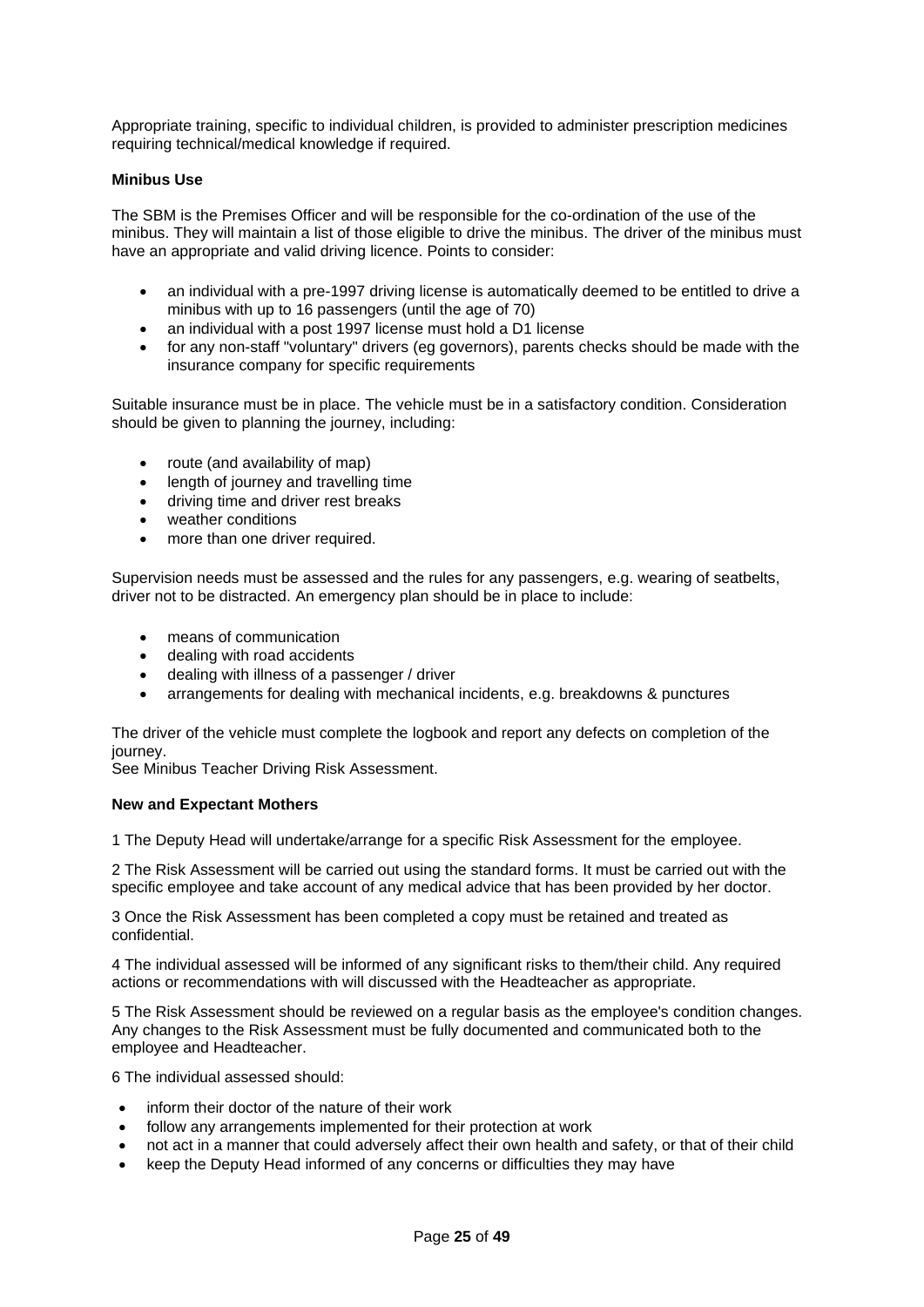Appropriate training, specific to individual children, is provided to administer prescription medicines requiring technical/medical knowledge if required.

### <span id="page-24-0"></span>**Minibus Use**

The SBM is the Premises Officer and will be responsible for the co-ordination of the use of the minibus. They will maintain a list of those eligible to drive the minibus. The driver of the minibus must have an appropriate and valid driving licence. Points to consider:

- an individual with a pre-1997 driving license is automatically deemed to be entitled to drive a minibus with up to 16 passengers (until the age of 70)
- an individual with a post 1997 license must hold a D1 license
- for any non-staff "voluntary" drivers (eg governors), parents checks should be made with the insurance company for specific requirements

Suitable insurance must be in place. The vehicle must be in a satisfactory condition. Consideration should be given to planning the journey, including:

- route (and availability of map)
- length of journey and travelling time
- driving time and driver rest breaks
- weather conditions
- more than one driver required.

Supervision needs must be assessed and the rules for any passengers, e.g. wearing of seatbelts, driver not to be distracted. An emergency plan should be in place to include:

- means of communication
- dealing with road accidents
- dealing with illness of a passenger / driver
- arrangements for dealing with mechanical incidents, e.g. breakdowns & punctures

The driver of the vehicle must complete the logbook and report any defects on completion of the journey.

See Minibus Teacher Driving Risk Assessment.

#### <span id="page-24-1"></span>**New and Expectant Mothers**

1 The Deputy Head will undertake/arrange for a specific Risk Assessment for the employee.

2 The Risk Assessment will be carried out using the standard forms. It must be carried out with the specific employee and take account of any medical advice that has been provided by her doctor.

3 Once the Risk Assessment has been completed a copy must be retained and treated as confidential.

4 The individual assessed will be informed of any significant risks to them/their child. Any required actions or recommendations with will discussed with the Headteacher as appropriate.

5 The Risk Assessment should be reviewed on a regular basis as the employee's condition changes. Any changes to the Risk Assessment must be fully documented and communicated both to the employee and Headteacher.

6 The individual assessed should:

- inform their doctor of the nature of their work
- follow any arrangements implemented for their protection at work
- not act in a manner that could adversely affect their own health and safety, or that of their child
- keep the Deputy Head informed of any concerns or difficulties they may have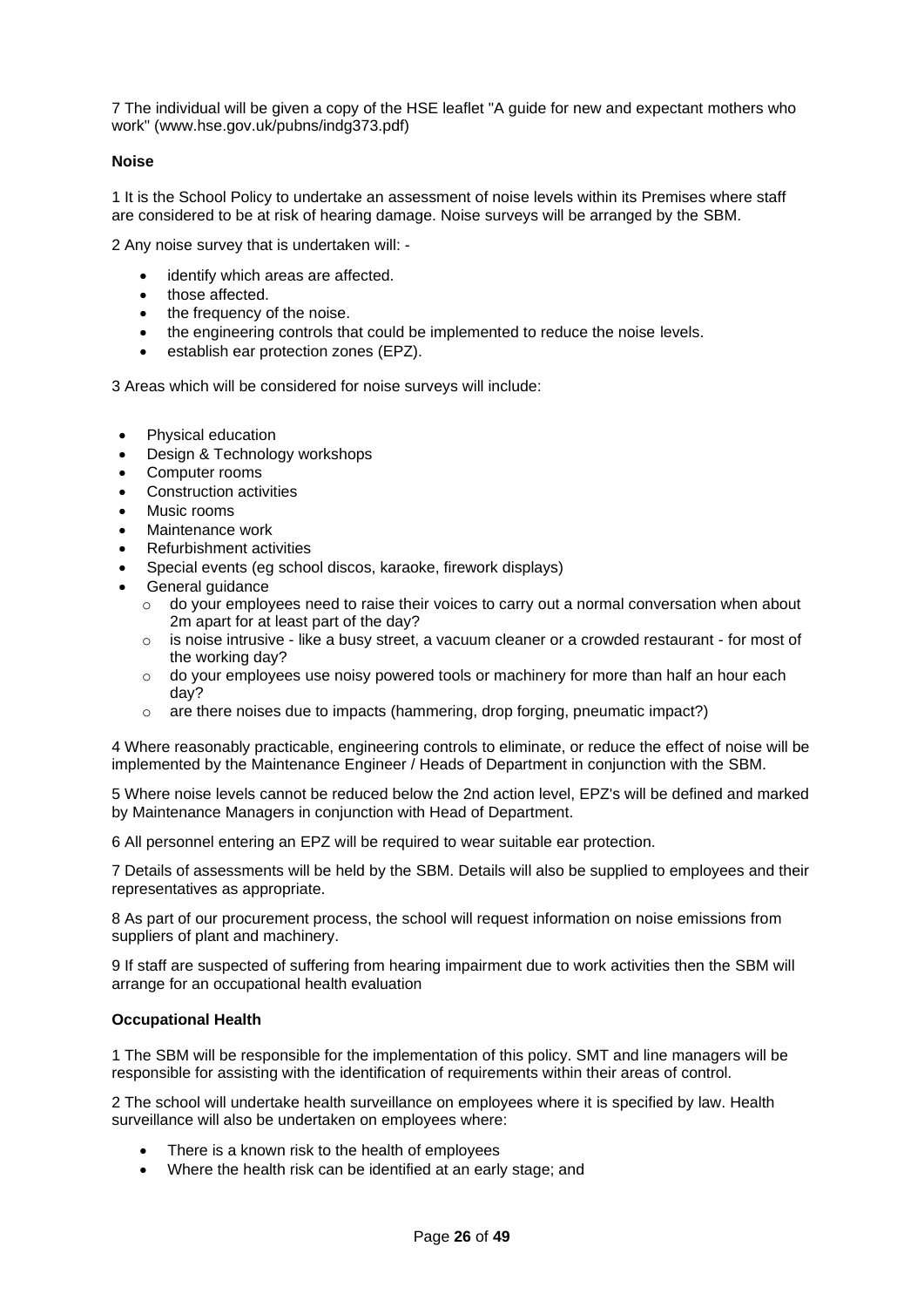7 The individual will be given a copy of the HSE leaflet "A guide for new and expectant mothers who work" [\(www.hse.gov.uk/pubns/indg373.pdf\)](http://www.hse.gov.uk/pubns/indg373.pdf)

## <span id="page-25-0"></span>**Noise**

1 It is the School Policy to undertake an assessment of noise levels within its Premises where staff are considered to be at risk of hearing damage. Noise surveys will be arranged by the SBM.

2 Any noise survey that is undertaken will: -

- identify which areas are affected.
- those affected.
- the frequency of the noise.
- the engineering controls that could be implemented to reduce the noise levels.
- establish ear protection zones (EPZ).

3 Areas which will be considered for noise surveys will include:

- Physical education
- Design & Technology workshops
- Computer rooms
- Construction activities
- Music rooms
- Maintenance work
- Refurbishment activities
- Special events (eg school discos, karaoke, firework displays)
- General guidance
	- $\circ$  do your employees need to raise their voices to carry out a normal conversation when about 2m apart for at least part of the day?
	- $\circ$  is noise intrusive like a busy street, a vacuum cleaner or a crowded restaurant for most of the working day?
	- $\circ$  do your employees use noisy powered tools or machinery for more than half an hour each day?
	- o are there noises due to impacts (hammering, drop forging, pneumatic impact?)

4 Where reasonably practicable, engineering controls to eliminate, or reduce the effect of noise will be implemented by the Maintenance Engineer / Heads of Department in conjunction with the SBM.

5 Where noise levels cannot be reduced below the 2nd action level, EPZ's will be defined and marked by Maintenance Managers in conjunction with Head of Department.

6 All personnel entering an EPZ will be required to wear suitable ear protection.

7 Details of assessments will be held by the SBM. Details will also be supplied to employees and their representatives as appropriate.

8 As part of our procurement process, the school will request information on noise emissions from suppliers of plant and machinery.

9 If staff are suspected of suffering from hearing impairment due to work activities then the SBM will arrange for an occupational health evaluation

#### <span id="page-25-1"></span>**Occupational Health**

1 The SBM will be responsible for the implementation of this policy. SMT and line managers will be responsible for assisting with the identification of requirements within their areas of control.

2 The school will undertake health surveillance on employees where it is specified by law. Health surveillance will also be undertaken on employees where:

- There is a known risk to the health of employees
- Where the health risk can be identified at an early stage; and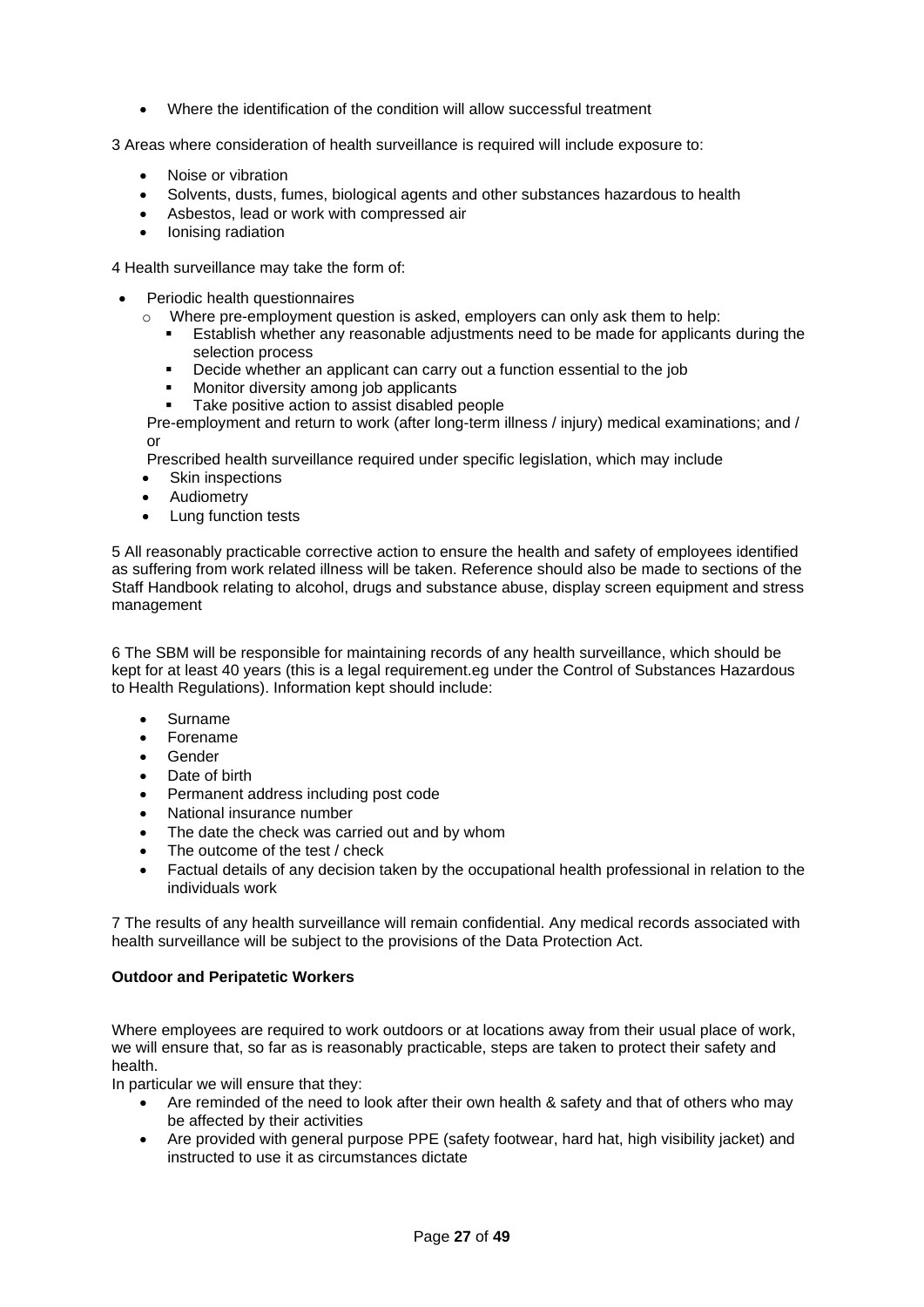- Where the identification of the condition will allow successful treatment
- 3 Areas where consideration of health surveillance is required will include exposure to:
	- Noise or vibration
	- Solvents, dusts, fumes, biological agents and other substances hazardous to health
	- Asbestos, lead or work with compressed air
	- Ionising radiation

4 Health surveillance may take the form of:

- Periodic health questionnaires
	- $\circ$  Where pre-employment question is asked, employers can only ask them to help:
		- **Establish whether any reasonable adjustments need to be made for applicants during the** selection process
		- Decide whether an applicant can carry out a function essential to the job
		- Monitor diversity among job applicants
		- Take positive action to assist disabled people

Pre-employment and return to work (after long-term illness / injury) medical examinations; and / or

Prescribed health surveillance required under specific legislation, which may include

- Skin inspections
- **Audiometry**
- Lung function tests

5 All reasonably practicable corrective action to ensure the health and safety of employees identified as suffering from work related illness will be taken. Reference should also be made to sections of the Staff Handbook relating to alcohol, drugs and substance abuse, display screen equipment and stress management

6 The SBM will be responsible for maintaining records of any health surveillance, which should be kept for at least 40 years (this is a legal requirement.eg under the Control of Substances Hazardous to Health Regulations). Information kept should include:

- Surname
- Forename
- Gender
- Date of birth
- Permanent address including post code
- National insurance number
- The date the check was carried out and by whom
- The outcome of the test / check
- Factual details of any decision taken by the occupational health professional in relation to the individuals work

7 The results of any health surveillance will remain confidential. Any medical records associated with health surveillance will be subject to the provisions of the Data Protection Act.

#### <span id="page-26-0"></span>**Outdoor and Peripatetic Workers**

Where employees are required to work outdoors or at locations away from their usual place of work, we will ensure that, so far as is reasonably practicable, steps are taken to protect their safety and health.

In particular we will ensure that they:

- Are reminded of the need to look after their own health & safety and that of others who may be affected by their activities
- Are provided with general purpose PPE (safety footwear, hard hat, high visibility jacket) and instructed to use it as circumstances dictate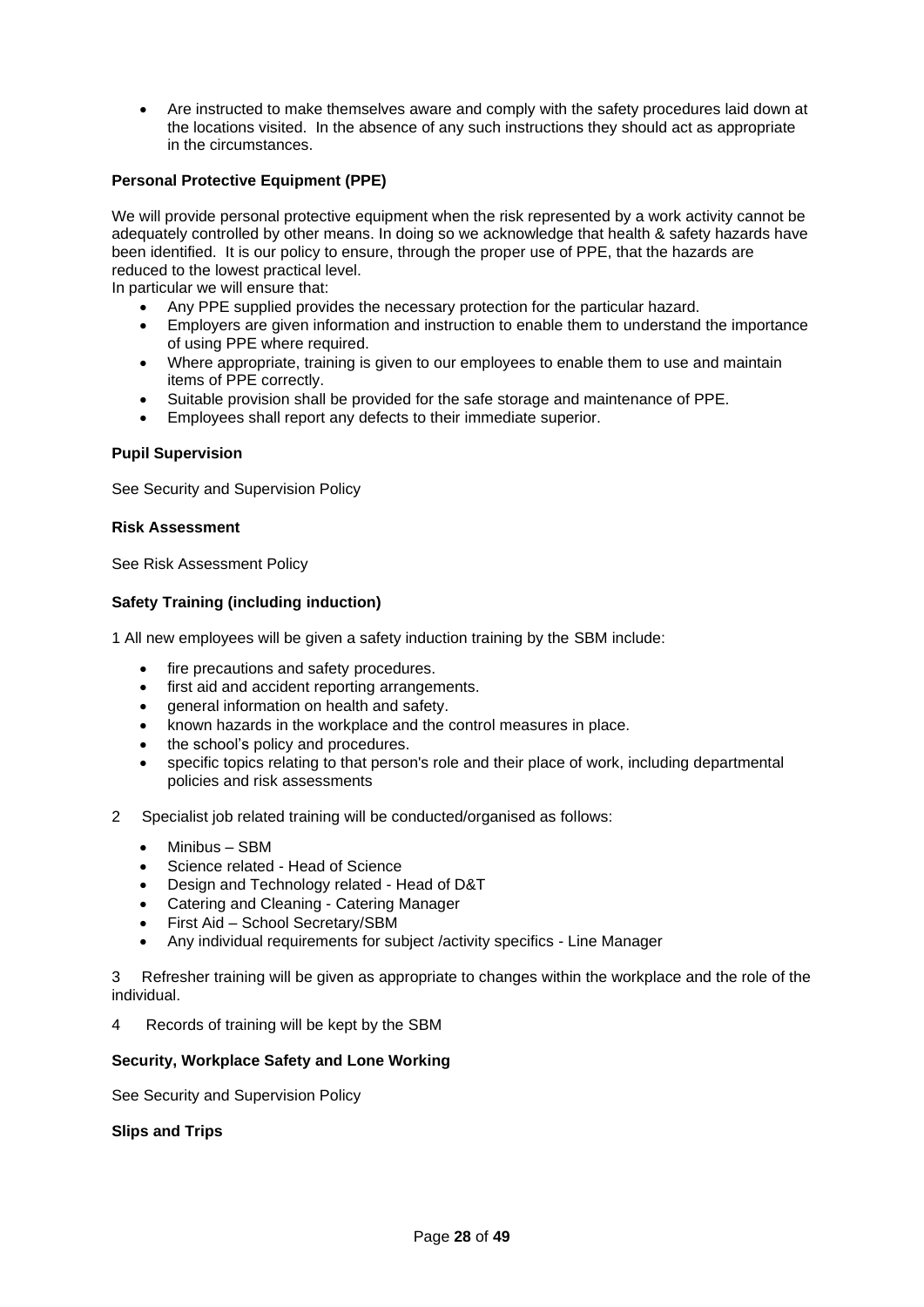• Are instructed to make themselves aware and comply with the safety procedures laid down at the locations visited. In the absence of any such instructions they should act as appropriate in the circumstances.

## <span id="page-27-0"></span>**Personal Protective Equipment (PPE)**

We will provide personal protective equipment when the risk represented by a work activity cannot be adequately controlled by other means. In doing so we acknowledge that health & safety hazards have been identified. It is our policy to ensure, through the proper use of PPE, that the hazards are reduced to the lowest practical level.

In particular we will ensure that:

- Any PPE supplied provides the necessary protection for the particular hazard.
- Employers are given information and instruction to enable them to understand the importance of using PPE where required.
- Where appropriate, training is given to our employees to enable them to use and maintain items of PPE correctly.
- Suitable provision shall be provided for the safe storage and maintenance of PPE.
- Employees shall report any defects to their immediate superior.

### <span id="page-27-1"></span>**Pupil Supervision**

See Security and Supervision Policy

#### <span id="page-27-2"></span>**Risk Assessment**

See Risk Assessment Policy

## <span id="page-27-3"></span>**Safety Training (including induction)**

1 All new employees will be given a safety induction training by the SBM include:

- fire precautions and safety procedures.
- first aid and accident reporting arrangements.
- general information on health and safety.
- known hazards in the workplace and the control measures in place.
- the school's policy and procedures.
- specific topics relating to that person's role and their place of work, including departmental policies and risk assessments
- 2 Specialist job related training will be conducted/organised as follows:
	- Minibus SBM
	- Science related Head of Science
	- Design and Technology related Head of D&T
	- Catering and Cleaning Catering Manager
	- First Aid School Secretary/SBM
	- Any individual requirements for subject /activity specifics Line Manager

3 Refresher training will be given as appropriate to changes within the workplace and the role of the individual.

4 Records of training will be kept by the SBM

#### <span id="page-27-4"></span>**Security, Workplace Safety and Lone Working**

See Security and Supervision Policy

<span id="page-27-5"></span>**Slips and Trips**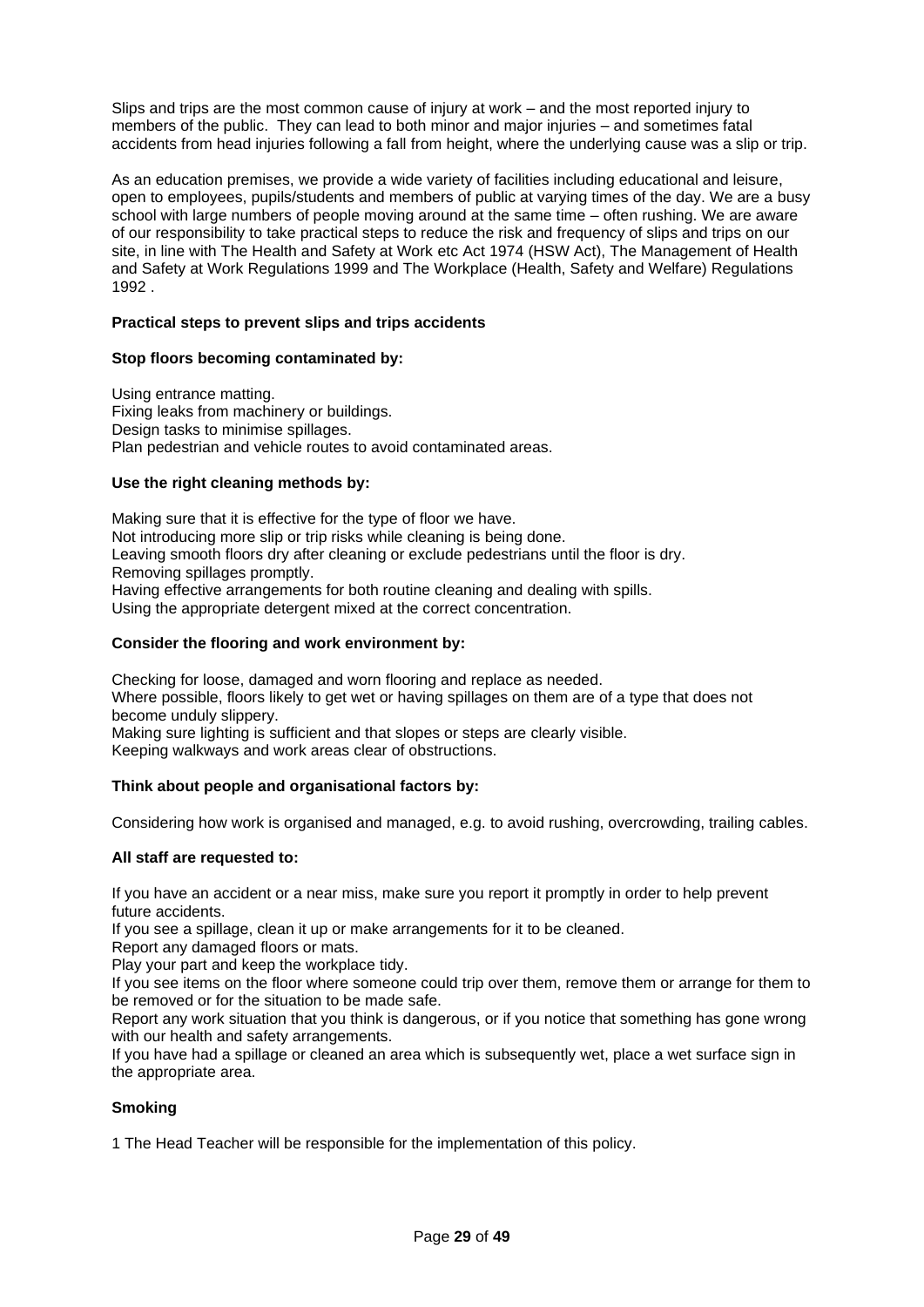Slips and trips are the most common cause of injury at work – and the most reported injury to members of the public. They can lead to both minor and major injuries – and sometimes fatal accidents from head injuries following a fall from height, where the underlying cause was a slip or trip.

As an education premises, we provide a wide variety of facilities including educational and leisure, open to employees, pupils/students and members of public at varying times of the day. We are a busy school with large numbers of people moving around at the same time – often rushing. We are aware of our responsibility to take practical steps to reduce the risk and frequency of slips and trips on our site, in line with The Health and Safety at Work etc Act 1974 (HSW Act), The Management of Health and Safety at Work Regulations 1999 and The Workplace (Health, Safety and Welfare) Regulations 1992 .

## **Practical steps to prevent slips and trips accidents**

### **Stop floors becoming contaminated by:**

Using entrance matting. Fixing leaks from machinery or buildings. Design tasks to minimise spillages. Plan pedestrian and vehicle routes to avoid contaminated areas.

### **Use the right cleaning methods by:**

Making sure that it is effective for the type of floor we have. Not introducing more slip or trip risks while cleaning is being done. Leaving smooth floors dry after cleaning or exclude pedestrians until the floor is dry. Removing spillages promptly. Having effective arrangements for both routine cleaning and dealing with spills. Using the appropriate detergent mixed at the correct concentration.

#### **Consider the flooring and work environment by:**

Checking for loose, damaged and worn flooring and replace as needed. Where possible, floors likely to get wet or having spillages on them are of a type that does not become unduly slippery.

Making sure lighting is sufficient and that slopes or steps are clearly visible. Keeping walkways and work areas clear of obstructions.

#### **Think about people and organisational factors by:**

Considering how work is organised and managed, e.g. to avoid rushing, overcrowding, trailing cables.

#### **All staff are requested to:**

If you have an accident or a near miss, make sure you report it promptly in order to help prevent future accidents.

If you see a spillage, clean it up or make arrangements for it to be cleaned.

Report any damaged floors or mats.

Play your part and keep the workplace tidy.

If you see items on the floor where someone could trip over them, remove them or arrange for them to be removed or for the situation to be made safe.

Report any work situation that you think is dangerous, or if you notice that something has gone wrong with our health and safety arrangements.

If you have had a spillage or cleaned an area which is subsequently wet, place a wet surface sign in the appropriate area.

#### <span id="page-28-0"></span>**Smoking**

1 The Head Teacher will be responsible for the implementation of this policy.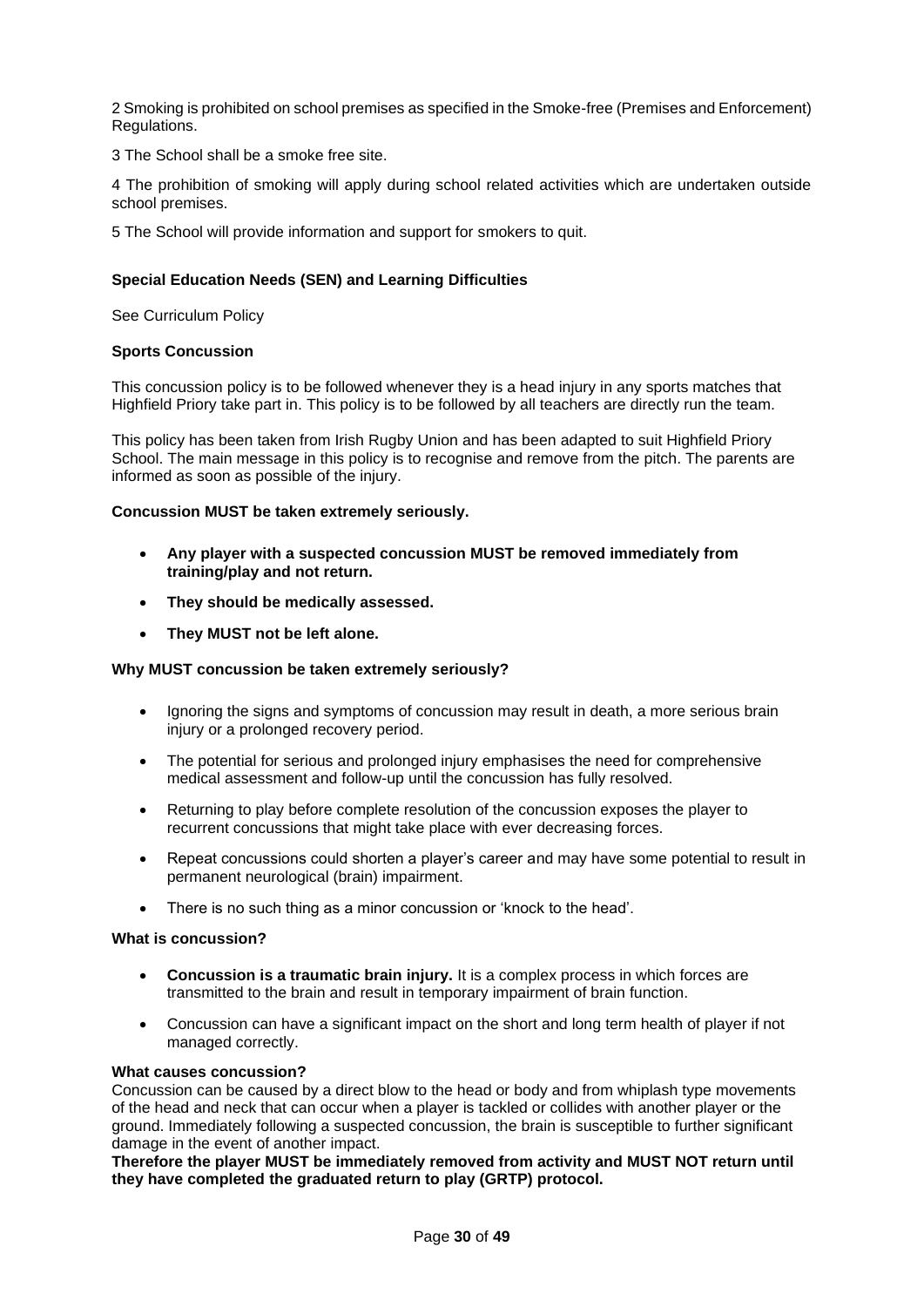2 Smoking is prohibited on school premises as specified in the Smoke-free (Premises and Enforcement) Regulations.

3 The School shall be a smoke free site.

4 The prohibition of smoking will apply during school related activities which are undertaken outside school premises.

5 The School will provide information and support for smokers to quit.

## <span id="page-29-0"></span>**Special Education Needs (SEN) and Learning Difficulties**

See Curriculum Policy

#### <span id="page-29-1"></span>**Sports Concussion**

This concussion policy is to be followed whenever they is a head injury in any sports matches that Highfield Priory take part in. This policy is to be followed by all teachers are directly run the team.

This policy has been taken from Irish Rugby Union and has been adapted to suit Highfield Priory School. The main message in this policy is to recognise and remove from the pitch. The parents are informed as soon as possible of the injury.

#### **Concussion MUST be taken extremely seriously.**

- **Any player with a suspected concussion MUST be removed immediately from training/play and not return.**
- **They should be medically assessed.**
- **They MUST not be left alone.**

#### **Why MUST concussion be taken extremely seriously?**

- Ignoring the signs and symptoms of concussion may result in death, a more serious brain injury or a prolonged recovery period.
- The potential for serious and prolonged injury emphasises the need for comprehensive medical assessment and follow-up until the concussion has fully resolved.
- Returning to play before complete resolution of the concussion exposes the player to recurrent concussions that might take place with ever decreasing forces.
- Repeat concussions could shorten a player's career and may have some potential to result in permanent neurological (brain) impairment.
- There is no such thing as a minor concussion or 'knock to the head'.

#### **What is concussion?**

- **Concussion is a traumatic brain injury.** It is a complex process in which forces are transmitted to the brain and result in temporary impairment of brain function.
- Concussion can have a significant impact on the short and long term health of player if not managed correctly.

#### **What causes concussion?**

Concussion can be caused by a direct blow to the head or body and from whiplash type movements of the head and neck that can occur when a player is tackled or collides with another player or the ground. Immediately following a suspected concussion, the brain is susceptible to further significant damage in the event of another impact.

**Therefore the player MUST be immediately removed from activity and MUST NOT return until they have completed the graduated return to play (GRTP) protocol.**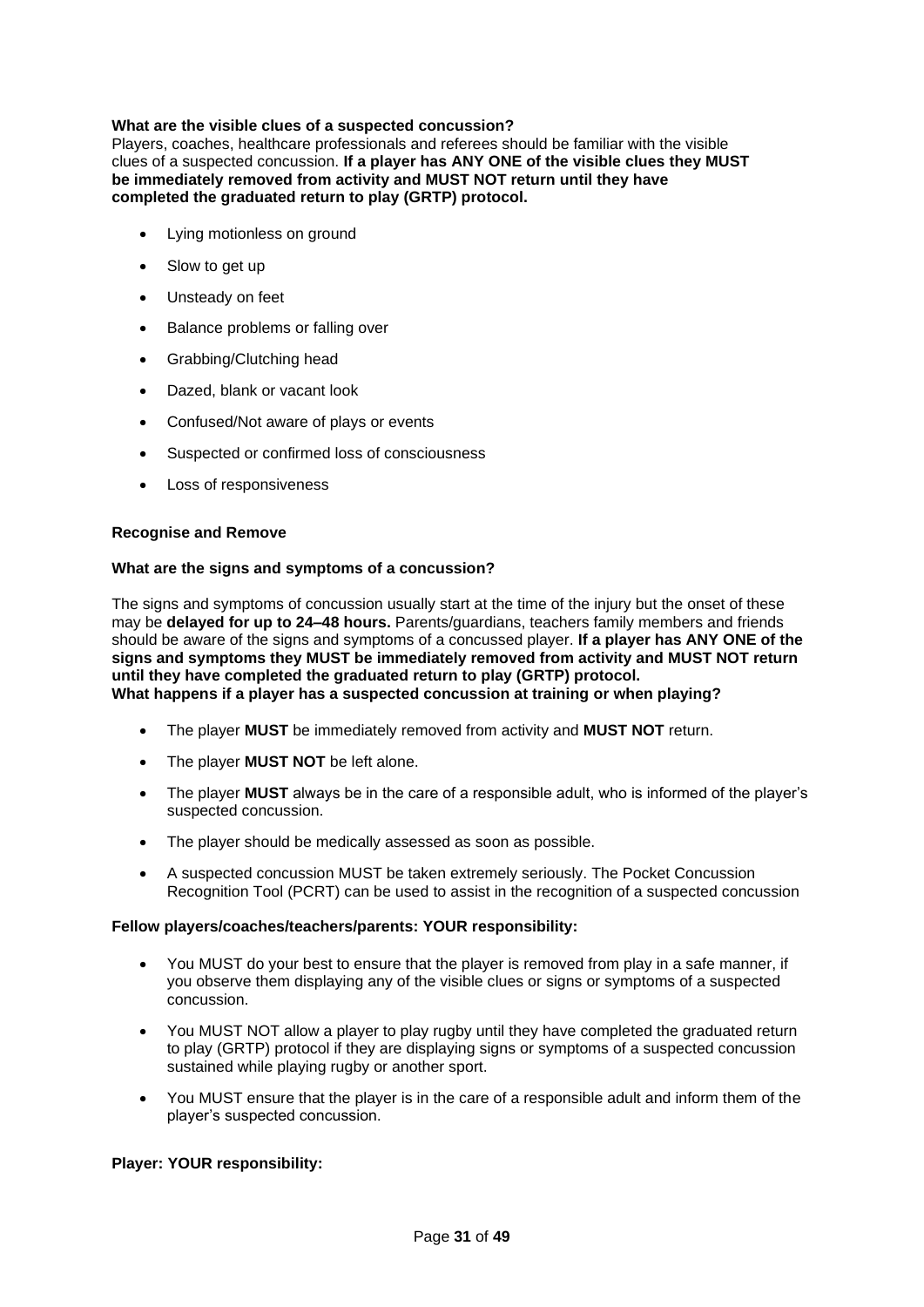## **What are the visible clues of a suspected concussion?**

Players, coaches, healthcare professionals and referees should be familiar with the visible clues of a suspected concussion. **If a player has ANY ONE of the visible clues they MUST be immediately removed from activity and MUST NOT return until they have completed the graduated return to play (GRTP) protocol.** 

- Lying motionless on ground
- Slow to get up
- Unsteady on feet
- Balance problems or falling over
- Grabbing/Clutching head
- Dazed, blank or vacant look
- Confused/Not aware of plays or events
- Suspected or confirmed loss of consciousness
- Loss of responsiveness

#### **Recognise and Remove**

#### **What are the signs and symptoms of a concussion?**

The signs and symptoms of concussion usually start at the time of the injury but the onset of these may be **delayed for up to 24–48 hours.** Parents/guardians, teachers family members and friends should be aware of the signs and symptoms of a concussed player. **If a player has ANY ONE of the signs and symptoms they MUST be immediately removed from activity and MUST NOT return until they have completed the graduated return to play (GRTP) protocol. What happens if a player has a suspected concussion at training or when playing?** 

- The player **MUST** be immediately removed from activity and **MUST NOT** return.
- The player **MUST NOT** be left alone.
- The player **MUST** always be in the care of a responsible adult, who is informed of the player's suspected concussion.
- The player should be medically assessed as soon as possible.
- A suspected concussion MUST be taken extremely seriously. The Pocket Concussion Recognition Tool (PCRT) can be used to assist in the recognition of a suspected concussion

#### **Fellow players/coaches/teachers/parents: YOUR responsibility:**

- You MUST do your best to ensure that the player is removed from play in a safe manner, if you observe them displaying any of the visible clues or signs or symptoms of a suspected concussion.
- You MUST NOT allow a player to play rugby until they have completed the graduated return to play (GRTP) protocol if they are displaying signs or symptoms of a suspected concussion sustained while playing rugby or another sport.
- You MUST ensure that the player is in the care of a responsible adult and inform them of the player's suspected concussion.

#### **Player: YOUR responsibility:**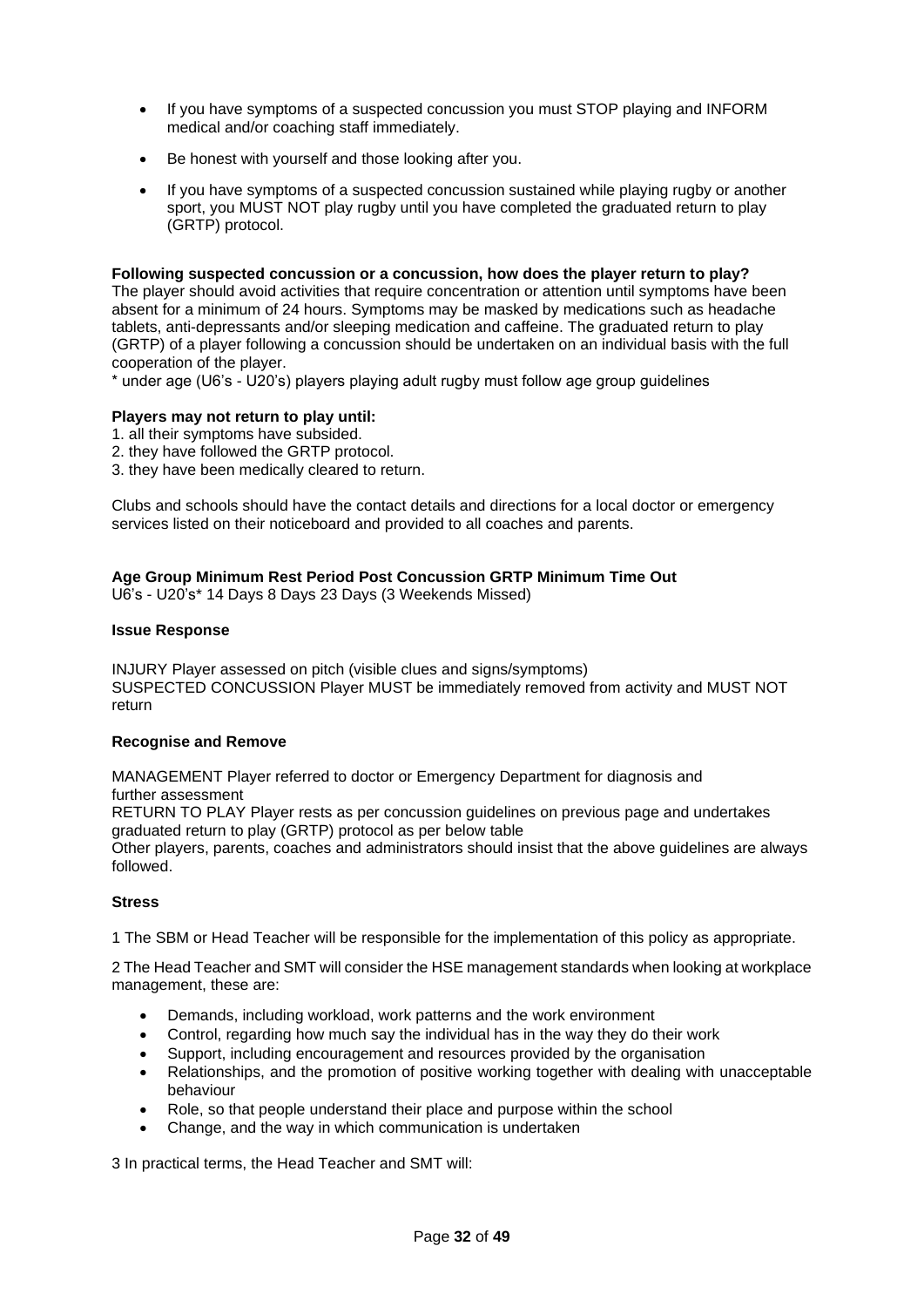- If you have symptoms of a suspected concussion you must STOP playing and INFORM medical and/or coaching staff immediately.
- Be honest with yourself and those looking after you.
- If you have symptoms of a suspected concussion sustained while playing rugby or another sport, you MUST NOT play rugby until you have completed the graduated return to play (GRTP) protocol.

### **Following suspected concussion or a concussion, how does the player return to play?**

The player should avoid activities that require concentration or attention until symptoms have been absent for a minimum of 24 hours. Symptoms may be masked by medications such as headache tablets, anti-depressants and/or sleeping medication and caffeine. The graduated return to play (GRTP) of a player following a concussion should be undertaken on an individual basis with the full cooperation of the player.

\* under age (U6's - U20's) players playing adult rugby must follow age group guidelines

### **Players may not return to play until:**

- 1. all their symptoms have subsided.
- 2. they have followed the GRTP protocol.
- 3. they have been medically cleared to return.

Clubs and schools should have the contact details and directions for a local doctor or emergency services listed on their noticeboard and provided to all coaches and parents.

## **Age Group Minimum Rest Period Post Concussion GRTP Minimum Time Out**

U6's - U20's\* 14 Days 8 Days 23 Days (3 Weekends Missed)

#### **Issue Response**

INJURY Player assessed on pitch (visible clues and signs/symptoms) SUSPECTED CONCUSSION Player MUST be immediately removed from activity and MUST NOT return

#### **Recognise and Remove**

MANAGEMENT Player referred to doctor or Emergency Department for diagnosis and further assessment

RETURN TO PLAY Player rests as per concussion guidelines on previous page and undertakes graduated return to play (GRTP) protocol as per below table

Other players, parents, coaches and administrators should insist that the above guidelines are always followed.

#### <span id="page-31-0"></span>**Stress**

1 The SBM or Head Teacher will be responsible for the implementation of this policy as appropriate.

2 The Head Teacher and SMT will consider the HSE management standards when looking at workplace management, these are:

- Demands, including workload, work patterns and the work environment
- Control, regarding how much say the individual has in the way they do their work
- Support, including encouragement and resources provided by the organisation
- Relationships, and the promotion of positive working together with dealing with unacceptable behaviour
- Role, so that people understand their place and purpose within the school
- Change, and the way in which communication is undertaken

3 In practical terms, the Head Teacher and SMT will: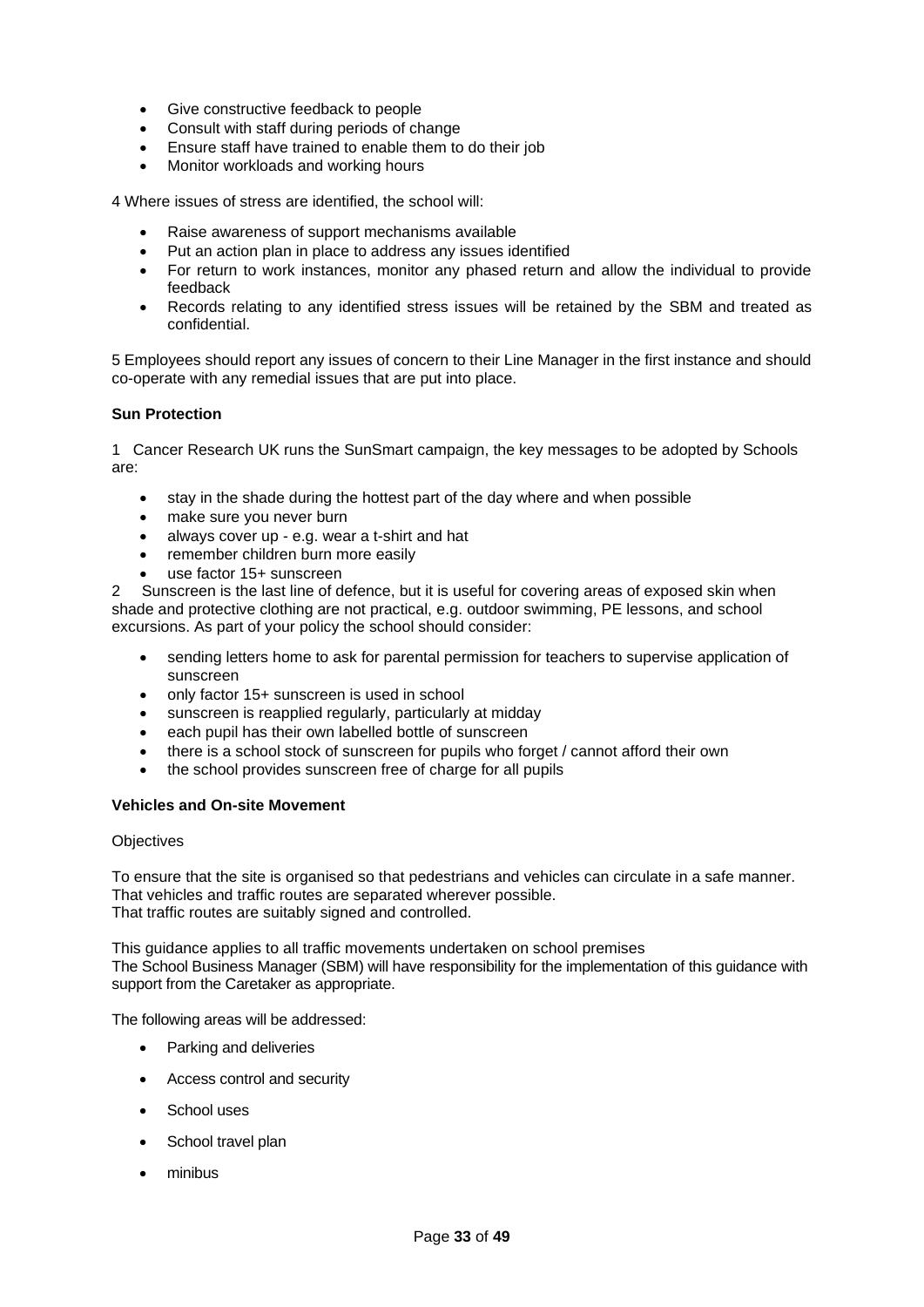- Give constructive feedback to people
- Consult with staff during periods of change
- Ensure staff have trained to enable them to do their job
- Monitor workloads and working hours

4 Where issues of stress are identified, the school will:

- Raise awareness of support mechanisms available
- Put an action plan in place to address any issues identified
- For return to work instances, monitor any phased return and allow the individual to provide feedback
- Records relating to any identified stress issues will be retained by the SBM and treated as confidential.

5 Employees should report any issues of concern to their Line Manager in the first instance and should co-operate with any remedial issues that are put into place.

### <span id="page-32-0"></span>**Sun Protection**

1 Cancer Research UK runs the SunSmart campaign, the key messages to be adopted by Schools are:

- stay in the shade during the hottest part of the day where and when possible
- make sure you never burn
- always cover up e.g. wear a t-shirt and hat
- remember children burn more easily
- use factor 15+ sunscreen

2 Sunscreen is the last line of defence, but it is useful for covering areas of exposed skin when shade and protective clothing are not practical, e.g. outdoor swimming, PE lessons, and school excursions. As part of your policy the school should consider:

- sending letters home to ask for parental permission for teachers to supervise application of sunscreen
- only factor 15+ sunscreen is used in school
- sunscreen is reapplied regularly, particularly at midday
- each pupil has their own labelled bottle of sunscreen
- there is a school stock of sunscreen for pupils who forget / cannot afford their own
- the school provides sunscreen free of charge for all pupils

#### <span id="page-32-1"></span>**Vehicles and On-site Movement**

#### **Objectives**

To ensure that the site is organised so that pedestrians and vehicles can circulate in a safe manner. That vehicles and traffic routes are separated wherever possible. That traffic routes are suitably signed and controlled.

This guidance applies to all traffic movements undertaken on school premises The School Business Manager (SBM) will have responsibility for the implementation of this guidance with support from the Caretaker as appropriate.

The following areas will be addressed:

- Parking and deliveries
- Access control and security
- School uses
- School travel plan
- minibus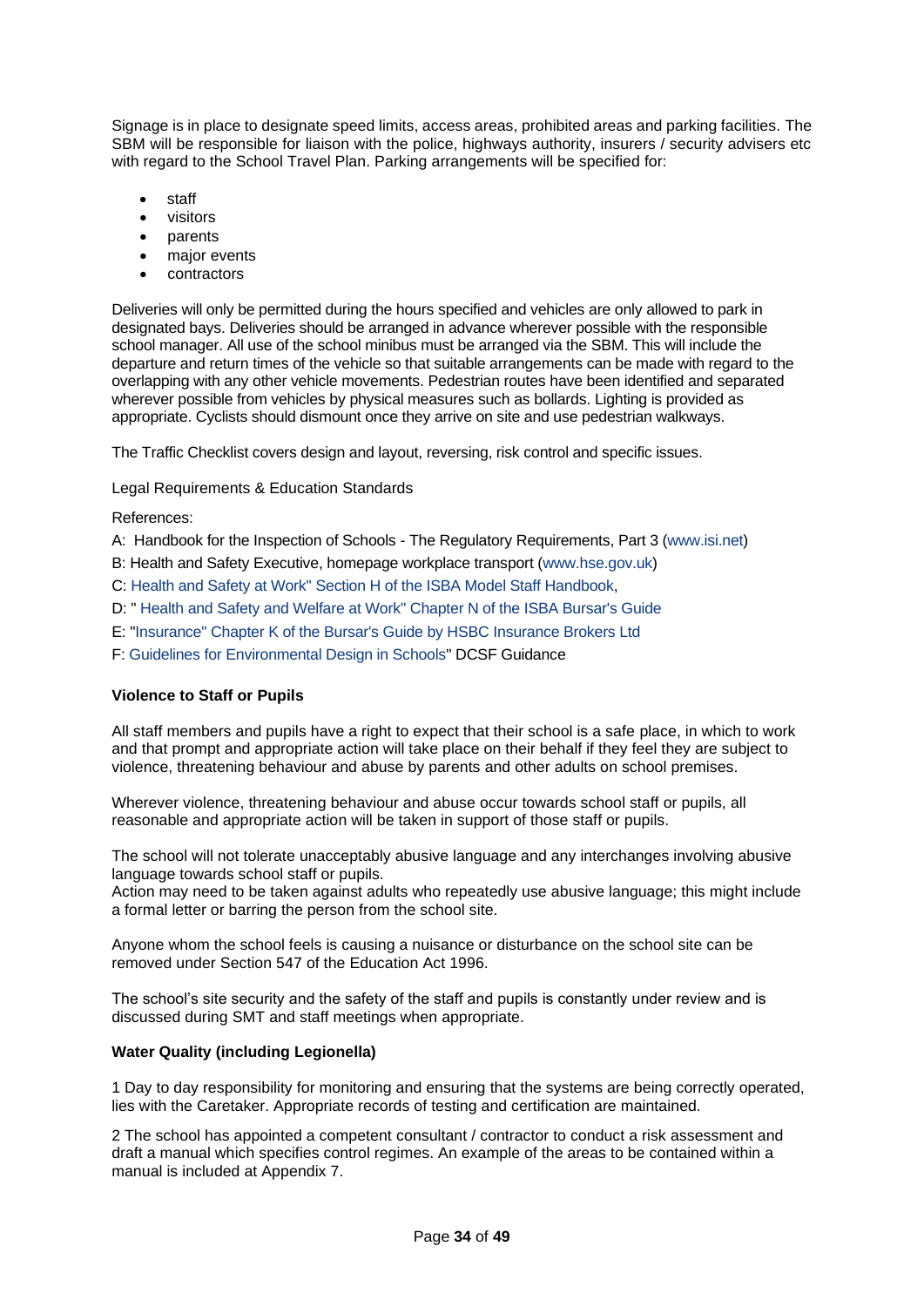Signage is in place to designate speed limits, access areas, prohibited areas and parking facilities. The SBM will be responsible for liaison with the police, highways authority, insurers / security advisers etc with regard to the School Travel Plan. Parking arrangements will be specified for:

- staff
- visitors
- parents
- major events
- contractors

Deliveries will only be permitted during the hours specified and vehicles are only allowed to park in designated bays. Deliveries should be arranged in advance wherever possible with the responsible school manager. All use of the school minibus must be arranged via the SBM. This will include the departure and return times of the vehicle so that suitable arrangements can be made with regard to the overlapping with any other vehicle movements. Pedestrian routes have been identified and separated wherever possible from vehicles by physical measures such as bollards. Lighting is provided as appropriate. Cyclists should dismount once they arrive on site and use pedestrian walkways.

The Traffic Checklist covers design and layout, reversing, risk control and specific issues.

Legal Requirements & Education Standards

References:

A: Handbook for the Inspection of Schools - The Regulatory Requirements, Part 3 [\(www.isi.net\)](http://www.isi.net/)

- B: Health and Safety Executive, homepage workplace transport [\(www.hse.gov.uk\)](http://www.hse.gov.uk/)
- C: [Health and Safety at Work" Section H of the ISBA Model Staff Handbook,](https://members.theisba.org.uk/member-tools/reference-library-repository/human-resources/staff-management/staff-handbook-section-i.aspx)
- D: " [Health and Safety and Welfare at Work" Chapter N of the ISBA Bursar's Guide](https://members.theisba.org.uk/member-tools/reference-library-repository/health-safety/management/bursars-guide-chapter-n-health-and-safety-and-welfare-at-work.aspx)
- E: ["Insurance" Chapter K of the Bursar's Guide by HSBC Insurance Brokers Ltd](https://members.theisba.org.uk/42996)
- F: [Guidelines for Environmental Design in Schools"](http://www.cleapss.org.uk/attachments/article/0/BB87%202nd%20Ed%20Ver%201.pdf?Free%20Publications/Building%20Bulletins/) DCSF Guidance

## <span id="page-33-0"></span>**Violence to Staff or Pupils**

All staff members and pupils have a right to expect that their school is a safe place, in which to work and that prompt and appropriate action will take place on their behalf if they feel they are subject to violence, threatening behaviour and abuse by parents and other adults on school premises.

Wherever violence, threatening behaviour and abuse occur towards school staff or pupils, all reasonable and appropriate action will be taken in support of those staff or pupils.

The school will not tolerate unacceptably abusive language and any interchanges involving abusive language towards school staff or pupils.

Action may need to be taken against adults who repeatedly use abusive language; this might include a formal letter or barring the person from the school site.

Anyone whom the school feels is causing a nuisance or disturbance on the school site can be removed under Section 547 of the Education Act 1996.

The school's site security and the safety of the staff and pupils is constantly under review and is discussed during SMT and staff meetings when appropriate.

#### <span id="page-33-1"></span>**Water Quality (including Legionella)**

1 Day to day responsibility for monitoring and ensuring that the systems are being correctly operated, lies with the Caretaker. Appropriate records of testing and certification are maintained.

2 The school has appointed a competent consultant / contractor to conduct a risk assessment and draft a manual which specifies control regimes. An example of the areas to be contained within a manual is included at Appendix 7.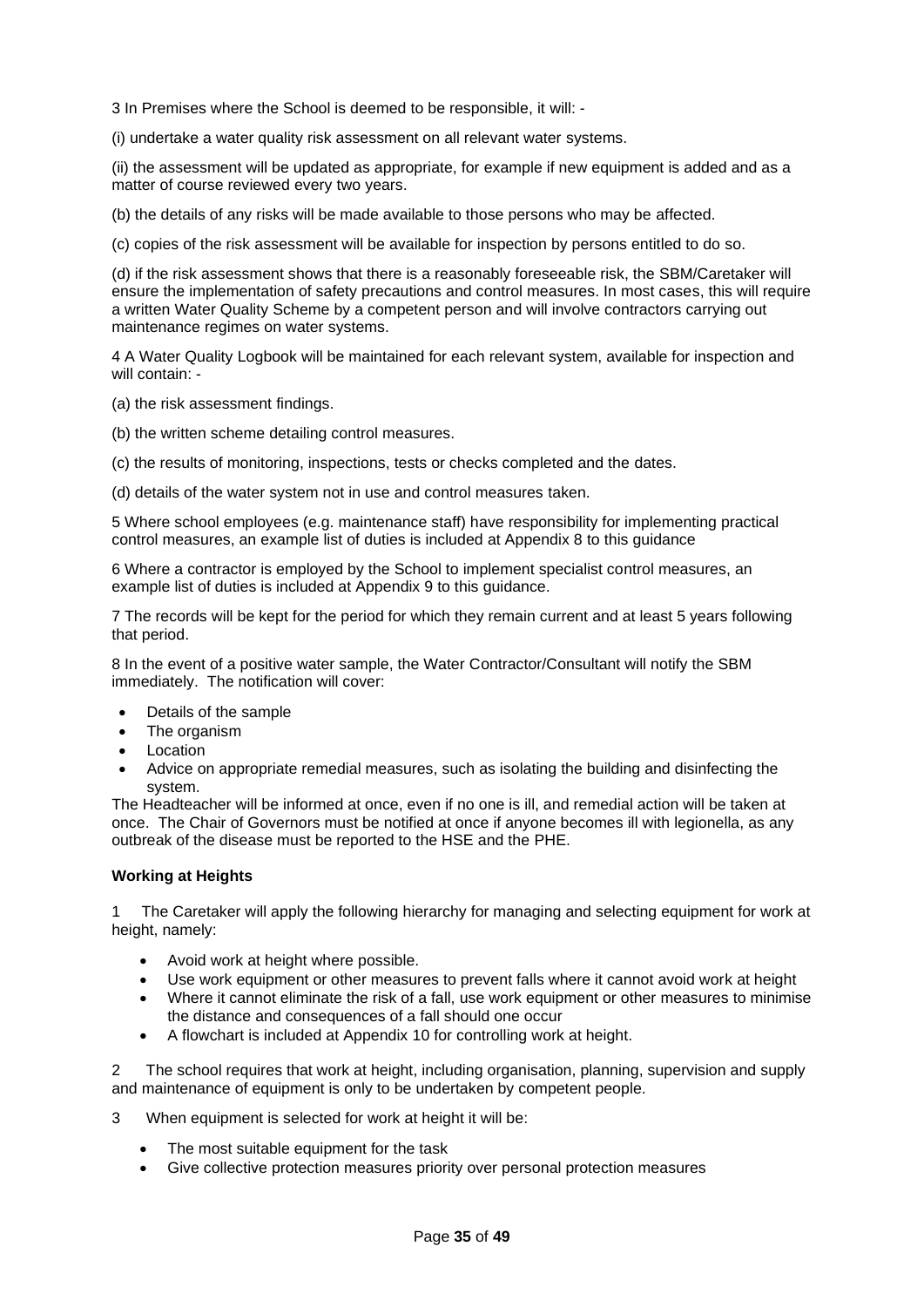3 In Premises where the School is deemed to be responsible, it will: -

(i) undertake a water quality risk assessment on all relevant water systems.

(ii) the assessment will be updated as appropriate, for example if new equipment is added and as a matter of course reviewed every two years.

(b) the details of any risks will be made available to those persons who may be affected.

(c) copies of the risk assessment will be available for inspection by persons entitled to do so.

(d) if the risk assessment shows that there is a reasonably foreseeable risk, the SBM/Caretaker will ensure the implementation of safety precautions and control measures. In most cases, this will require a written Water Quality Scheme by a competent person and will involve contractors carrying out maintenance regimes on water systems.

4 A Water Quality Logbook will be maintained for each relevant system, available for inspection and will contain: -

(a) the risk assessment findings.

(b) the written scheme detailing control measures.

(c) the results of monitoring, inspections, tests or checks completed and the dates.

(d) details of the water system not in use and control measures taken.

5 Where school employees (e.g. maintenance staff) have responsibility for implementing practical control measures, an example list of duties is included at Appendix 8 to this guidance

6 Where a contractor is employed by the School to implement specialist control measures, an example list of duties is included at Appendix 9 to this guidance.

7 The records will be kept for the period for which they remain current and at least 5 years following that period.

8 In the event of a positive water sample, the Water Contractor/Consultant will notify the SBM immediately. The notification will cover:

- Details of the sample
- The organism
- **Location**
- Advice on appropriate remedial measures, such as isolating the building and disinfecting the system.

The Headteacher will be informed at once, even if no one is ill, and remedial action will be taken at once. The Chair of Governors must be notified at once if anyone becomes ill with legionella, as any outbreak of the disease must be reported to the HSE and the PHE.

#### <span id="page-34-0"></span>**Working at Heights**

1 The Caretaker will apply the following hierarchy for managing and selecting equipment for work at height, namely:

- Avoid work at height where possible.
- Use work equipment or other measures to prevent falls where it cannot avoid work at height
- Where it cannot eliminate the risk of a fall, use work equipment or other measures to minimise the distance and consequences of a fall should one occur
- A flowchart is included at Appendix 10 for controlling work at height.

2 The school requires that work at height, including organisation, planning, supervision and supply and maintenance of equipment is only to be undertaken by competent people.

- 3 When equipment is selected for work at height it will be:
	- The most suitable equipment for the task
	- Give collective protection measures priority over personal protection measures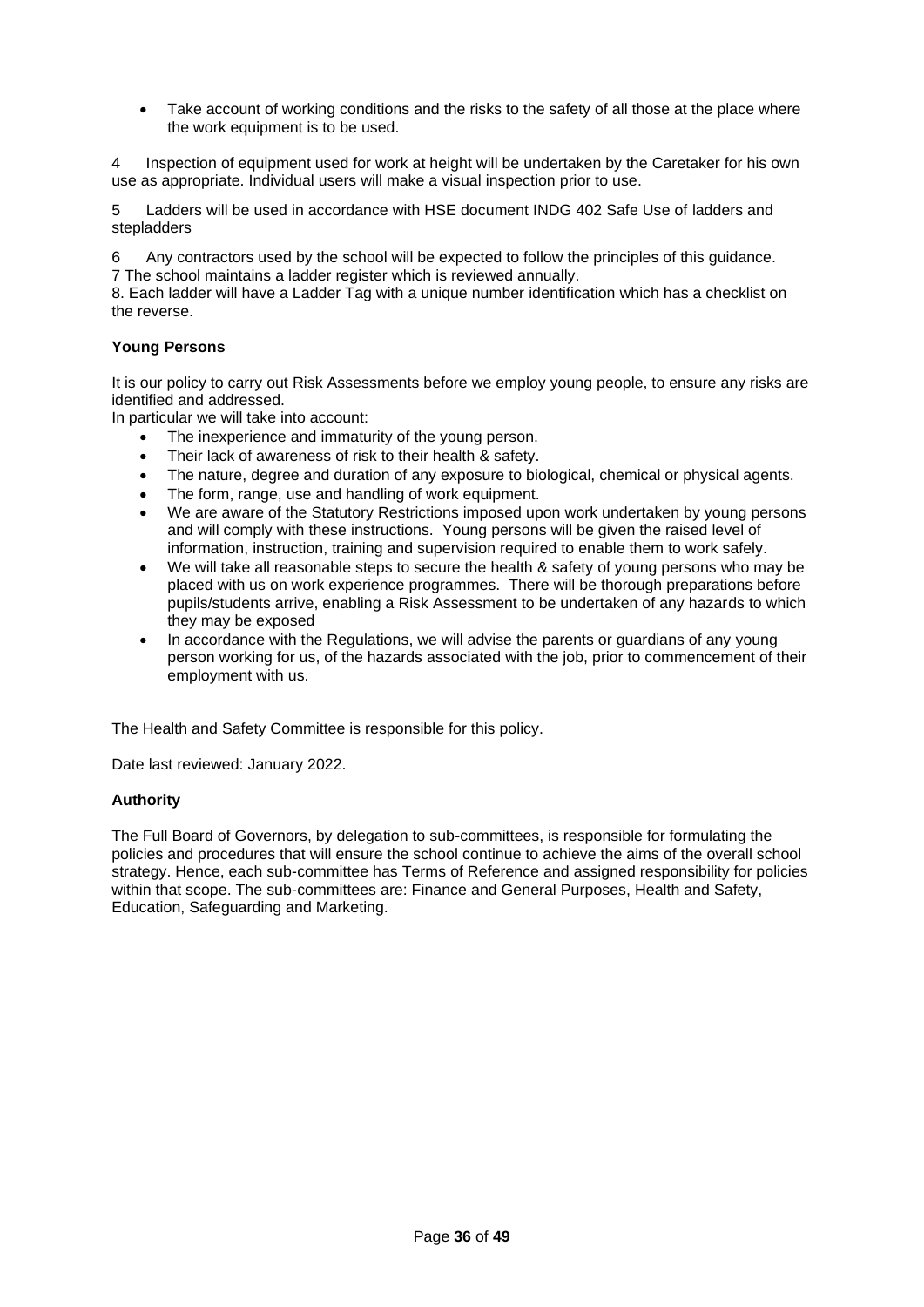• Take account of working conditions and the risks to the safety of all those at the place where the work equipment is to be used.

4 Inspection of equipment used for work at height will be undertaken by the Caretaker for his own use as appropriate. Individual users will make a visual inspection prior to use.

5 Ladders will be used in accordance with HSE document INDG 402 Safe Use of ladders and stepladders

6 Any contractors used by the school will be expected to follow the principles of this guidance. 7 The school maintains a ladder register which is reviewed annually.

8. Each ladder will have a Ladder Tag with a unique number identification which has a checklist on the reverse.

## <span id="page-35-0"></span>**Young Persons**

It is our policy to carry out Risk Assessments before we employ young people, to ensure any risks are identified and addressed.

In particular we will take into account:

- The inexperience and immaturity of the young person.
- Their lack of awareness of risk to their health & safety.
- The nature, degree and duration of any exposure to biological, chemical or physical agents.
- The form, range, use and handling of work equipment.
- We are aware of the Statutory Restrictions imposed upon work undertaken by young persons and will comply with these instructions. Young persons will be given the raised level of information, instruction, training and supervision required to enable them to work safely.
- We will take all reasonable steps to secure the health & safety of young persons who may be placed with us on work experience programmes. There will be thorough preparations before pupils/students arrive, enabling a Risk Assessment to be undertaken of any hazards to which they may be exposed
- In accordance with the Regulations, we will advise the parents or guardians of any young person working for us, of the hazards associated with the job, prior to commencement of their employment with us.

The Health and Safety Committee is responsible for this policy.

Date last reviewed: January 2022.

#### **Authority**

The Full Board of Governors, by delegation to sub-committees, is responsible for formulating the policies and procedures that will ensure the school continue to achieve the aims of the overall school strategy. Hence, each sub-committee has Terms of Reference and assigned responsibility for policies within that scope. The sub-committees are: Finance and General Purposes, Health and Safety, Education, Safeguarding and Marketing.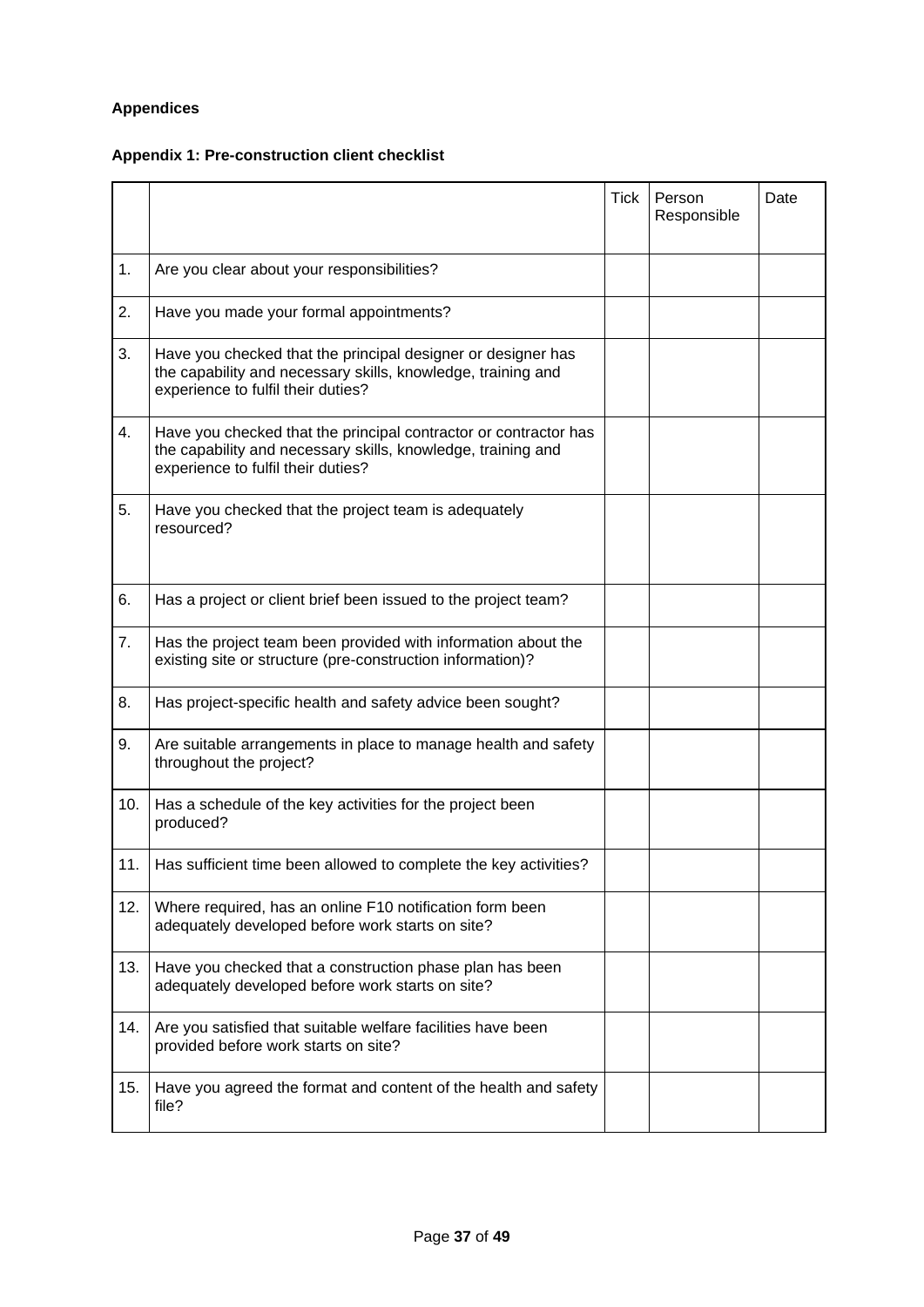# <span id="page-36-0"></span>**Appendices**

# <span id="page-36-1"></span>**Appendix 1: Pre-construction client checklist**

|     |                                                                                                                                                                        | <b>Tick</b> | Person<br>Responsible | Date |
|-----|------------------------------------------------------------------------------------------------------------------------------------------------------------------------|-------------|-----------------------|------|
| 1.  | Are you clear about your responsibilities?                                                                                                                             |             |                       |      |
| 2.  | Have you made your formal appointments?                                                                                                                                |             |                       |      |
| 3.  | Have you checked that the principal designer or designer has<br>the capability and necessary skills, knowledge, training and<br>experience to fulfil their duties?     |             |                       |      |
| 4.  | Have you checked that the principal contractor or contractor has<br>the capability and necessary skills, knowledge, training and<br>experience to fulfil their duties? |             |                       |      |
| 5.  | Have you checked that the project team is adequately<br>resourced?                                                                                                     |             |                       |      |
| 6.  | Has a project or client brief been issued to the project team?                                                                                                         |             |                       |      |
| 7.  | Has the project team been provided with information about the<br>existing site or structure (pre-construction information)?                                            |             |                       |      |
| 8.  | Has project-specific health and safety advice been sought?                                                                                                             |             |                       |      |
| 9.  | Are suitable arrangements in place to manage health and safety<br>throughout the project?                                                                              |             |                       |      |
| 10. | Has a schedule of the key activities for the project been<br>produced?                                                                                                 |             |                       |      |
| 11. | Has sufficient time been allowed to complete the key activities?                                                                                                       |             |                       |      |
| 12. | Where required, has an online F10 notification form been<br>adequately developed before work starts on site?                                                           |             |                       |      |
| 13. | Have you checked that a construction phase plan has been<br>adequately developed before work starts on site?                                                           |             |                       |      |
| 14. | Are you satisfied that suitable welfare facilities have been<br>provided before work starts on site?                                                                   |             |                       |      |
| 15. | Have you agreed the format and content of the health and safety<br>file?                                                                                               |             |                       |      |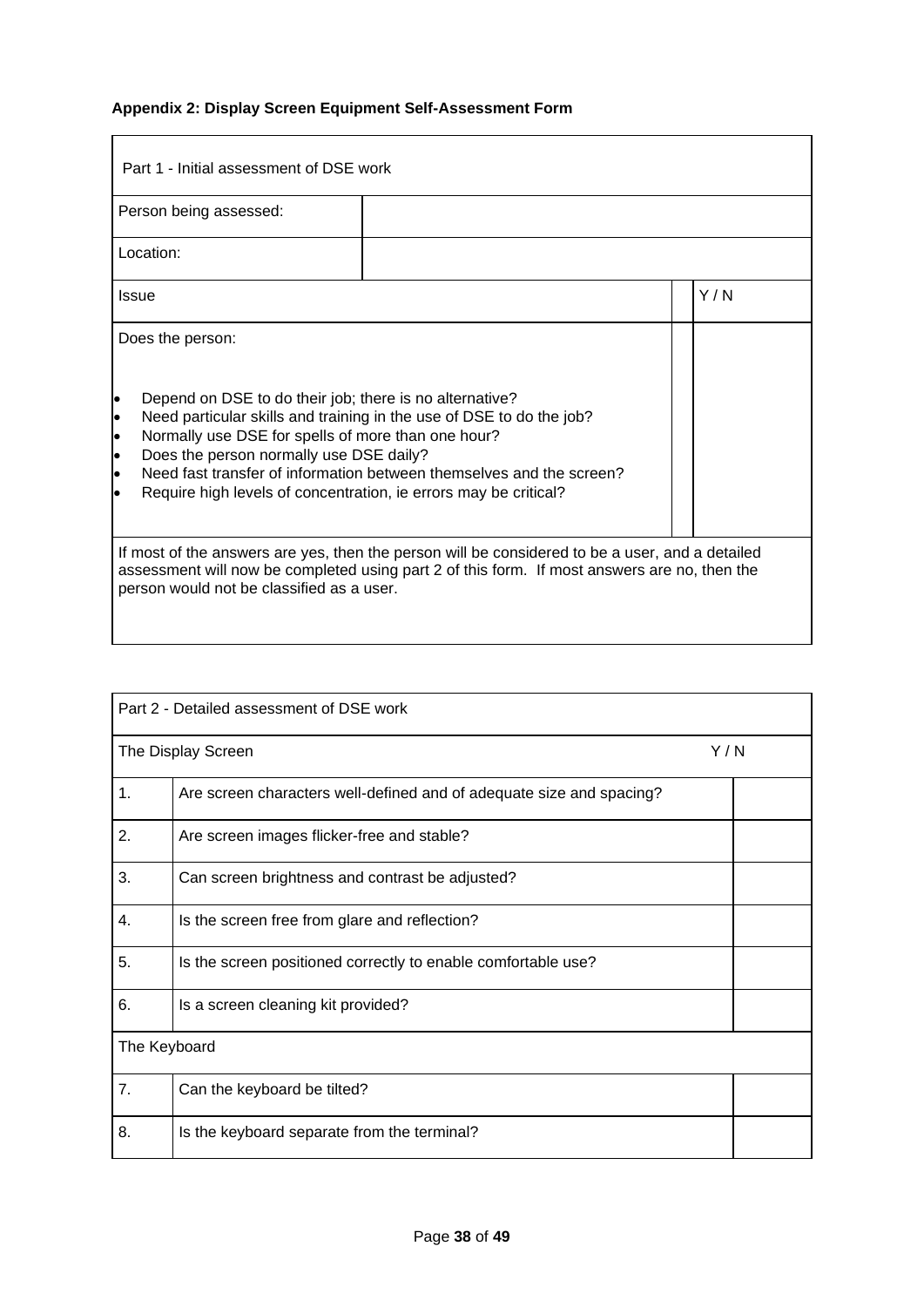# <span id="page-37-0"></span>**Appendix 2: Display Screen Equipment Self-Assessment Form**

| Part 1 - Initial assessment of DSE work<br>Person being assessed:                                                                                                                                                                                                                                                                                                                                                                                                              |  |  |     |
|--------------------------------------------------------------------------------------------------------------------------------------------------------------------------------------------------------------------------------------------------------------------------------------------------------------------------------------------------------------------------------------------------------------------------------------------------------------------------------|--|--|-----|
| Location:                                                                                                                                                                                                                                                                                                                                                                                                                                                                      |  |  |     |
| Issue                                                                                                                                                                                                                                                                                                                                                                                                                                                                          |  |  | Y/N |
| Does the person:<br>Depend on DSE to do their job; there is no alternative?<br>$\bullet$<br>Need particular skills and training in the use of DSE to do the job?<br>$\bullet$<br>Normally use DSE for spells of more than one hour?<br>$\bullet$<br>Does the person normally use DSE daily?<br>$\bullet$<br>Need fast transfer of information between themselves and the screen?<br>$\bullet$<br>Require high levels of concentration, ie errors may be critical?<br>$\bullet$ |  |  |     |
| If most of the answers are yes, then the person will be considered to be a user, and a detailed<br>assessment will now be completed using part 2 of this form. If most answers are no, then the<br>person would not be classified as a user.                                                                                                                                                                                                                                   |  |  |     |

|              | Part 2 - Detailed assessment of DSE work                             |     |
|--------------|----------------------------------------------------------------------|-----|
|              | The Display Screen                                                   | Y/N |
| 1.           | Are screen characters well-defined and of adequate size and spacing? |     |
| 2.           | Are screen images flicker-free and stable?                           |     |
| 3.           | Can screen brightness and contrast be adjusted?                      |     |
| 4.           | Is the screen free from glare and reflection?                        |     |
| 5.           | Is the screen positioned correctly to enable comfortable use?        |     |
| 6.           | Is a screen cleaning kit provided?                                   |     |
| The Keyboard |                                                                      |     |
| 7.           | Can the keyboard be tilted?                                          |     |
| 8.           | Is the keyboard separate from the terminal?                          |     |

<u> 1980 - Johann Barnett, fransk politik (d. 1980)</u>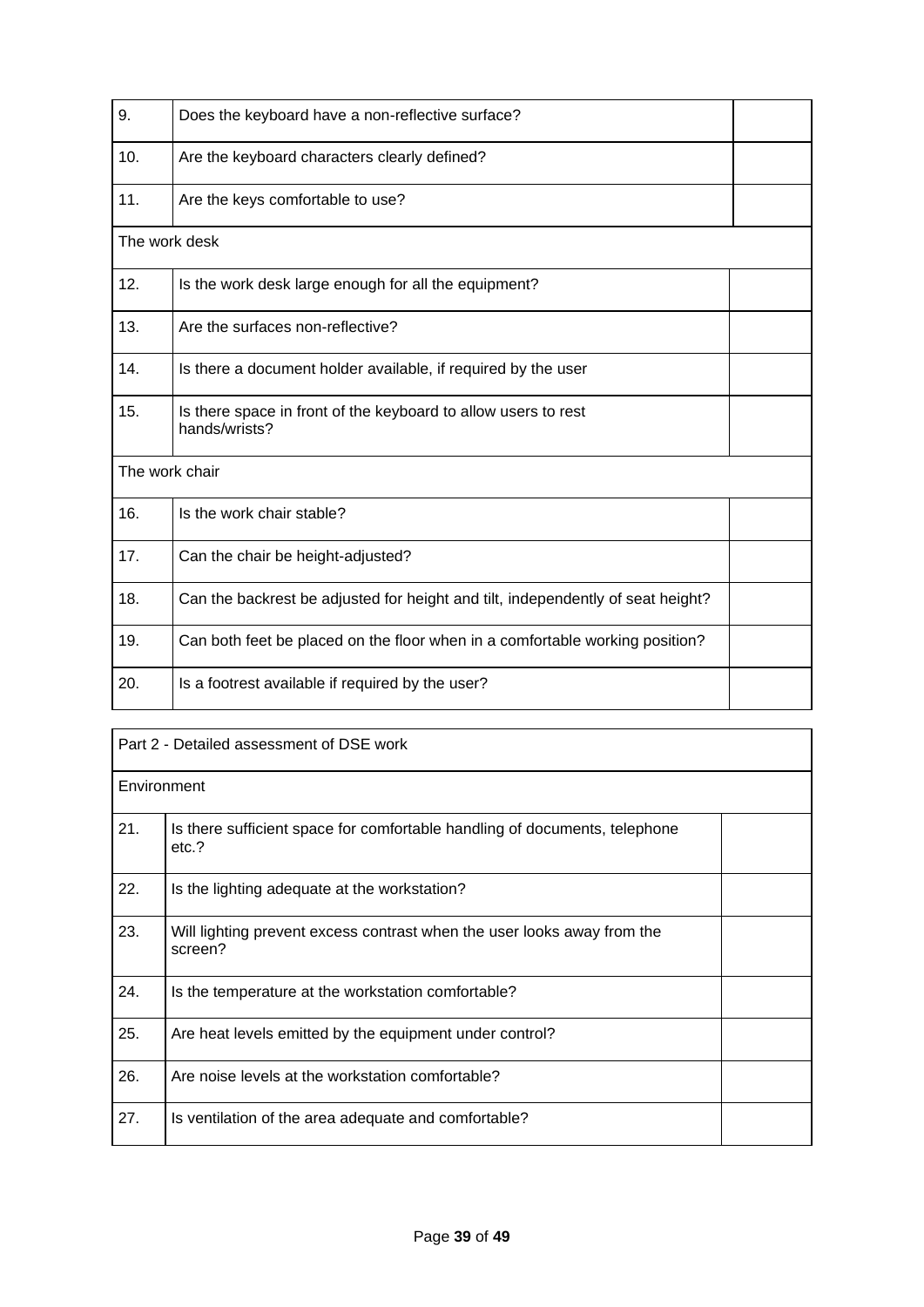| 9.             | Does the keyboard have a non-reflective surface?                                |  |
|----------------|---------------------------------------------------------------------------------|--|
| 10.            | Are the keyboard characters clearly defined?                                    |  |
| 11.            | Are the keys comfortable to use?                                                |  |
| The work desk  |                                                                                 |  |
| 12.            | Is the work desk large enough for all the equipment?                            |  |
| 13.            | Are the surfaces non-reflective?                                                |  |
| 14.            | Is there a document holder available, if required by the user                   |  |
| 15.            | Is there space in front of the keyboard to allow users to rest<br>hands/wrists? |  |
| The work chair |                                                                                 |  |
| 16.            | Is the work chair stable?                                                       |  |
| 17.            | Can the chair be height-adjusted?                                               |  |
| 18.            | Can the backrest be adjusted for height and tilt, independently of seat height? |  |
| 19.            | Can both feet be placed on the floor when in a comfortable working position?    |  |
| 20.            | Is a footrest available if required by the user?                                |  |

| Part 2 - Detailed assessment of DSE work |                                                                                     |  |  |  |
|------------------------------------------|-------------------------------------------------------------------------------------|--|--|--|
|                                          | Environment                                                                         |  |  |  |
| 21.                                      | Is there sufficient space for comfortable handling of documents, telephone<br>etc.? |  |  |  |
| 22.                                      | Is the lighting adequate at the workstation?                                        |  |  |  |
| 23.                                      | Will lighting prevent excess contrast when the user looks away from the<br>screen?  |  |  |  |
| 24.                                      | Is the temperature at the workstation comfortable?                                  |  |  |  |
| 25.                                      | Are heat levels emitted by the equipment under control?                             |  |  |  |
| 26.                                      | Are noise levels at the workstation comfortable?                                    |  |  |  |
| 27.                                      | Is ventilation of the area adequate and comfortable?                                |  |  |  |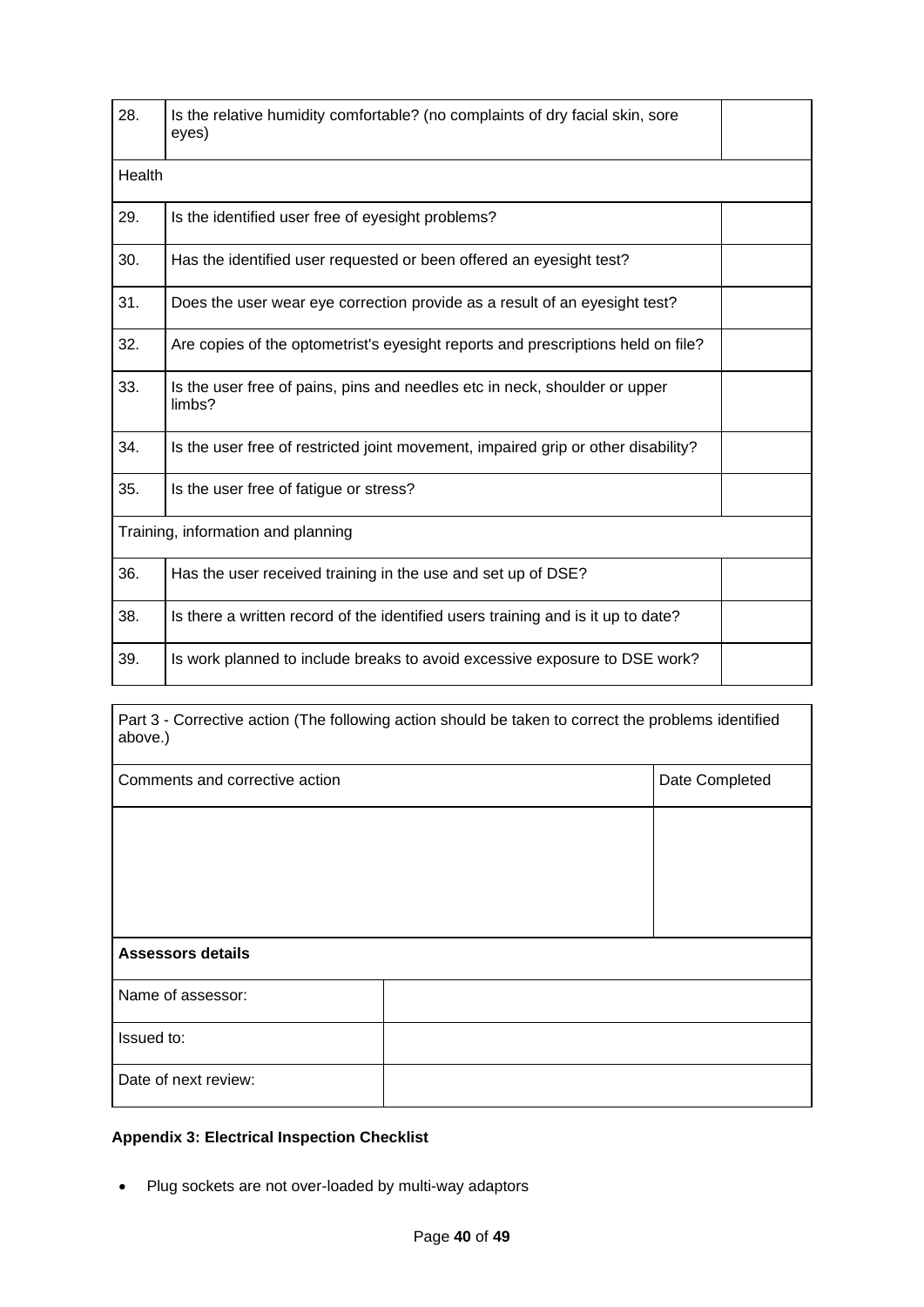| 28.                                | Is the relative humidity comfortable? (no complaints of dry facial skin, sore<br>eyes) |  |  |
|------------------------------------|----------------------------------------------------------------------------------------|--|--|
| Health                             |                                                                                        |  |  |
| 29.                                | Is the identified user free of eyesight problems?                                      |  |  |
| 30.                                | Has the identified user requested or been offered an eyesight test?                    |  |  |
| 31.                                | Does the user wear eye correction provide as a result of an eyesight test?             |  |  |
| 32.                                | Are copies of the optometrist's eyesight reports and prescriptions held on file?       |  |  |
| 33.                                | Is the user free of pains, pins and needles etc in neck, shoulder or upper<br>limbs?   |  |  |
| 34.                                | Is the user free of restricted joint movement, impaired grip or other disability?      |  |  |
| 35.                                | Is the user free of fatigue or stress?                                                 |  |  |
| Training, information and planning |                                                                                        |  |  |
| 36.                                | Has the user received training in the use and set up of DSE?                           |  |  |
| 38.                                | Is there a written record of the identified users training and is it up to date?       |  |  |
| 39.                                | Is work planned to include breaks to avoid excessive exposure to DSE work?             |  |  |

Part 3 - Corrective action (The following action should be taken to correct the problems identified above.)

| Comments and corrective action |  | Date Completed |  |
|--------------------------------|--|----------------|--|
|                                |  |                |  |
|                                |  |                |  |
|                                |  |                |  |
| <b>Assessors details</b>       |  |                |  |
| Name of assessor:              |  |                |  |
| Issued to:                     |  |                |  |
| Date of next review:           |  |                |  |

## <span id="page-39-0"></span>**Appendix 3: Electrical Inspection Checklist**

• Plug sockets are not over-loaded by multi-way adaptors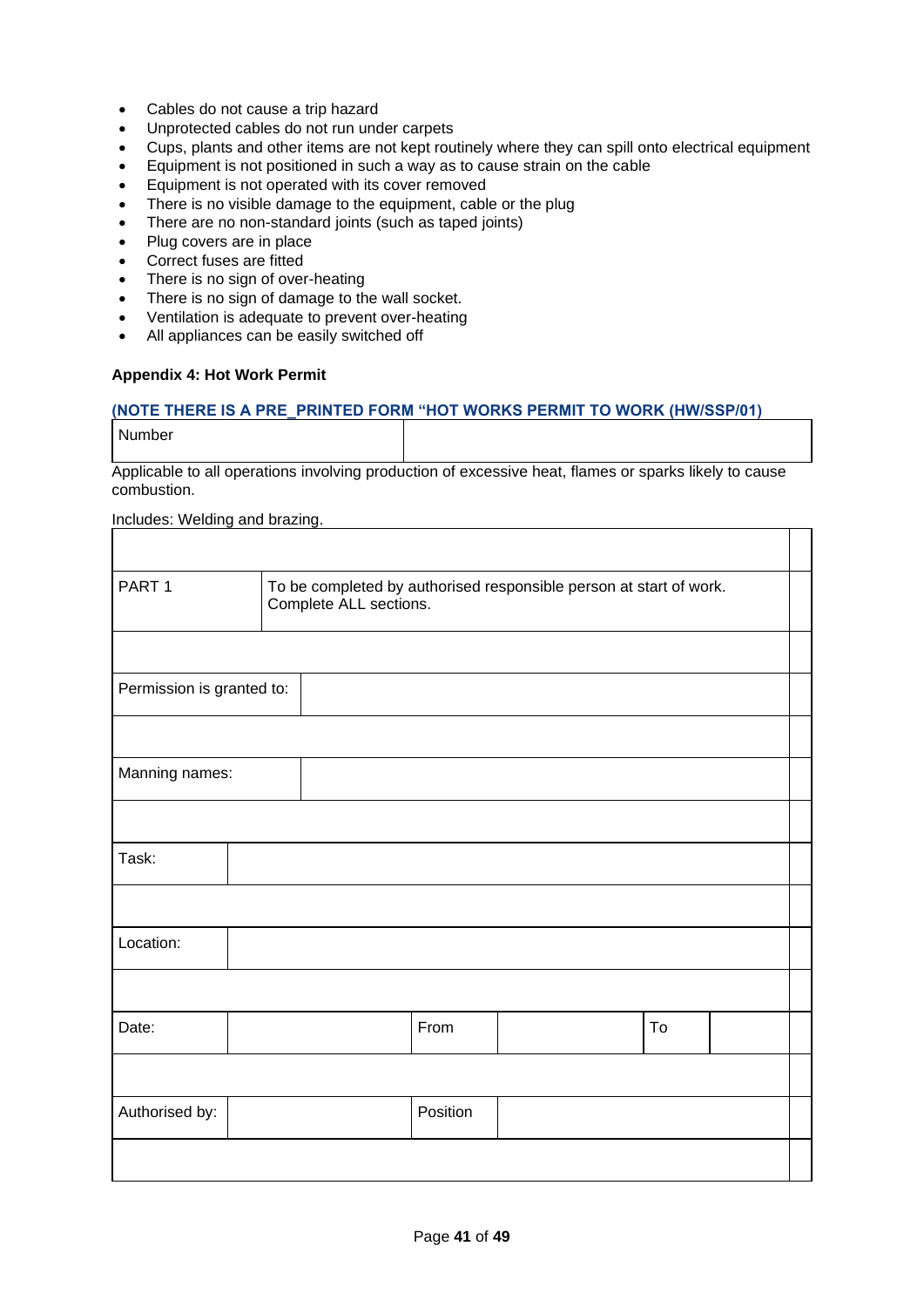- Cables do not cause a trip hazard
- Unprotected cables do not run under carpets
- Cups, plants and other items are not kept routinely where they can spill onto electrical equipment
- Equipment is not positioned in such a way as to cause strain on the cable
- Equipment is not operated with its cover removed
- There is no visible damage to the equipment, cable or the plug
- There are no non-standard joints (such as taped joints)
- Plug covers are in place
- Correct fuses are fitted
- There is no sign of over-heating
- There is no sign of damage to the wall socket.
- Ventilation is adequate to prevent over-heating
- All appliances can be easily switched off

### <span id="page-40-0"></span>**Appendix 4: Hot Work Permit**

### **(NOTE THERE IS A PRE\_PRINTED FORM "HOT WORKS PERMIT TO WORK (HW/SSP/01)**

Number

Applicable to all operations involving production of excessive heat, flames or sparks likely to cause combustion.

Includes: Welding and brazing.

| PART <sub>1</sub><br>To be completed by authorised responsible person at start of work.<br>Complete ALL sections. |  |  |          |  |    |  |  |
|-------------------------------------------------------------------------------------------------------------------|--|--|----------|--|----|--|--|
|                                                                                                                   |  |  |          |  |    |  |  |
| Permission is granted to:                                                                                         |  |  |          |  |    |  |  |
|                                                                                                                   |  |  |          |  |    |  |  |
| Manning names:                                                                                                    |  |  |          |  |    |  |  |
|                                                                                                                   |  |  |          |  |    |  |  |
| Task:                                                                                                             |  |  |          |  |    |  |  |
|                                                                                                                   |  |  |          |  |    |  |  |
| Location:                                                                                                         |  |  |          |  |    |  |  |
|                                                                                                                   |  |  |          |  |    |  |  |
| Date:                                                                                                             |  |  | From     |  | To |  |  |
|                                                                                                                   |  |  |          |  |    |  |  |
| Authorised by:                                                                                                    |  |  | Position |  |    |  |  |
|                                                                                                                   |  |  |          |  |    |  |  |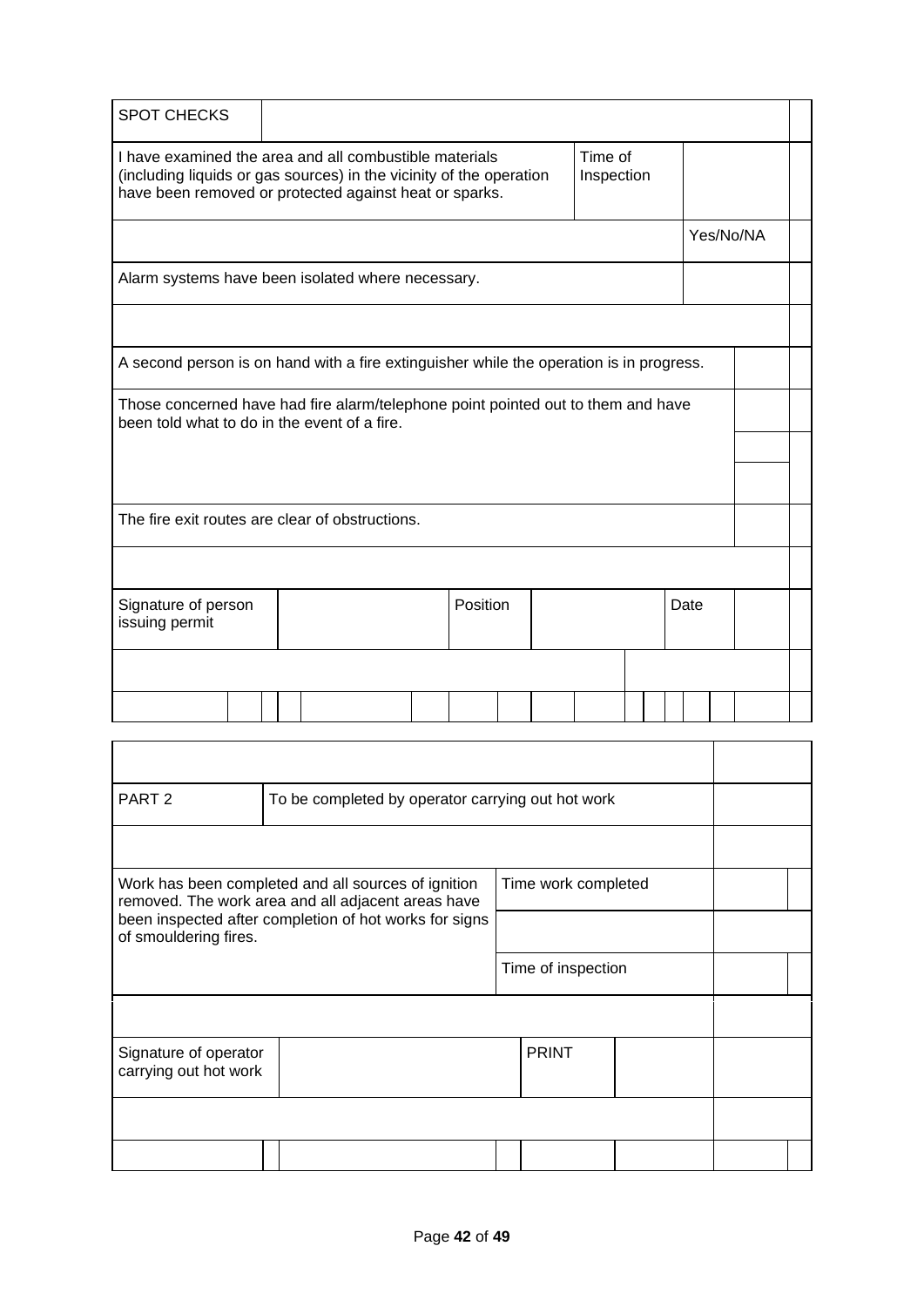| <b>SPOT CHECKS</b>                                                                                                                                                                                               |  |  |  |  |  |  |  |  |  |  |           |  |  |
|------------------------------------------------------------------------------------------------------------------------------------------------------------------------------------------------------------------|--|--|--|--|--|--|--|--|--|--|-----------|--|--|
| Time of<br>I have examined the area and all combustible materials<br>(including liquids or gas sources) in the vicinity of the operation<br>Inspection<br>have been removed or protected against heat or sparks. |  |  |  |  |  |  |  |  |  |  |           |  |  |
|                                                                                                                                                                                                                  |  |  |  |  |  |  |  |  |  |  | Yes/No/NA |  |  |
| Alarm systems have been isolated where necessary.                                                                                                                                                                |  |  |  |  |  |  |  |  |  |  |           |  |  |
|                                                                                                                                                                                                                  |  |  |  |  |  |  |  |  |  |  |           |  |  |
| A second person is on hand with a fire extinguisher while the operation is in progress.                                                                                                                          |  |  |  |  |  |  |  |  |  |  |           |  |  |
| Those concerned have had fire alarm/telephone point pointed out to them and have<br>been told what to do in the event of a fire.                                                                                 |  |  |  |  |  |  |  |  |  |  |           |  |  |
|                                                                                                                                                                                                                  |  |  |  |  |  |  |  |  |  |  |           |  |  |
| The fire exit routes are clear of obstructions.                                                                                                                                                                  |  |  |  |  |  |  |  |  |  |  |           |  |  |
|                                                                                                                                                                                                                  |  |  |  |  |  |  |  |  |  |  |           |  |  |
| Position<br>Signature of person<br>Date<br>issuing permit                                                                                                                                                        |  |  |  |  |  |  |  |  |  |  |           |  |  |
|                                                                                                                                                                                                                  |  |  |  |  |  |  |  |  |  |  |           |  |  |
|                                                                                                                                                                                                                  |  |  |  |  |  |  |  |  |  |  |           |  |  |
|                                                                                                                                                                                                                  |  |  |  |  |  |  |  |  |  |  |           |  |  |

| PART <sub>2</sub><br>To be completed by operator carrying out hot work                                                           |                                                        |  |                    |  |  |  |
|----------------------------------------------------------------------------------------------------------------------------------|--------------------------------------------------------|--|--------------------|--|--|--|
|                                                                                                                                  |                                                        |  |                    |  |  |  |
| Work has been completed and all sources of ignition<br>Time work completed<br>removed. The work area and all adjacent areas have |                                                        |  |                    |  |  |  |
| of smouldering fires.                                                                                                            | been inspected after completion of hot works for signs |  |                    |  |  |  |
|                                                                                                                                  |                                                        |  | Time of inspection |  |  |  |
|                                                                                                                                  |                                                        |  |                    |  |  |  |
| Signature of operator<br>carrying out hot work                                                                                   |                                                        |  | <b>PRINT</b>       |  |  |  |
|                                                                                                                                  |                                                        |  |                    |  |  |  |
|                                                                                                                                  |                                                        |  |                    |  |  |  |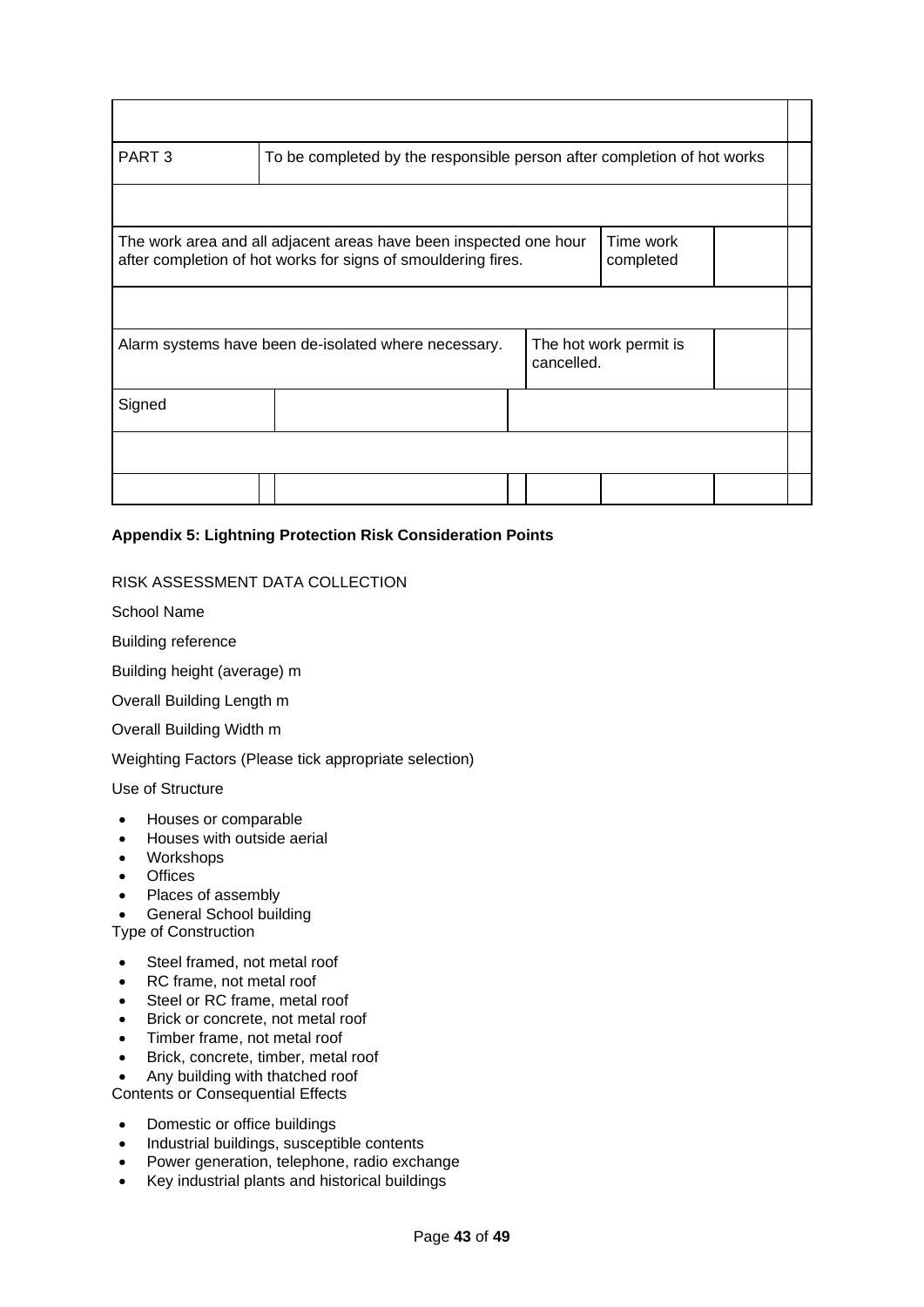| PART <sub>3</sub><br>To be completed by the responsible person after completion of hot works |                                                                                                                                                              |  |            |                        |  |  |
|----------------------------------------------------------------------------------------------|--------------------------------------------------------------------------------------------------------------------------------------------------------------|--|------------|------------------------|--|--|
|                                                                                              |                                                                                                                                                              |  |            |                        |  |  |
|                                                                                              | Time work<br>The work area and all adjacent areas have been inspected one hour<br>after completion of hot works for signs of smouldering fires.<br>completed |  |            |                        |  |  |
|                                                                                              |                                                                                                                                                              |  |            |                        |  |  |
|                                                                                              | Alarm systems have been de-isolated where necessary.                                                                                                         |  | cancelled. | The hot work permit is |  |  |
| Signed                                                                                       |                                                                                                                                                              |  |            |                        |  |  |
|                                                                                              |                                                                                                                                                              |  |            |                        |  |  |
|                                                                                              |                                                                                                                                                              |  |            |                        |  |  |

## <span id="page-42-0"></span>**Appendix 5: Lightning Protection Risk Consideration Points**

### RISK ASSESSMENT DATA COLLECTION

School Name

Building reference

Building height (average) m

Overall Building Length m

Overall Building Width m

Weighting Factors (Please tick appropriate selection)

Use of Structure

- Houses or comparable
- Houses with outside aerial
- Workshops
- Offices
- Places of assembly
- General School building

Type of Construction

- Steel framed, not metal roof
- RC frame, not metal roof
- Steel or RC frame, metal roof
- Brick or concrete, not metal roof
- Timber frame, not metal roof
- Brick, concrete, timber, metal roof
- Any building with thatched roof

Contents or Consequential Effects

- Domestic or office buildings
- Industrial buildings, susceptible contents
- Power generation, telephone, radio exchange
- Key industrial plants and historical buildings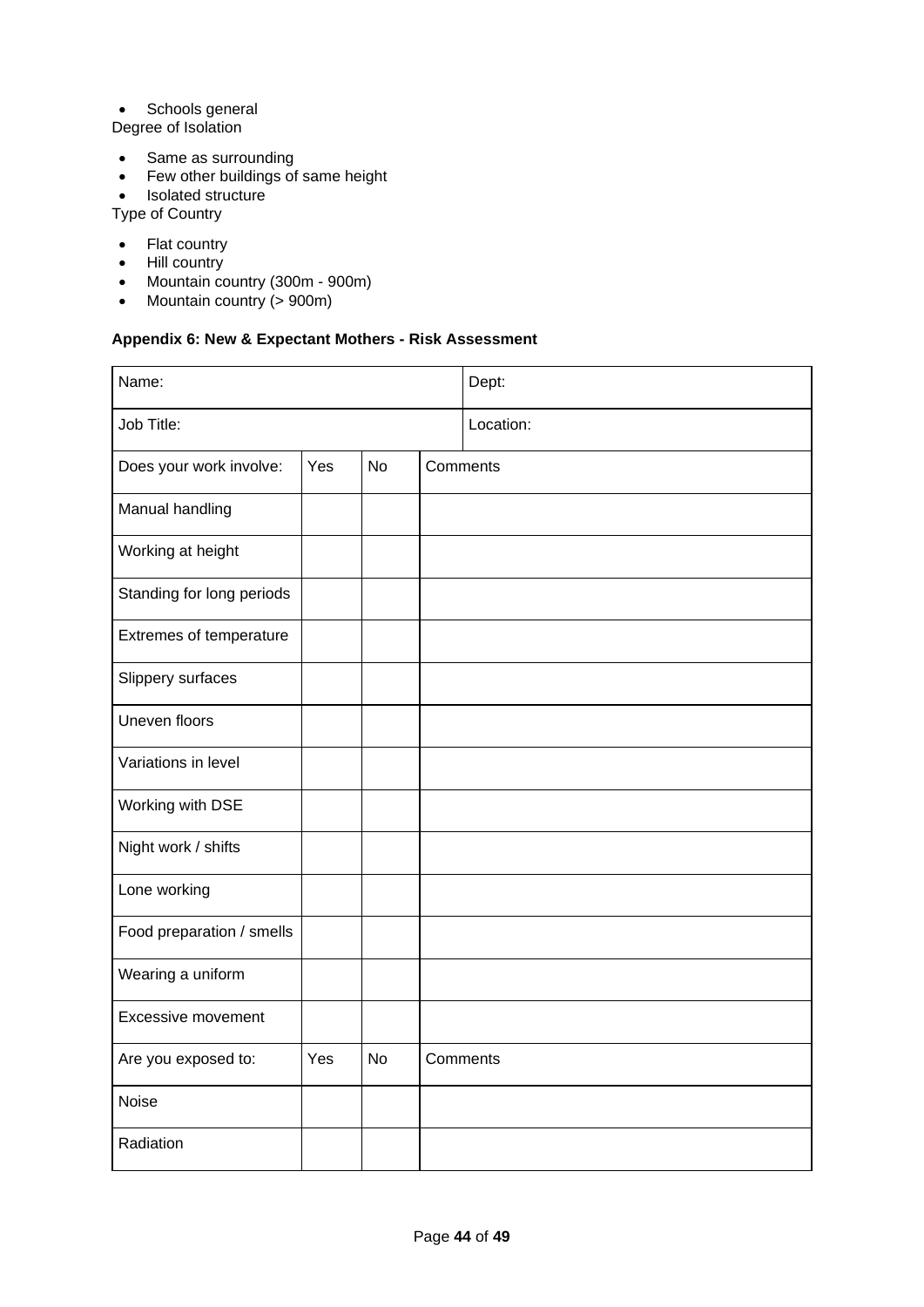## • Schools general

- Degree of Isolation
- Same as surrounding
- Few other buildings of same height
- Isolated structure
- Type of Country
- Flat country
- Hill country
- Mountain country (300m 900m)
- Mountain country (> 900m)

# <span id="page-43-0"></span>**Appendix 6: New & Expectant Mothers - Risk Assessment**

| Name:                     |     |           |           | Dept: |
|---------------------------|-----|-----------|-----------|-------|
| Job Title:                |     |           | Location: |       |
| Does your work involve:   | Yes | <b>No</b> | Comments  |       |
| Manual handling           |     |           |           |       |
| Working at height         |     |           |           |       |
| Standing for long periods |     |           |           |       |
| Extremes of temperature   |     |           |           |       |
| Slippery surfaces         |     |           |           |       |
| Uneven floors             |     |           |           |       |
| Variations in level       |     |           |           |       |
| Working with DSE          |     |           |           |       |
| Night work / shifts       |     |           |           |       |
| Lone working              |     |           |           |       |
| Food preparation / smells |     |           |           |       |
| Wearing a uniform         |     |           |           |       |
| <b>Excessive movement</b> |     |           |           |       |
| Are you exposed to:       | Yes | <b>No</b> | Comments  |       |
| Noise                     |     |           |           |       |
| Radiation                 |     |           |           |       |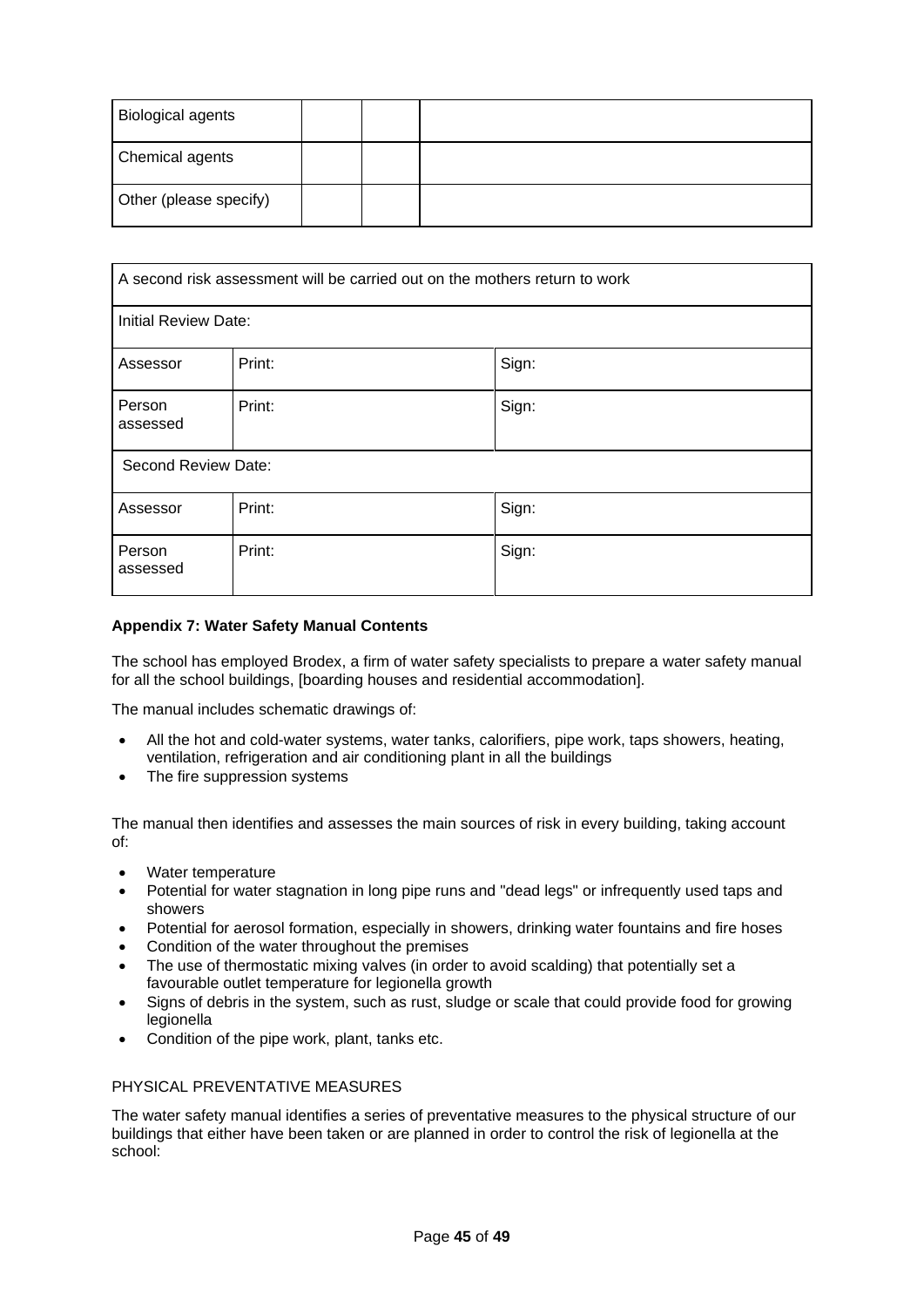| <b>Biological agents</b> |  |  |
|--------------------------|--|--|
| Chemical agents          |  |  |
| Other (please specify)   |  |  |

|                      | A second risk assessment will be carried out on the mothers return to work |       |  |  |  |  |
|----------------------|----------------------------------------------------------------------------|-------|--|--|--|--|
| Initial Review Date: |                                                                            |       |  |  |  |  |
| Assessor             | Print:                                                                     | Sign: |  |  |  |  |
| Person<br>assessed   | Print:                                                                     | Sign: |  |  |  |  |
| Second Review Date:  |                                                                            |       |  |  |  |  |
| Assessor             | Print:                                                                     | Sign: |  |  |  |  |
| Person<br>assessed   | Print:                                                                     | Sign: |  |  |  |  |

## <span id="page-44-0"></span>**Appendix 7: Water Safety Manual Contents**

The school has employed Brodex, a firm of water safety specialists to prepare a water safety manual for all the school buildings, [boarding houses and residential accommodation].

The manual includes schematic drawings of:

- All the hot and cold-water systems, water tanks, calorifiers, pipe work, taps showers, heating, ventilation, refrigeration and air conditioning plant in all the buildings
- The fire suppression systems

The manual then identifies and assesses the main sources of risk in every building, taking account of:

- Water temperature
- Potential for water stagnation in long pipe runs and "dead legs" or infrequently used taps and showers
- Potential for aerosol formation, especially in showers, drinking water fountains and fire hoses
- Condition of the water throughout the premises
- The use of thermostatic mixing valves (in order to avoid scalding) that potentially set a favourable outlet temperature for legionella growth
- Signs of debris in the system, such as rust, sludge or scale that could provide food for growing legionella
- Condition of the pipe work, plant, tanks etc.

#### PHYSICAL PREVENTATIVE MEASURES

The water safety manual identifies a series of preventative measures to the physical structure of our buildings that either have been taken or are planned in order to control the risk of legionella at the school: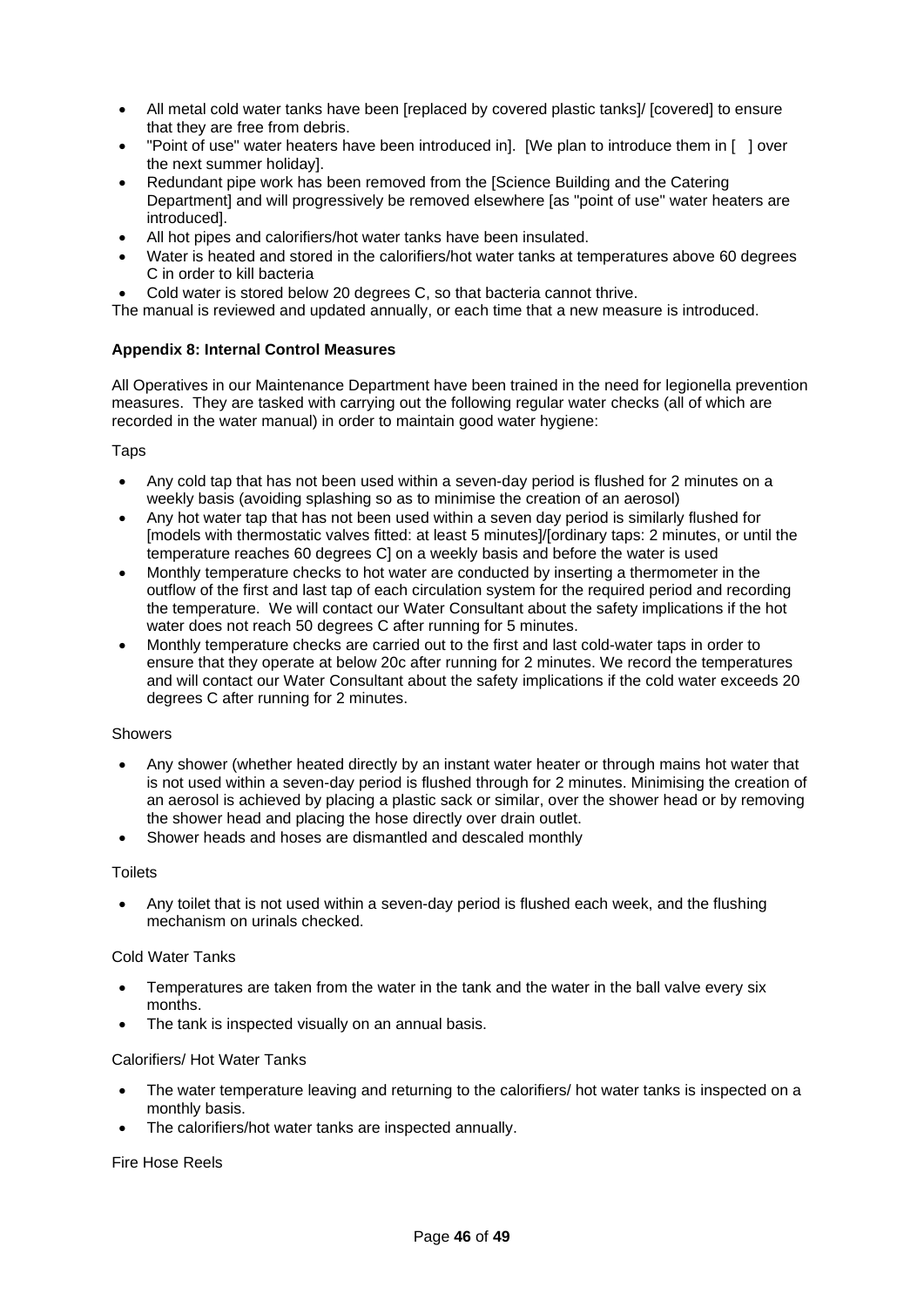- All metal cold water tanks have been [replaced by covered plastic tanks]/ [covered] to ensure that they are free from debris.
- "Point of use" water heaters have been introduced in]. [We plan to introduce them in [ ] over the next summer holiday].
- Redundant pipe work has been removed from the [Science Building and the Catering Department] and will progressively be removed elsewhere [as "point of use" water heaters are introduced].
- All hot pipes and calorifiers/hot water tanks have been insulated.
- Water is heated and stored in the calorifiers/hot water tanks at temperatures above 60 degrees C in order to kill bacteria
- Cold water is stored below 20 degrees C, so that bacteria cannot thrive.

The manual is reviewed and updated annually, or each time that a new measure is introduced.

### <span id="page-45-0"></span>**Appendix 8: Internal Control Measures**

All Operatives in our Maintenance Department have been trained in the need for legionella prevention measures. They are tasked with carrying out the following regular water checks (all of which are recorded in the water manual) in order to maintain good water hygiene:

#### Taps

- Any cold tap that has not been used within a seven-day period is flushed for 2 minutes on a weekly basis (avoiding splashing so as to minimise the creation of an aerosol)
- Any hot water tap that has not been used within a seven day period is similarly flushed for [models with thermostatic valves fitted: at least 5 minutes]/[ordinary taps: 2 minutes, or until the temperature reaches 60 degrees C] on a weekly basis and before the water is used
- Monthly temperature checks to hot water are conducted by inserting a thermometer in the outflow of the first and last tap of each circulation system for the required period and recording the temperature. We will contact our Water Consultant about the safety implications if the hot water does not reach 50 degrees C after running for 5 minutes.
- Monthly temperature checks are carried out to the first and last cold-water taps in order to ensure that they operate at below 20c after running for 2 minutes. We record the temperatures and will contact our Water Consultant about the safety implications if the cold water exceeds 20 degrees C after running for 2 minutes.

#### Showers

- Any shower (whether heated directly by an instant water heater or through mains hot water that is not used within a seven-day period is flushed through for 2 minutes. Minimising the creation of an aerosol is achieved by placing a plastic sack or similar, over the shower head or by removing the shower head and placing the hose directly over drain outlet.
- Shower heads and hoses are dismantled and descaled monthly

#### **Toilets**

• Any toilet that is not used within a seven-day period is flushed each week, and the flushing mechanism on urinals checked.

#### Cold Water Tanks

- Temperatures are taken from the water in the tank and the water in the ball valve every six months.
- The tank is inspected visually on an annual basis.

#### Calorifiers/ Hot Water Tanks

- The water temperature leaving and returning to the calorifiers/ hot water tanks is inspected on a monthly basis.
- The calorifiers/hot water tanks are inspected annually.

#### Fire Hose Reels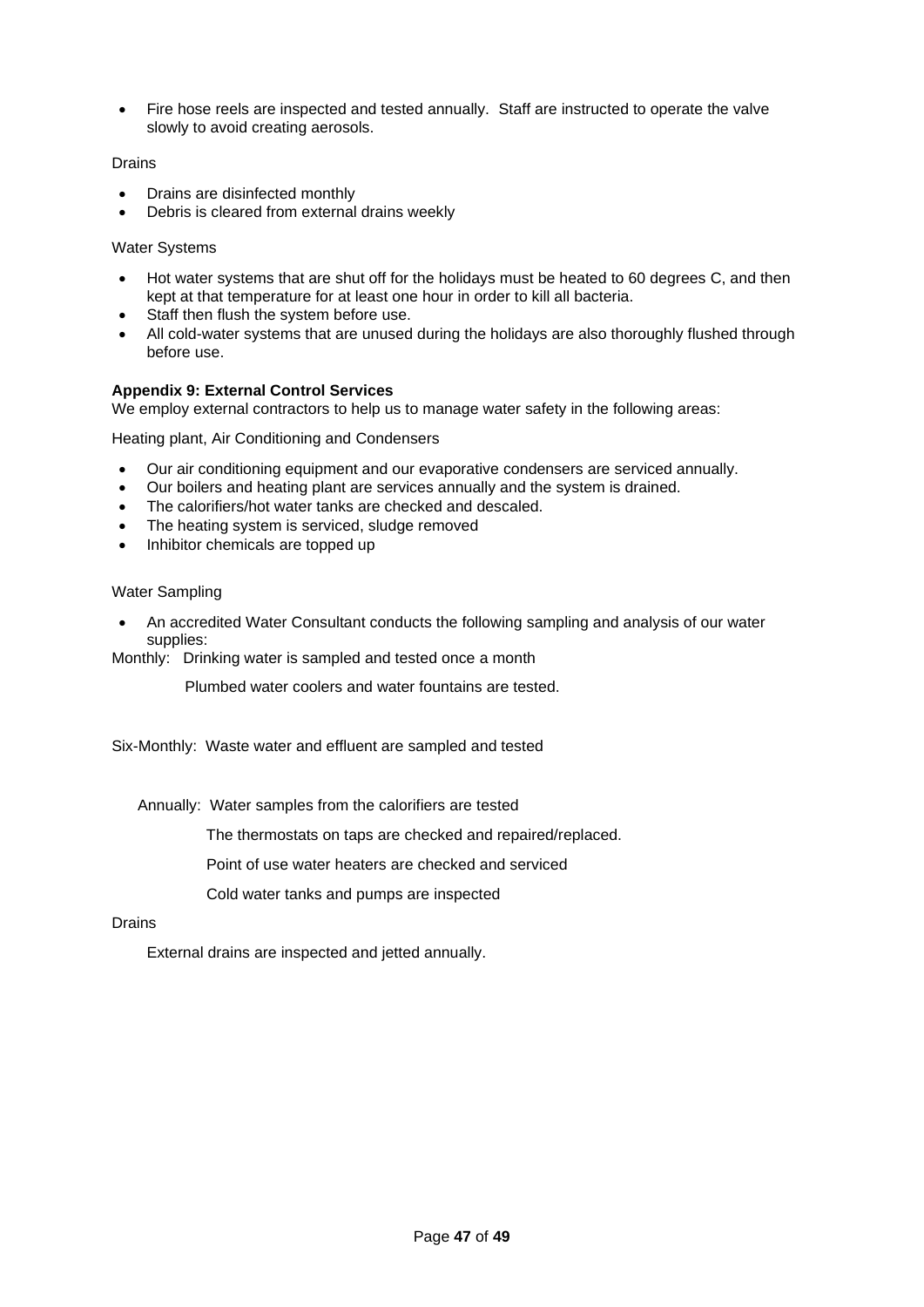• Fire hose reels are inspected and tested annually. Staff are instructed to operate the valve slowly to avoid creating aerosols.

#### Drains

- Drains are disinfected monthly
- Debris is cleared from external drains weekly

### Water Systems

- Hot water systems that are shut off for the holidays must be heated to 60 degrees C, and then kept at that temperature for at least one hour in order to kill all bacteria.
- Staff then flush the system before use.
- All cold-water systems that are unused during the holidays are also thoroughly flushed through before use.

### <span id="page-46-0"></span>**Appendix 9: External Control Services**

We employ external contractors to help us to manage water safety in the following areas:

Heating plant, Air Conditioning and Condensers

- Our air conditioning equipment and our evaporative condensers are serviced annually.
- Our boilers and heating plant are services annually and the system is drained.
- The calorifiers/hot water tanks are checked and descaled.
- The heating system is serviced, sludge removed
- Inhibitor chemicals are topped up

### Water Sampling

• An accredited Water Consultant conducts the following sampling and analysis of our water supplies:

Monthly: Drinking water is sampled and tested once a month

Plumbed water coolers and water fountains are tested.

Six-Monthly: Waste water and effluent are sampled and tested

Annually: Water samples from the calorifiers are tested

The thermostats on taps are checked and repaired/replaced.

Point of use water heaters are checked and serviced

Cold water tanks and pumps are inspected

#### Drains

External drains are inspected and jetted annually.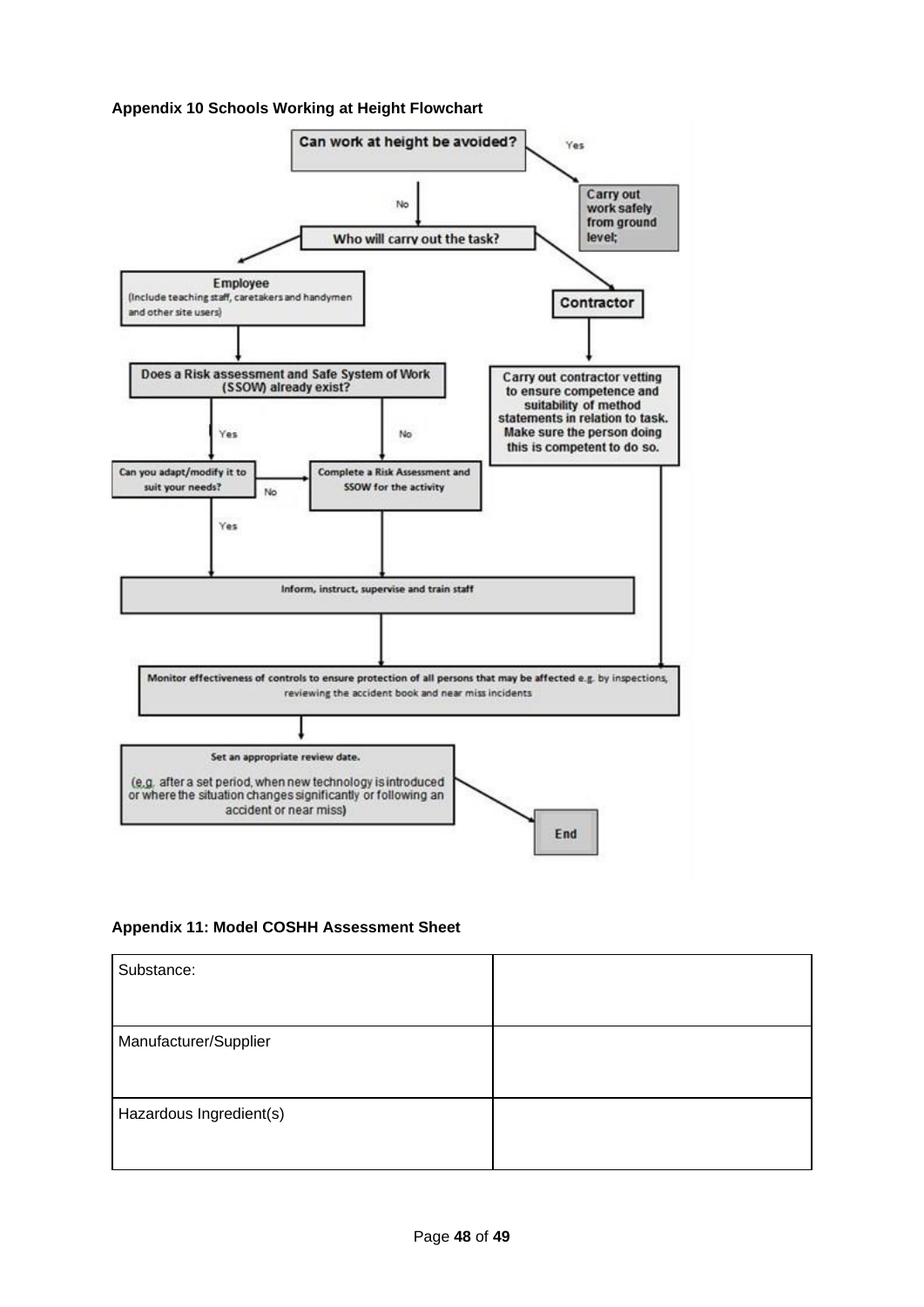## <span id="page-47-0"></span>**Appendix 10 Schools Working at Height Flowchart**



<span id="page-47-1"></span>**Appendix 11: Model COSHH Assessment Sheet**

| Substance:              |  |
|-------------------------|--|
|                         |  |
| Manufacturer/Supplier   |  |
|                         |  |
| Hazardous Ingredient(s) |  |
|                         |  |